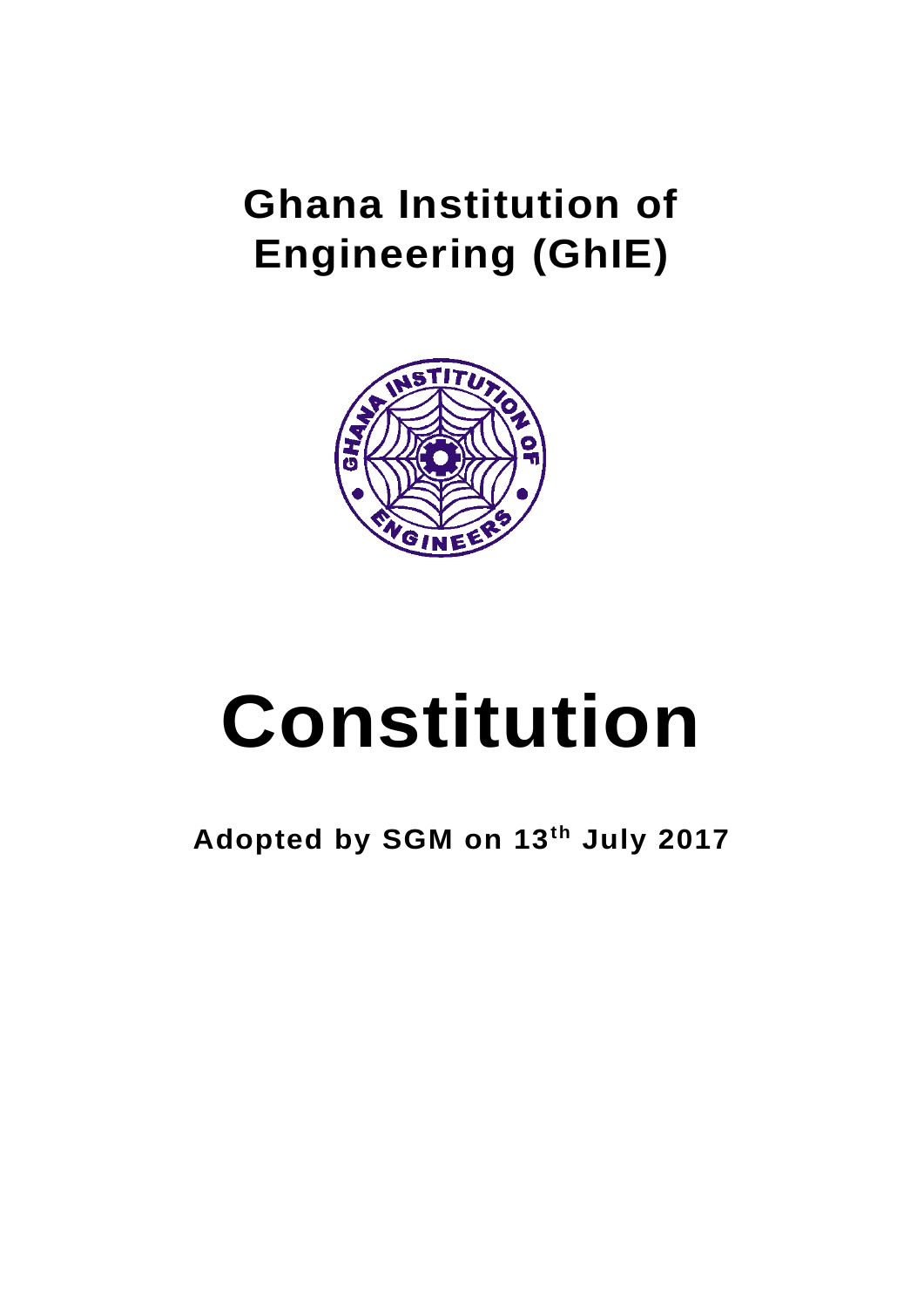# **Ghana Institution of Engineering (GhIE)**



# **Constitution**

**Adopted by SGM on 13th July 2017**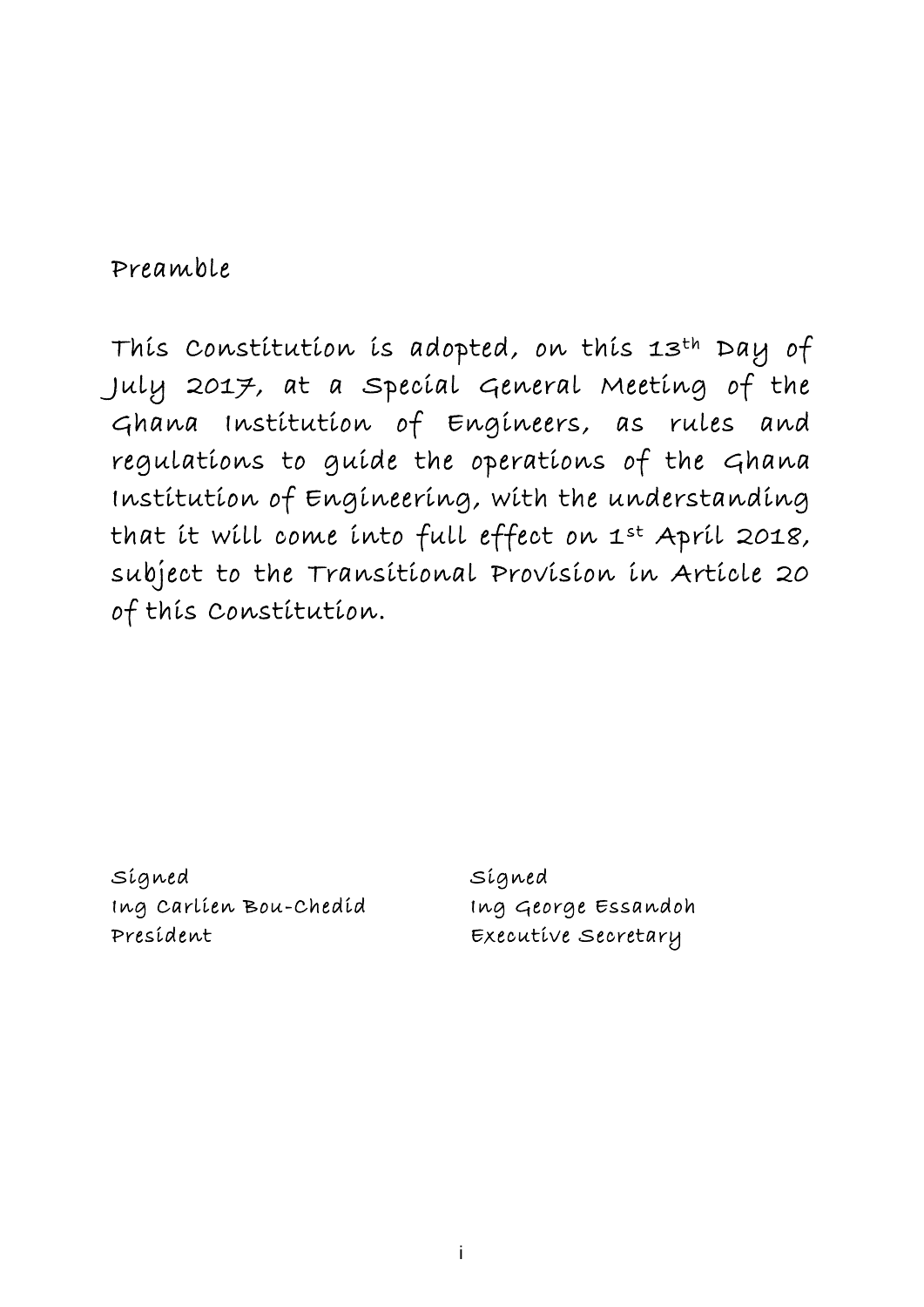# <span id="page-1-0"></span>Preamble

This Constitution is adopted, on this 13th Day of July 2017, at a Special General Meeting of the Ghana Institution of Engineers, as rules and regulations to guide the operations of the Ghana Institution of Engineering, with the understanding that it will come into full effect on 1st April 2018, subject to the Transitional Provision in Article 20 of this Constitution.

Signed Ing Carlien Bou-Chedid President

Signed Ing George Essandoh Executive Secretary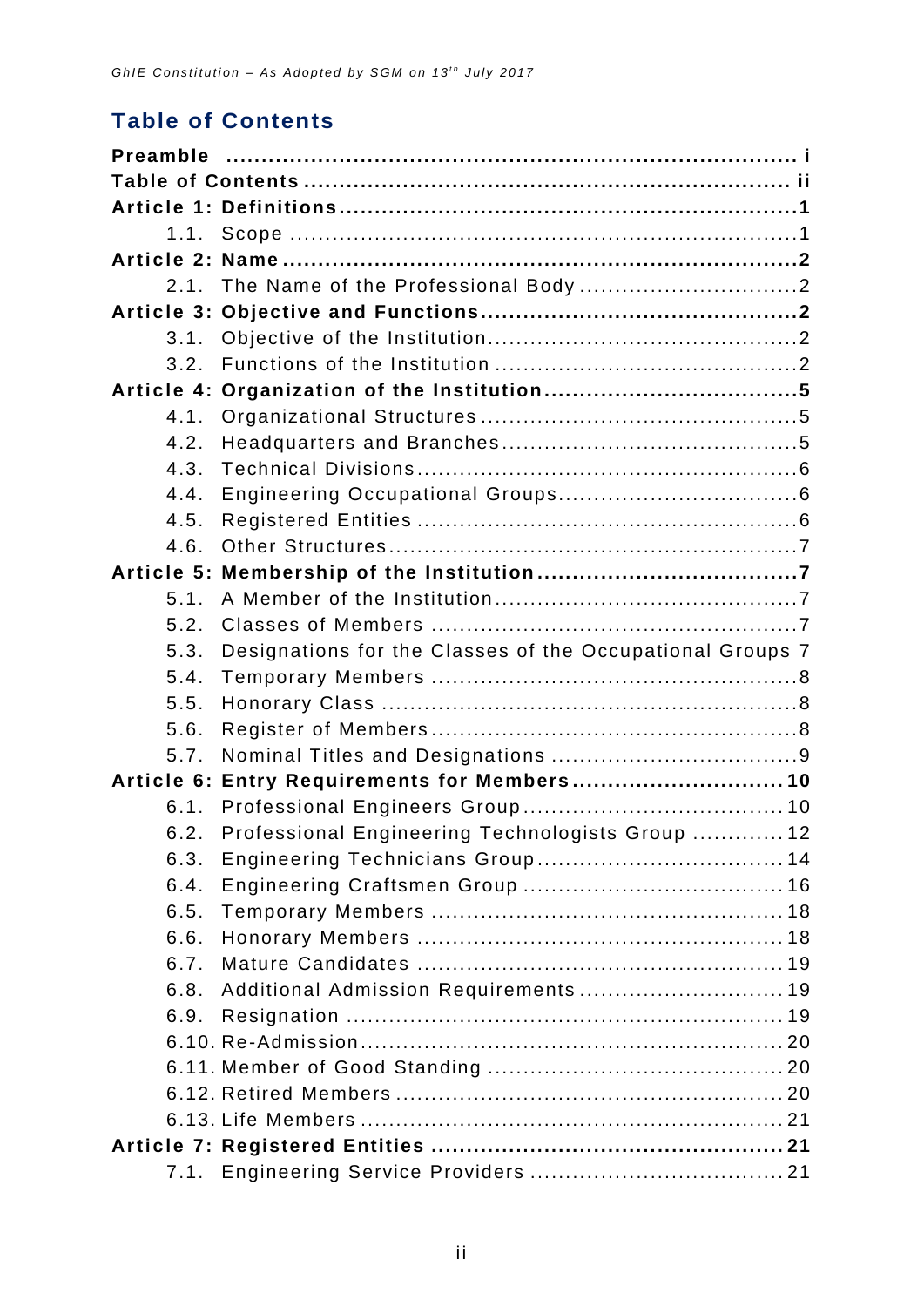# <span id="page-2-0"></span>**Table of Contents**

| 1.1. |                                                           |  |
|------|-----------------------------------------------------------|--|
|      |                                                           |  |
| 2.1. |                                                           |  |
|      |                                                           |  |
| 3.1. |                                                           |  |
| 3.2. |                                                           |  |
|      |                                                           |  |
| 4.1. |                                                           |  |
| 4.2. |                                                           |  |
| 4.3. |                                                           |  |
| 4.4. |                                                           |  |
| 4.5. |                                                           |  |
| 4.6. |                                                           |  |
|      |                                                           |  |
| 5.1. |                                                           |  |
| 5.2. |                                                           |  |
| 5.3. | Designations for the Classes of the Occupational Groups 7 |  |
| 5.4. |                                                           |  |
| 5.5. |                                                           |  |
| 5.6. |                                                           |  |
| 5.7. |                                                           |  |
|      | Article 6: Entry Requirements for Members 10              |  |
| 6.1. |                                                           |  |
| 6.2. | Professional Engineering Technologists Group  12          |  |
| 6.3. |                                                           |  |
| 6.4. |                                                           |  |
| 6.5. |                                                           |  |
| 6.6. |                                                           |  |
| 6.7. |                                                           |  |
| 6.8. | Additional Admission Requirements  19                     |  |
| 6.9. |                                                           |  |
|      |                                                           |  |
|      |                                                           |  |
|      |                                                           |  |
|      |                                                           |  |
|      |                                                           |  |
| 7.1. |                                                           |  |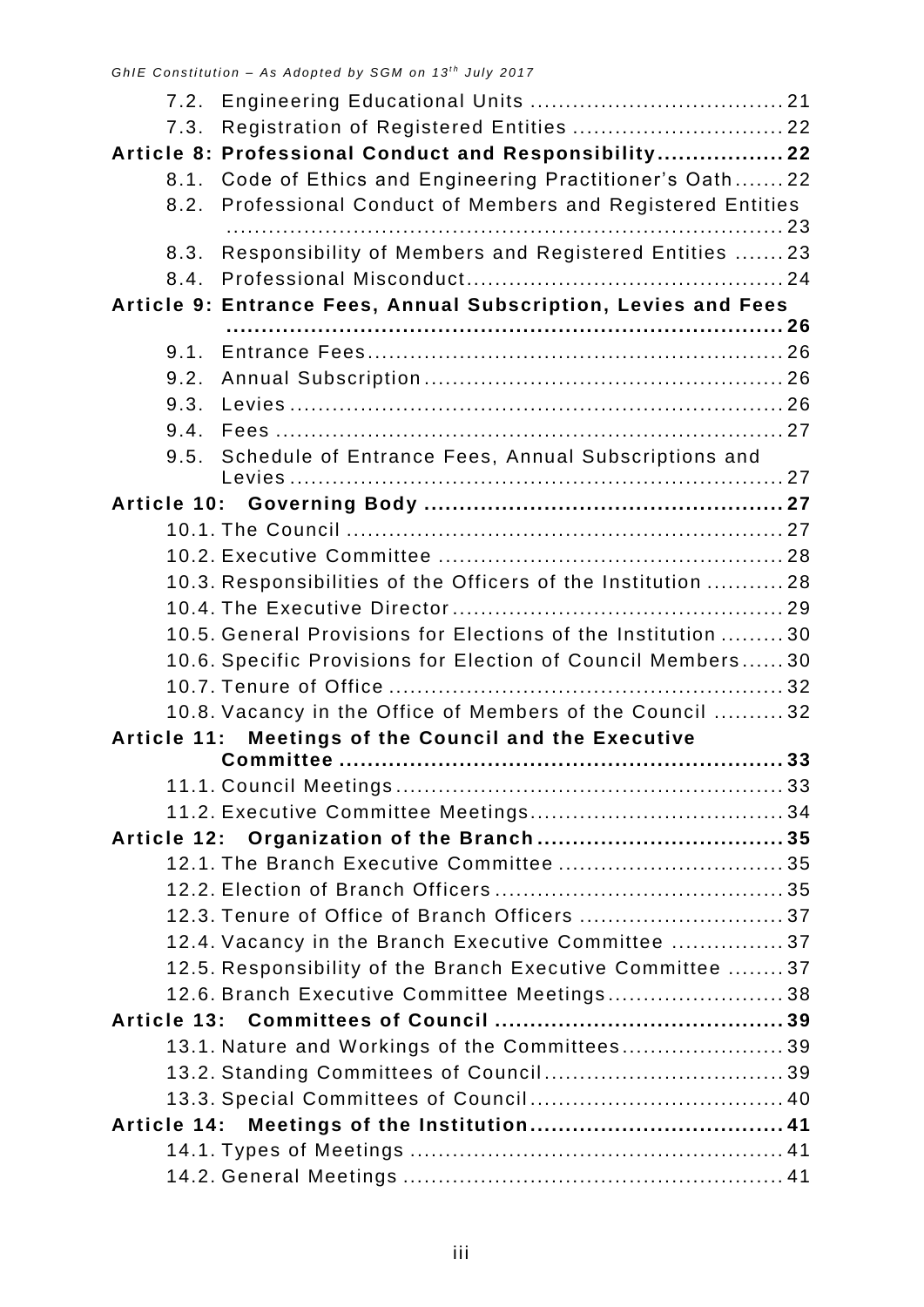| 7.3.                                                           | Registration of Registered Entities  22                       |  |  |  |
|----------------------------------------------------------------|---------------------------------------------------------------|--|--|--|
|                                                                | Article 8: Professional Conduct and Responsibility 22         |  |  |  |
|                                                                | 8.1. Code of Ethics and Engineering Practitioner's Oath22     |  |  |  |
|                                                                | 8.2. Professional Conduct of Members and Registered Entities  |  |  |  |
|                                                                |                                                               |  |  |  |
| 8.3.                                                           | Responsibility of Members and Registered Entities  23         |  |  |  |
| 8.4.                                                           |                                                               |  |  |  |
| Article 9: Entrance Fees, Annual Subscription, Levies and Fees |                                                               |  |  |  |
| 9.1.                                                           |                                                               |  |  |  |
| 9.2.                                                           |                                                               |  |  |  |
| 9.3.                                                           |                                                               |  |  |  |
| 9.4.                                                           |                                                               |  |  |  |
| 9.5.                                                           | Schedule of Entrance Fees, Annual Subscriptions and           |  |  |  |
|                                                                |                                                               |  |  |  |
|                                                                |                                                               |  |  |  |
|                                                                |                                                               |  |  |  |
|                                                                |                                                               |  |  |  |
|                                                                | 10.3. Responsibilities of the Officers of the Institution  28 |  |  |  |
|                                                                |                                                               |  |  |  |
|                                                                | 10.5. General Provisions for Elections of the Institution  30 |  |  |  |
|                                                                | 10.6. Specific Provisions for Election of Council Members 30  |  |  |  |
|                                                                |                                                               |  |  |  |
|                                                                | 10.8. Vacancy in the Office of Members of the Council  32     |  |  |  |
|                                                                | Article 11: Meetings of the Council and the Executive         |  |  |  |
|                                                                |                                                               |  |  |  |
|                                                                |                                                               |  |  |  |
|                                                                |                                                               |  |  |  |
|                                                                |                                                               |  |  |  |
|                                                                |                                                               |  |  |  |
|                                                                |                                                               |  |  |  |
|                                                                | 12.3. Tenure of Office of Branch Officers  37                 |  |  |  |
|                                                                | 12.4. Vacancy in the Branch Executive Committee  37           |  |  |  |
|                                                                | 12.5. Responsibility of the Branch Executive Committee 37     |  |  |  |
|                                                                | 12.6. Branch Executive Committee Meetings 38                  |  |  |  |
|                                                                |                                                               |  |  |  |
|                                                                | 13.1. Nature and Workings of the Committees 39                |  |  |  |
|                                                                |                                                               |  |  |  |
|                                                                |                                                               |  |  |  |
|                                                                |                                                               |  |  |  |
|                                                                |                                                               |  |  |  |
|                                                                |                                                               |  |  |  |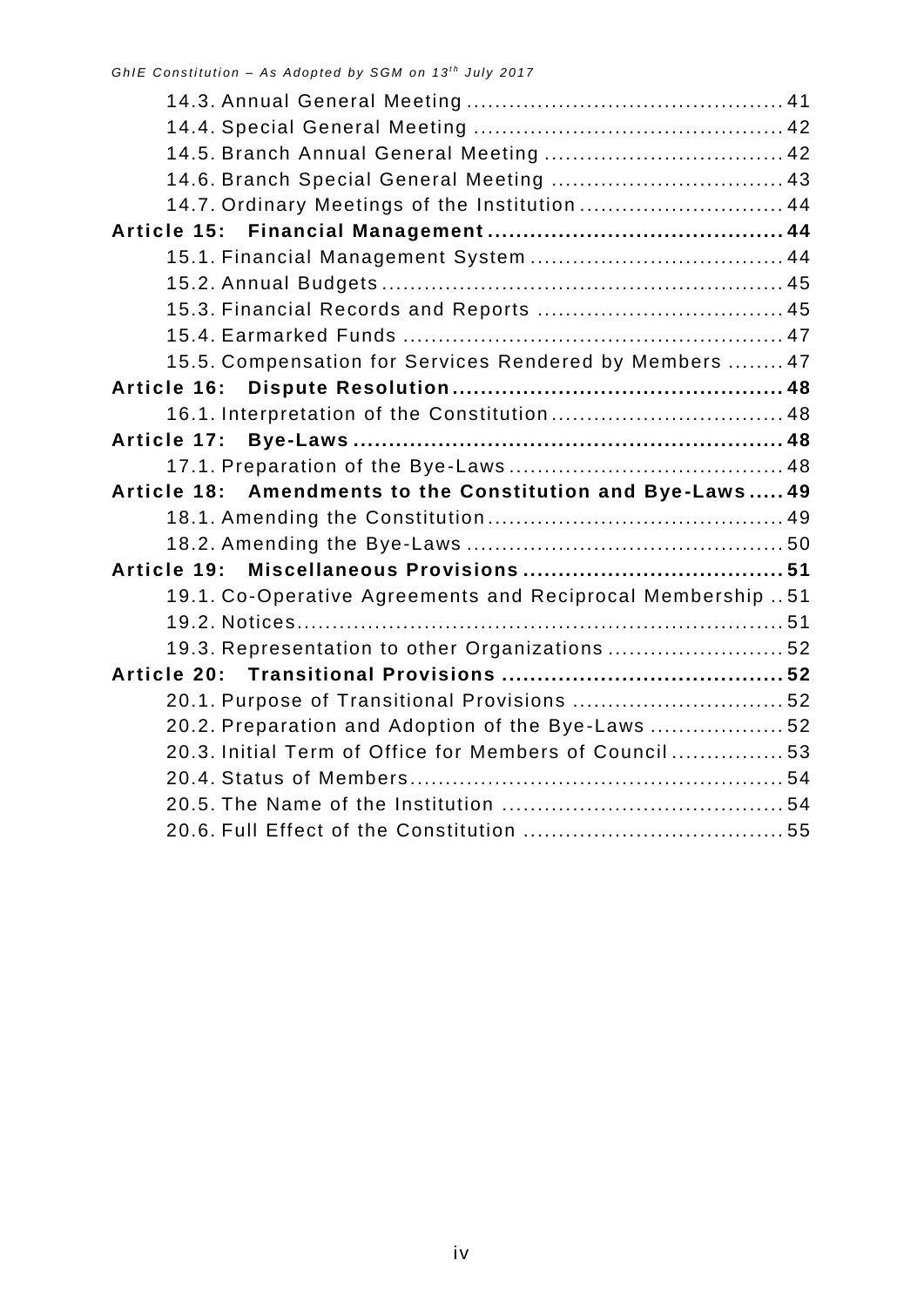| 14.5. Branch Annual General Meeting  42                    |  |  |
|------------------------------------------------------------|--|--|
| 14.6. Branch Special General Meeting  43                   |  |  |
| 14.7. Ordinary Meetings of the Institution  44             |  |  |
|                                                            |  |  |
|                                                            |  |  |
|                                                            |  |  |
|                                                            |  |  |
|                                                            |  |  |
| 15.5. Compensation for Services Rendered by Members  47    |  |  |
|                                                            |  |  |
| 16.1. Interpretation of the Constitution 48                |  |  |
|                                                            |  |  |
|                                                            |  |  |
| Article 18: Amendments to the Constitution and Bye-Laws 49 |  |  |
|                                                            |  |  |
|                                                            |  |  |
|                                                            |  |  |
| 19.1. Co-Operative Agreements and Reciprocal Membership 51 |  |  |
|                                                            |  |  |
| 19.3. Representation to other Organizations 52             |  |  |
|                                                            |  |  |
| 20.1. Purpose of Transitional Provisions  52               |  |  |
| 20.2. Preparation and Adoption of the Bye-Laws  52         |  |  |
| 20.3. Initial Term of Office for Members of Council 53     |  |  |
|                                                            |  |  |
|                                                            |  |  |
|                                                            |  |  |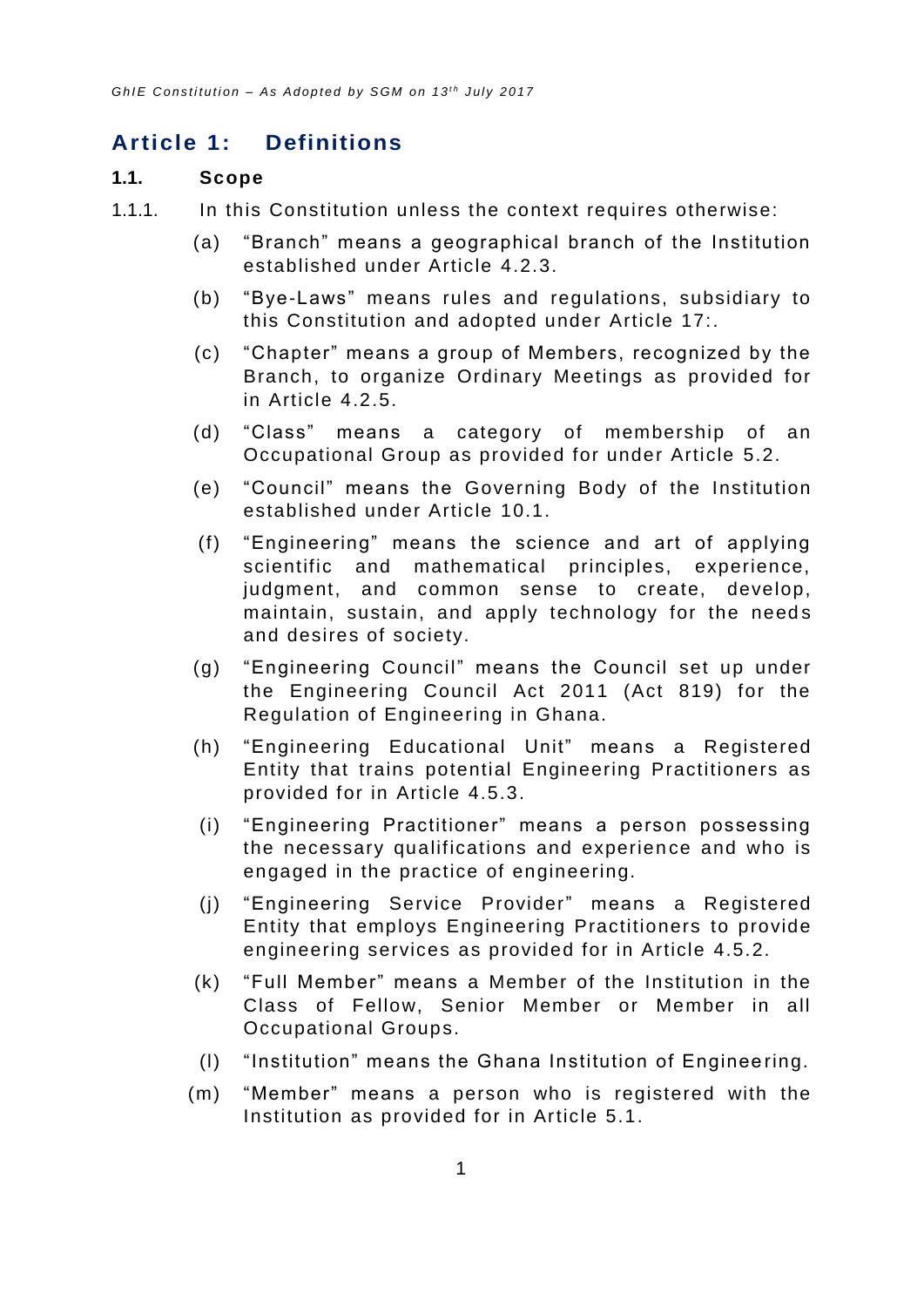# <span id="page-5-0"></span>**Article 1: Definitions**

#### <span id="page-5-1"></span>**1.1. Scope**

- 1.1.1. In this Constitution unless the context requires otherwise:
	- (a) "Branch" means a geographical branch of the Institution established under Article [4.2.3.](#page-9-3)
	- (b) "Bye-Laws" means rules and regulations, subsidiary to this Constitution and adopted under [Article 17:.](#page-52-2)
	- (c) "Chapter" means a group of Members, recognized by the Branch, to organize Ordinary Meetings as provided for in Article [4.2.5.](#page-9-4)
	- (d) "Class" means a category of membership of an Occupational Group as provided for under Article [5.2.](#page-11-3)
	- (e) "Council" means the Governing Body of the Institution established under Article [10.1.](#page-31-3)
	- (f) "Engineering" means the science and art of applying scientific and mathematical principles, experience, judgment, and common sense to create, develop, maintain, sustain, and apply technology for the needs and desires of society.
	- (g) "Engineering Council" means the Council set up under the Engineering Council Act 2011 (Act 819) for the Regulation of Engineering in Ghana.
	- (h) "Engineering Educational Unit" means a Registered Entity that trains potential Engineering Practitioners as provided for in Article [4.5.3.](#page-11-5)
	- (i) "Engineering Practitioner" means a person possessing the necessary qualifications and experien ce and who is engaged in the practice of engineering.
	- (j) "Engineering Service Provider" means a Registered Entity that employs Engineering Practitioners to provide engineering services as provided for in Article [4.5.2.](#page-10-3)
	- (k) "Full Member" means a Member of the Institution in the Class of Fellow, Senior Member or Member in all Occupational Groups.
	- (l) "Institution" means the Ghana Institution of Enginee ring.
	- (m) "Member" means a person who is registered with the Institution as provided for in Article [5.1.](#page-11-2)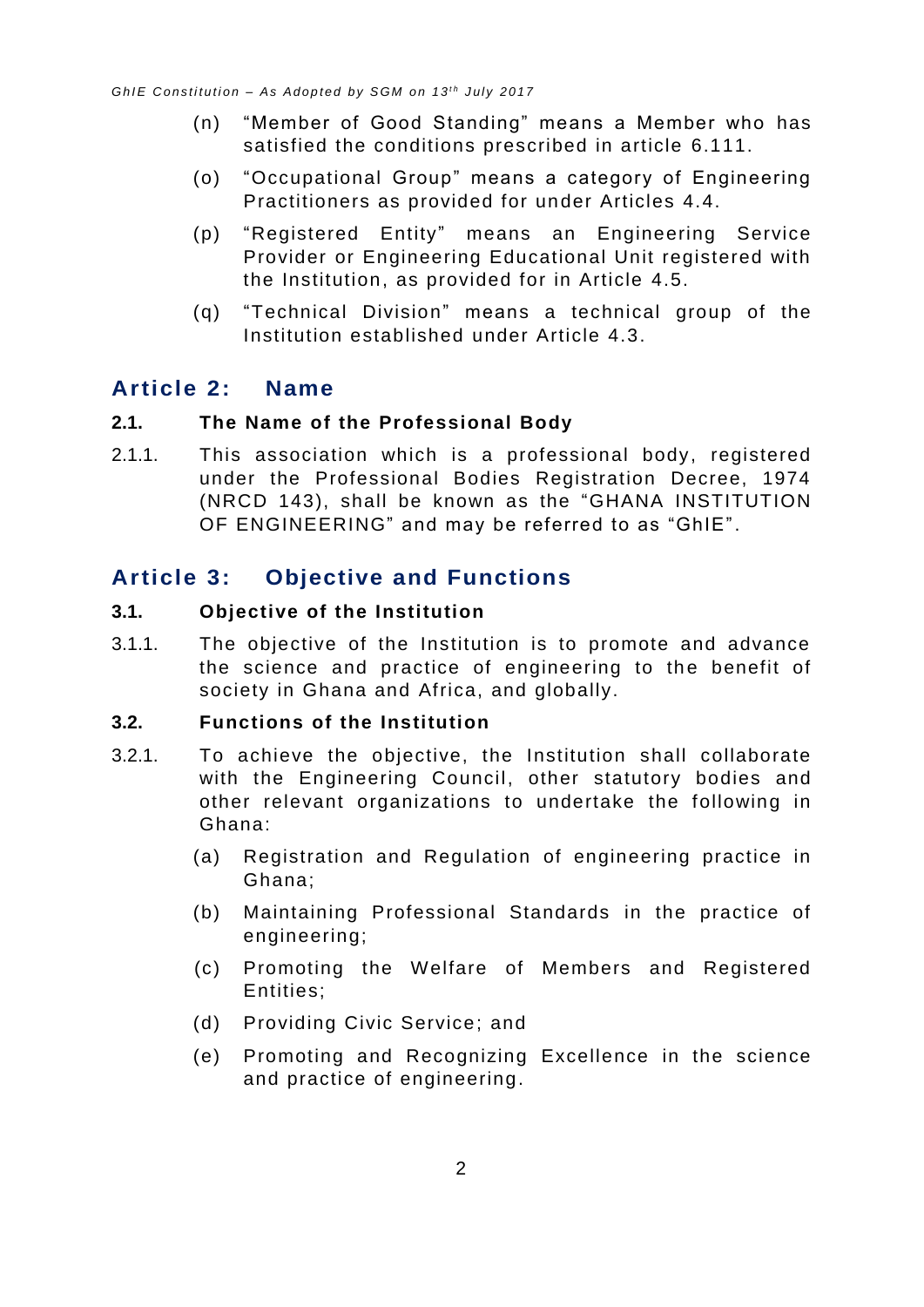- (n) "Member of Good Standing" means a Member who has satisfied the conditions prescribed in article [6.111](#page-24-1).
- (o) "Occupational Group" means a category of Engineering Practitioners as provided for un der Articles [4.4.](#page-10-1)
- (p) "Registered Entity" means an Engineering Service Provider or Engineering Educational Unit registered with the Institution, as provided for in Article [4.5.](#page-10-2)
- (q) "Technical Division" means a technical group of the Institution established under Article [4.3.](#page-10-0)

# <span id="page-6-0"></span>**Article 2: Name**

#### <span id="page-6-1"></span>**2.1. The Name of the Professional Body**

2.1.1. This association which is a professional body, registered under the Professional Bodies Registration Decree, 1974 (NRCD 143), shall be known as the "GHANA INSTITUTION OF ENGINEERING" and may be referred to as "GhIE".

# <span id="page-6-2"></span>**Article 3: Objective and Functions**

#### <span id="page-6-3"></span>**3.1. Objective of the Institution**

3.1.1. The objective of the Institution is to promote and advance the science and practice of engineering to the benefit of society in Ghana and Africa, and globally.

#### <span id="page-6-4"></span>**3.2. Functions of the Institution**

- 3.2.1. To achieve the objective, the Institution shall collaborate with the Engineering Council, other statutory bodies and other relevant organizations to undertake the following in Ghana:
	- (a) Registration and Regulation of engineering practice in Ghana;
	- (b) Maintaining Professional Standards in the practice of engineering;
	- (c) Promoting the Welfare of Members and Registered Entities;
	- (d) Providing Civic Service; and
	- (e) Promoting and Recognizing Excellence in the science and practice of engineering.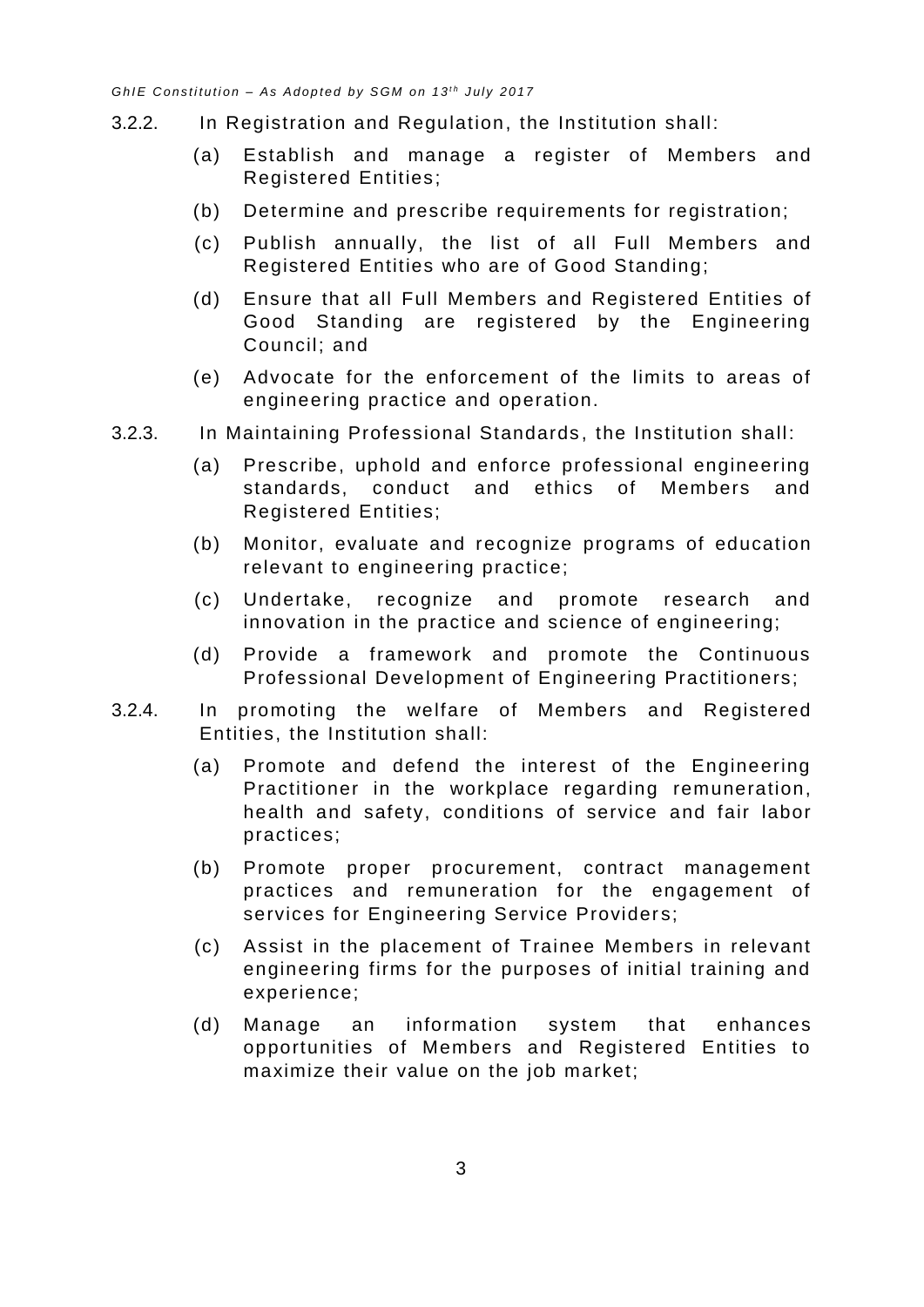- 3.2.2. In Registration and Regulation, the Institution shall:
	- (a) Establish and manage a register of Members and Registered Entities;
	- (b) Determine and prescribe requirements for registration;
	- (c) Publish annually, the list of all Full Members and Registered Entities who are of Good Standing;
	- (d) Ensure that all Full Members and Registered Entities of Good Standing are registered by the Engineering Council; and
	- (e) Advocate for the enforcement of the limits to areas of engineering practice and operation.
- 3.2.3. In Maintaining Professional Standards , the Institution shall:
	- (a) Prescribe, uphold and enforce professional engineering standards, conduct and ethics of Members and Registered Entities;
	- (b) Monitor, evaluate and recognize programs of education relevant to engineering practice;
	- (c) Undertake, recognize and promote research and innovation in the practice and science of engineering;
	- (d) Provide a framework and promote the Continuous Professional Development of Engineering Practitioners;
- <span id="page-7-0"></span>3.2.4. In promoting the welfare of Members and Registered Entities, the Institution shall:
	- (a) Promote and defend the interest of the Engineering Practitioner in the workplace regarding remuneration, health and safety, conditions of service and fair labor practices;
	- (b) Promote proper procurement, contract management practices and remuneration for the engagement of services for Engineering Service Providers;
	- (c) Assist in the placement of Trainee Members in relevant engineering firms for the purposes of initial training and experience;
	- (d) Manage an information system that enhances opportunities of Members and Registered Entities to maximize their value on the job market;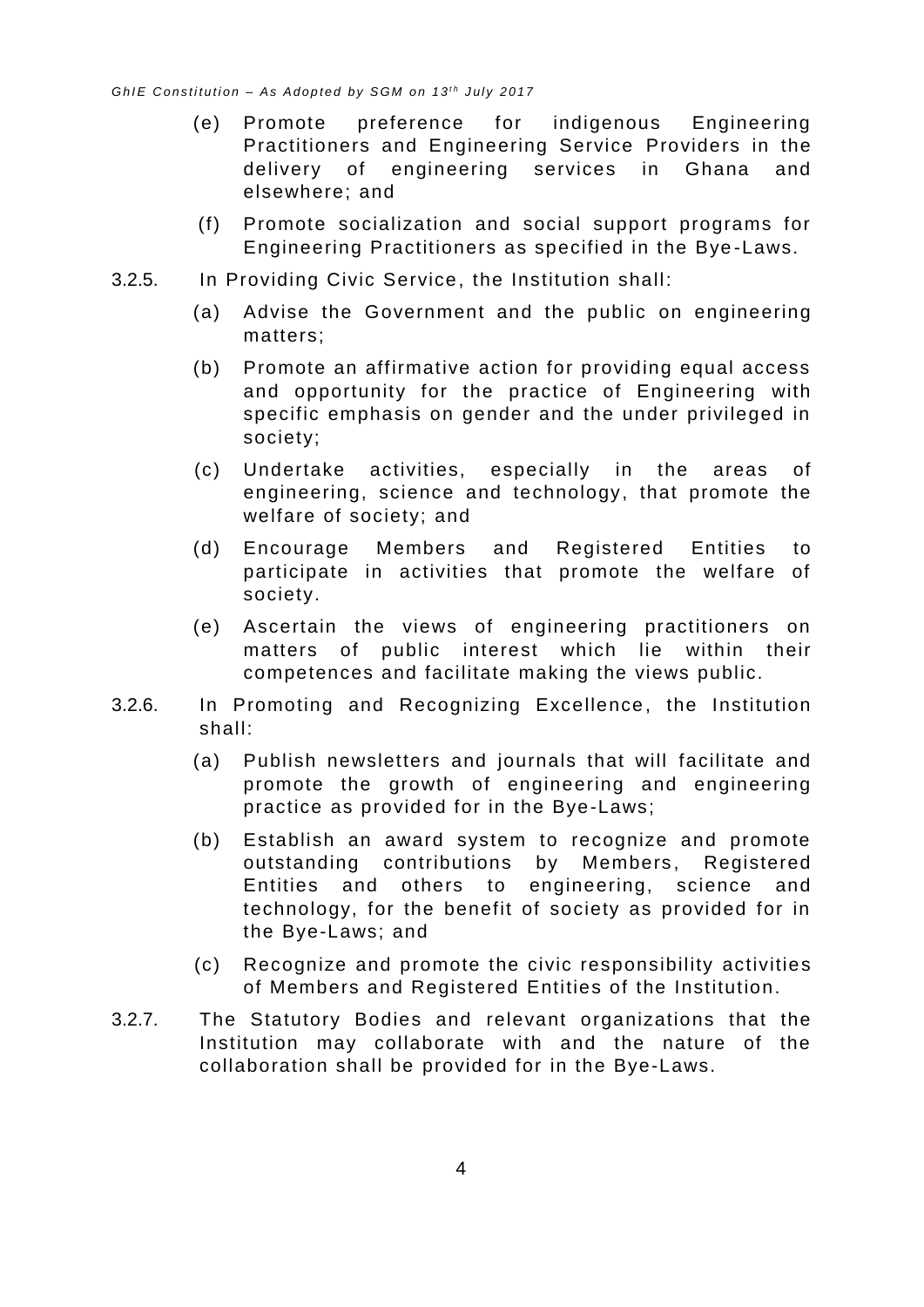- (e) Promote preference for indigenous Engineering Practitioners and Engineering Service Providers in the delivery of engineering services in Ghana and elsewhere; and
- (f) Promote socialization and social support programs for Engineering Practitioners as specified in the Bye -Laws.
- 3.2.5. In Providing Civic Service, the Institution shall:
	- (a) Advise the Government and the public on engineering matters;
	- (b) Promote an affirmative action for providing equal access and opportunity for the practice of Engineering with specific emphasis on gender and the under privileged in society;
	- (c) Undertake activities, especially in the areas of engineering, science and technology, that promote the welfare of society; and
	- (d) Encourage Members and Registered Entities to participate in activities that promote the welfare of society.
	- (e) Ascertain the views of engineering practitioners on matters of public interest which lie within their competences and facilitate making the views public.
- 3.2.6. In Promoting and Recognizing Excellence, the Institution shall:
	- (a) Publish newsletters and journals that will facilitate and promote the growth of engineering and engineering practice as provided for in the Bye-Laws;
	- (b) Establish an award system to recognize and promote outstanding contributions by Members, Registered Entities and others to engineering, science and technology, for the benefit of society as provided for in the Bye-Laws; and
	- (c) Recognize and promote the civic responsibility activities of Members and Registered Entities of the Institution.
- 3.2.7. The Statutory Bodies and relevant organizations that the Institution may collaborate with and the nature of the collaboration shall be provided for in the Bye-Laws.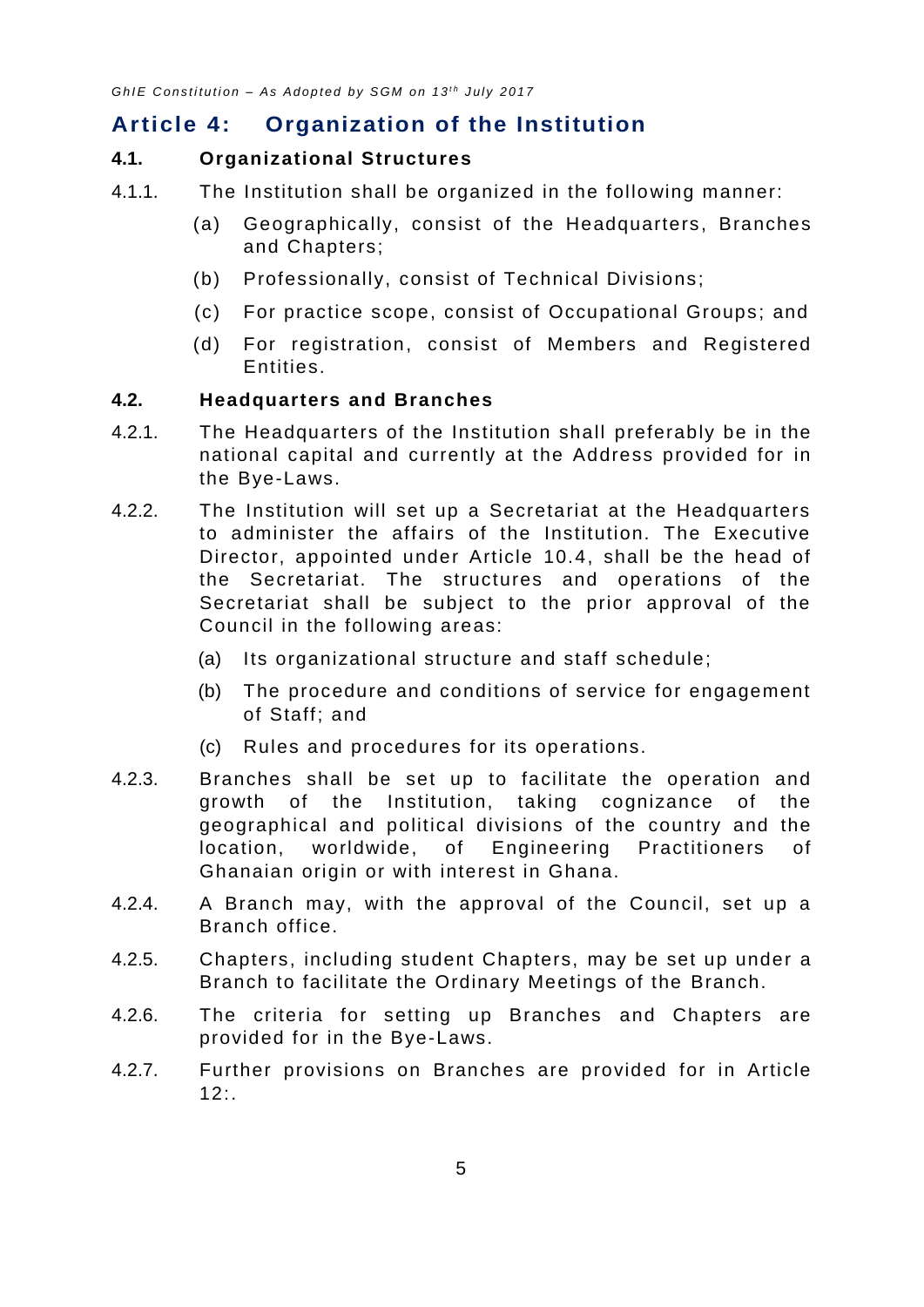# <span id="page-9-0"></span>**Article 4: Organization of the Institution**

#### <span id="page-9-1"></span>**4.1. Organizational Structures**

- 4.1.1. The Institution shall be organized in the following manner:
	- (a) Geographically, consist of the Headquarters, Branches and Chapters;
	- (b) Professionally, consist of Technical Divisions;
	- (c) For practice scope, consist of Occupational Groups; and
	- (d) For registration, consist of Members and Registered Entities.

#### <span id="page-9-2"></span>**4.2. Headquarters and Branches**

- 4.2.1. The Headquarters of the Institution shall preferably be in the national capital and currently at the Address provided for in the Bye-Laws.
- <span id="page-9-5"></span>4.2.2. The Institution will set up a Secretariat at the Headquarters to administer the affairs of the Institution. The Executive Director, appointed under Article [10.4,](#page-33-0) shall be the head of the Secretariat. The structures and operations of the Secretariat shall be subject to the prior approval of the Council in the following areas:
	- (a) Its organizational structure and staff schedule;
	- (b) The procedure and conditions of service for engagement of Staff; and
	- (c) Rules and procedures for its operations.
- <span id="page-9-3"></span>4.2.3. Branches shall be set up to facilitate the operation and growth of the Institution, taking cognizance of the geographical and political divisions of the country and the location, worldwide, of Engineering Practitioners of Ghanaian origin or with interest in Ghana.
- 4.2.4. A Branch may, with the approval of the Council, set up a Branch office.
- <span id="page-9-4"></span>4.2.5. Chapters, including student Chapters, may be set up under a Branch to facilitate the Ordinary Meetings of the Branch.
- 4.2.6. The criteria for setting up Branches and Chapters are provided for in the Bye-Laws.
- 4.2.7. Further provisions on Branches are provided for in [Article](#page-39-0)   $12:$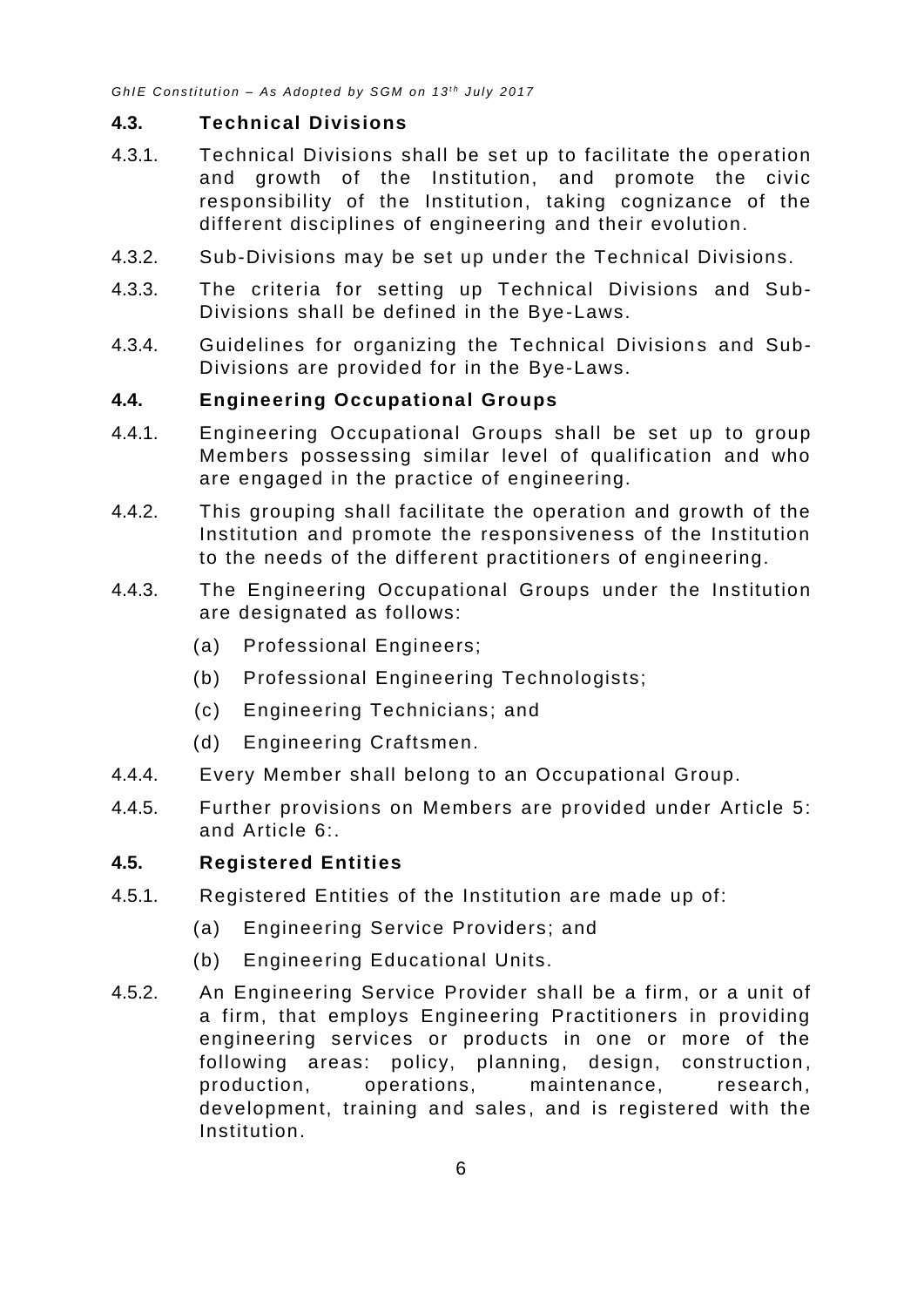#### <span id="page-10-0"></span>**4.3. Technical Divisions**

- 4.3.1. Technical Divisions shall be set up to facilitate the operation and growth of the Institution, and promote the civic responsibility of the Institution, taking cognizance of the different disciplines of engineering and their evolution.
- 4.3.2. Sub-Divisions may be set up under the Technical Divisions.
- 4.3.3. The criteria for setting up Technical Divisions and Sub-Divisions shall be defined in the Bye-Laws.
- 4.3.4. Guidelines for organizing the Technical Divisions and Sub-Divisions are provided for in the Bye-Laws.

#### <span id="page-10-1"></span>**4.4. Engineering Occupational Groups**

- 4.4.1. Engineering Occupational Groups shall be set up to group Members possessing similar level of qualification and who are engaged in the practice of engineering.
- 4.4.2. This grouping shall facilitate the operation and growth of the Institution and promote the responsiveness of the Institution to the needs of the different practitioners of engineering.
- 4.4.3. The Engineering Occupational Groups under the Institution are designated as follows:
	- (a) Professional Engineers;
	- (b) Professional Engineering Technologists;
	- (c) Engineering Technicians; and
	- (d) Engineering Craftsmen.
- 4.4.4. Every Member shall belong to an Occupational Group.
- 4.4.5. Further provisions on Members are provided under [Article 5:](#page-11-1) and [Article 6:.](#page-14-0)

#### <span id="page-10-2"></span>**4.5. Registered Entities**

- 4.5.1. Registered Entities of the Institution are made up of:
	- (a) Engineering Service Providers; and
	- (b) Engineering Educational Units.
- <span id="page-10-3"></span>4.5.2. An Engineering Service Provider shall be a firm, or a unit of a firm, that employs Engineering Practitioners in providing engineering services or products in one or more of the following areas: policy, planning, design, construction, production, operations, maintenance, research, development, training and sales, and is registered with the Institution.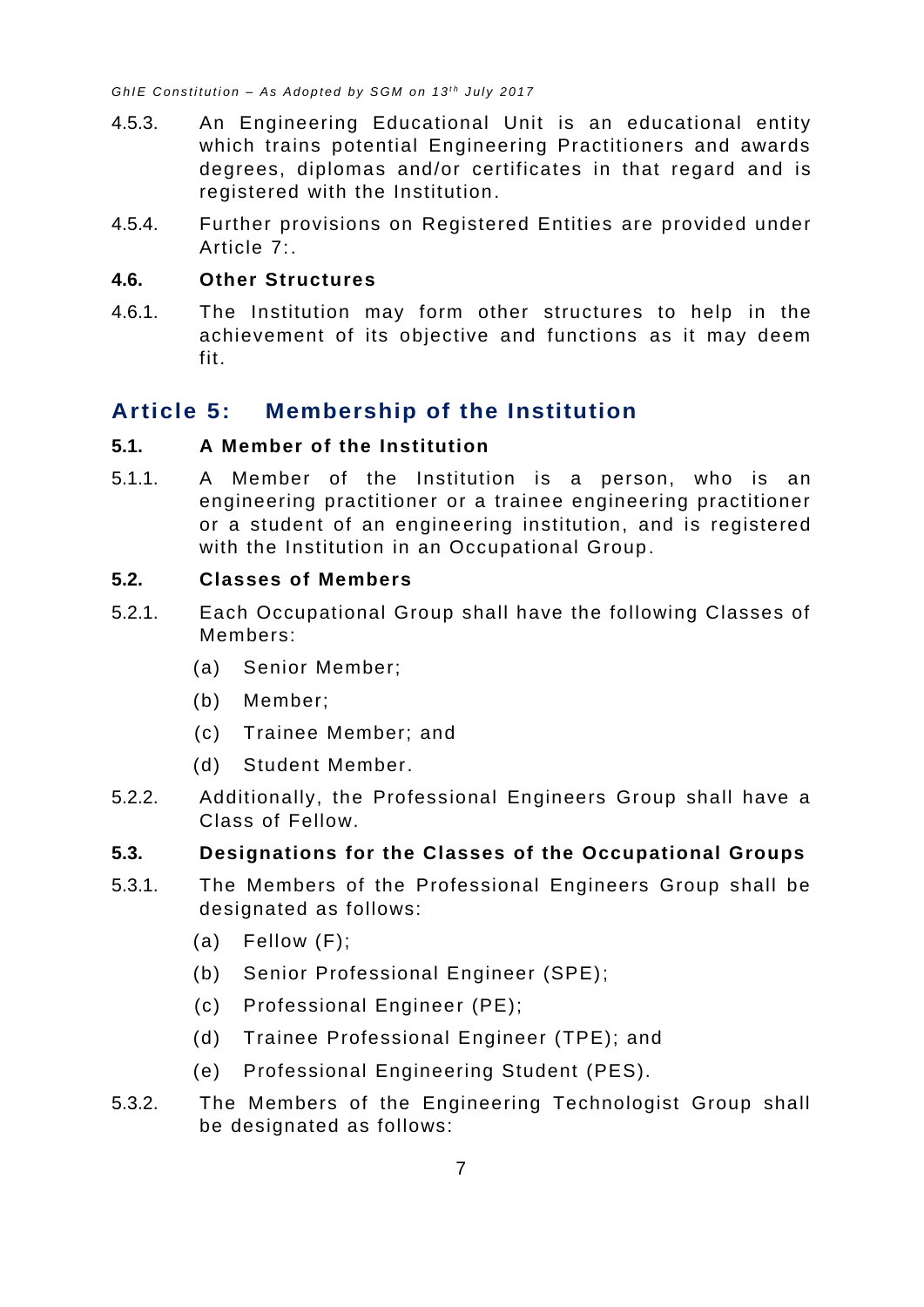- <span id="page-11-5"></span>4.5.3. An Engineering Educational Unit is an educational entity which trains potential Engineering Practitioners and awards degrees, diplomas and/or certificates in that regard and is registered with the Institution.
- 4.5.4. Further provisions on Registered Entities are provided under [Article 7:.](#page-25-1)

#### <span id="page-11-0"></span>**4.6. Other Structures**

4.6.1. The Institution may form other structures to help in the achievement of its objective and functions as it may deem fit.

# <span id="page-11-1"></span>**Article 5: Membership of the Institution**

#### <span id="page-11-2"></span>**5.1. A Member of the Institution**

5.1.1. A Member of the Institution is a person, who is an engineering practitioner or a trainee engineering practitioner or a student of an engineering institution, and is registered with the Institution in an Occupational Group.

#### <span id="page-11-3"></span>**5.2. Classes of Members**

- 5.2.1. Each Occupational Group shall have the following Classes of Members:
	- (a) Senior Member;
	- (b) Member;
	- (c) Trainee Member; and
	- (d) Student Member.
- 5.2.2. Additionally, the Professional Engineers Group shall have a Class of Fellow.

#### <span id="page-11-4"></span>**5.3. Designations for the Classes of the Occupational Groups**

- 5.3.1. The Members of the Professional Engineers Group shall be designated as follows:
	- (a) Fellow (F);
	- (b) Senior Professional Engineer (SPE);
	- (c) Professional Engineer (PE);
	- (d) Trainee Professional Engineer (TPE); and
	- (e) Professional Engineering Student (PES).
- 5.3.2. The Members of the Engineering Technologist Group shall be designated as follows: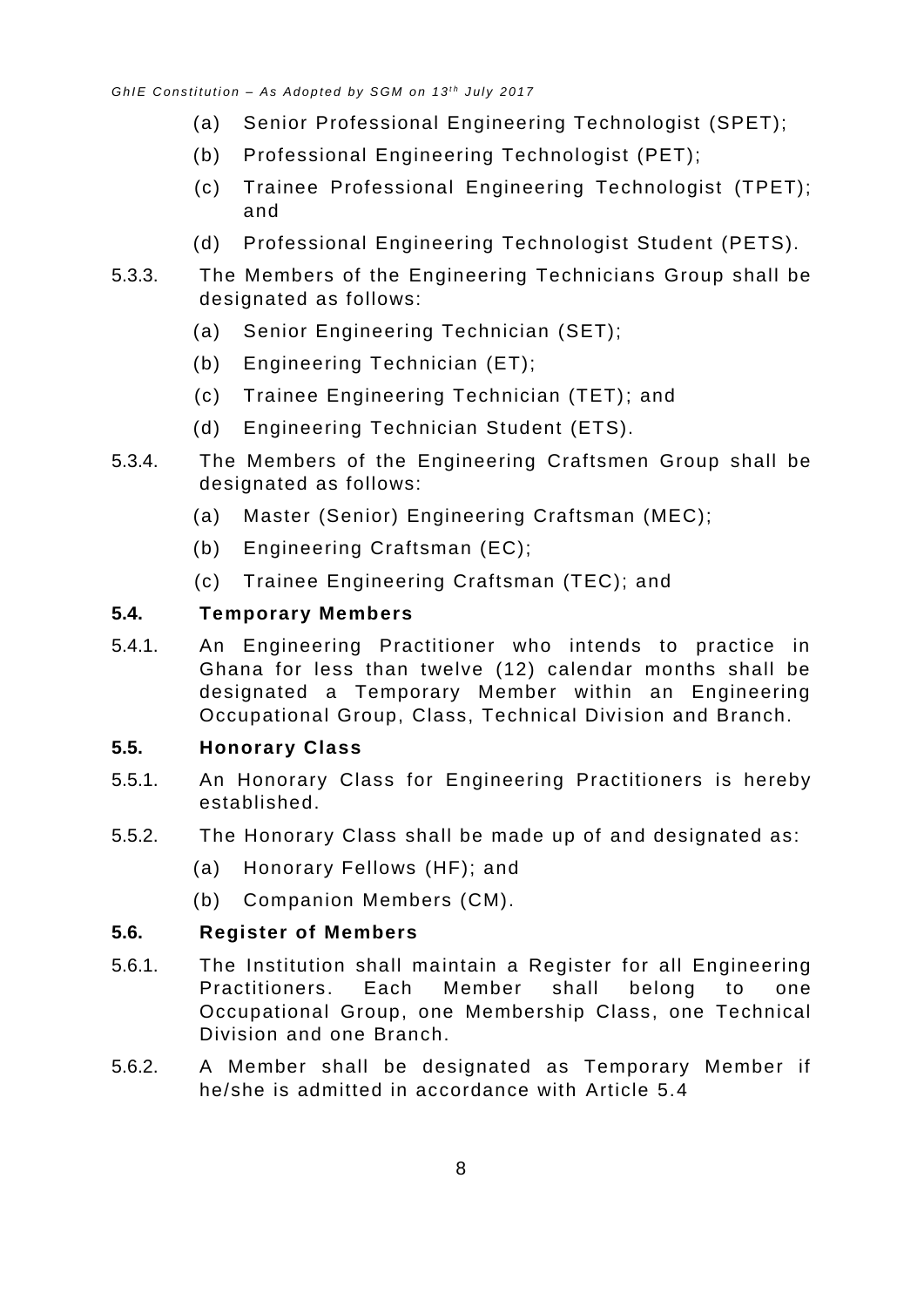- (a) Senior Professional Engineering Technologist (SPET);
- (b) Professional Engineering Technologist (PET);
- (c) Trainee Professional Engineering Technologist (TPET); and
- (d) Professional Engineering Technologist Student (PETS).
- 5.3.3. The Members of the Engineering Technicians Group shall be designated as follows:
	- (a) Senior Engineering Technician (SET);
	- (b) Engineering Technician (ET);
	- (c) Trainee Engineering Technician (TET); and
	- (d) Engineering Technician Student (ETS).
- 5.3.4. The Members of the Engineering Craftsmen Group shall be designated as follows:
	- (a) Master (Senior) Engineering Craftsman (MEC);
	- (b) Engineering Craftsman (EC);
	- (c) Trainee Engineering Craftsman (TEC); and

#### <span id="page-12-0"></span>**5.4. Temporary Members**

5.4.1. An Engineering Practitioner who intends to practice in Ghana for less than twelve (12) calendar months shall be designated a Temporary Member within an Engineering Occupational Group, Class, Technical Division and Branch.

#### <span id="page-12-1"></span>**5.5. Honorary Class**

- 5.5.1. An Honorary Class for Engineering Practitioners is hereby established.
- 5.5.2. The Honorary Class shall be made up of and designated as:
	- (a) Honorary Fellows (HF); and
	- (b) Companion Members (CM).

#### <span id="page-12-2"></span>**5.6. Register of Members**

- 5.6.1. The Institution shall maintain a Register for all Engineering Practitioners. Each Member shall belong to one Occupational Group, one Membership Class, one Technical Division and one Branch.
- 5.6.2. A Member shall be designated as Temporary Member if he/she is admitted in accordance with Article 5.4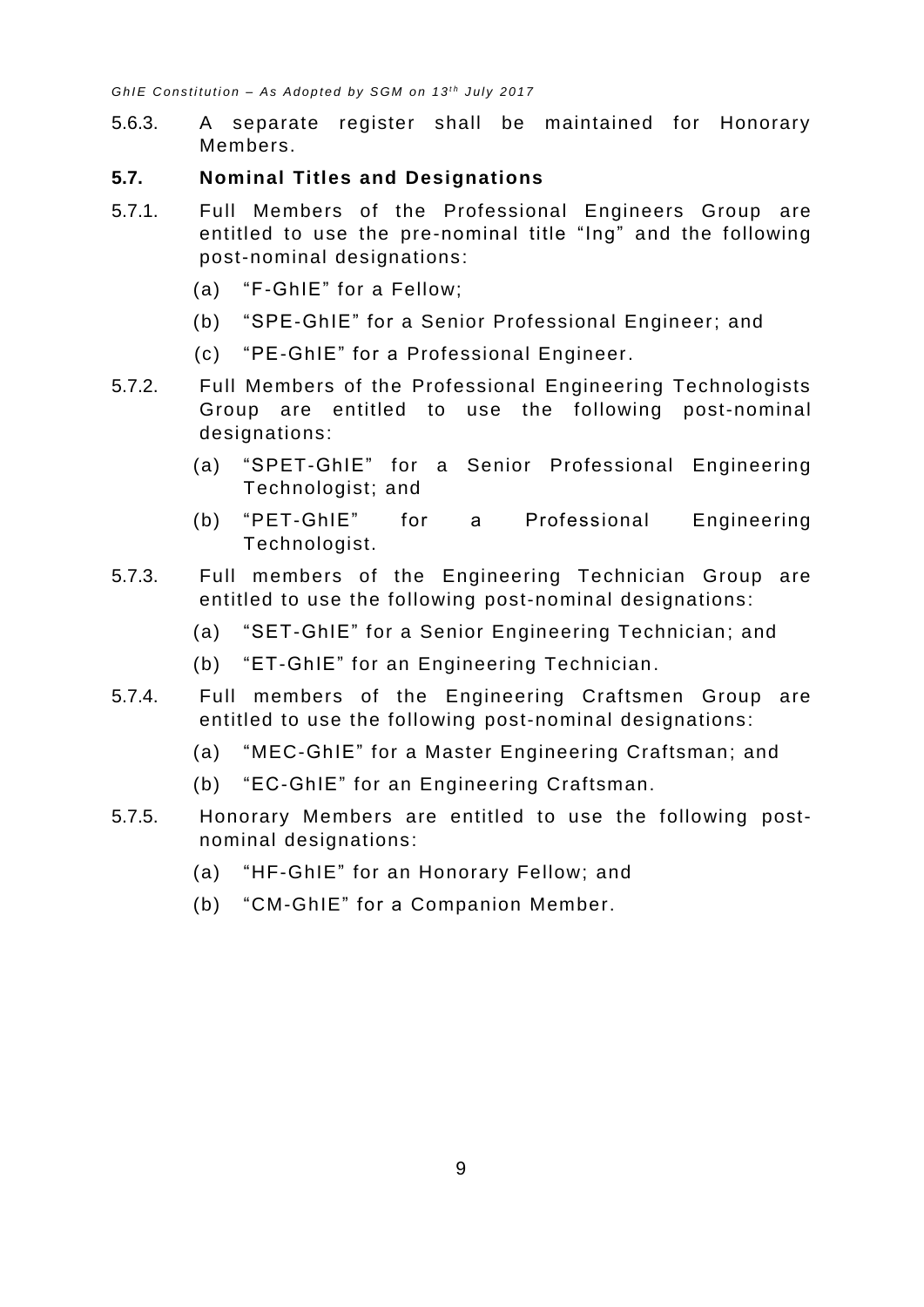- 5.6.3. A separate register shall be maintained for Honorary Members.
- <span id="page-13-0"></span>**5.7. Nominal Titles and Designations**
- 5.7.1. Full Members of the Professional Engineers Group are entitled to use the pre-nominal title "Ing" and the following post-nominal designations:
	- (a) "F-GhIE" for a Fellow;
	- (b) "SPE-GhIE" for a Senior Professional Engineer; and
	- (c) "PE-GhIE" for a Professional Engineer.
- 5.7.2. Full Members of the Professional Engineering Technologists Group are entitled to use the following post-nominal designations:
	- (a) "SPET-GhIE" for a Senior Professional Engineering Technologist; and
	- (b) "PET-GhIE" for a Professional Engineering Technologist.
- 5.7.3. Full members of the Engineering Technician Group are entitled to use the following post-nominal designations:
	- (a) "SET-GhIE" for a Senior Engineering Technician; and
	- (b) "ET-GhIE" for an Engineering Technician.
- 5.7.4. Full members of the Engineering Craftsmen Group are entitled to use the following post-nominal designations:
	- (a) "MEC-GhIE" for a Master Engineering Craftsman; and
	- (b) "EC-GhIE" for an Engineering Craftsman.
- 5.7.5. Honorary Members are entitled to use the following postnominal designations:
	- (a) "HF-GhIE" for an Honorary Fellow; and
	- (b) "CM-GhIE" for a Companion Member.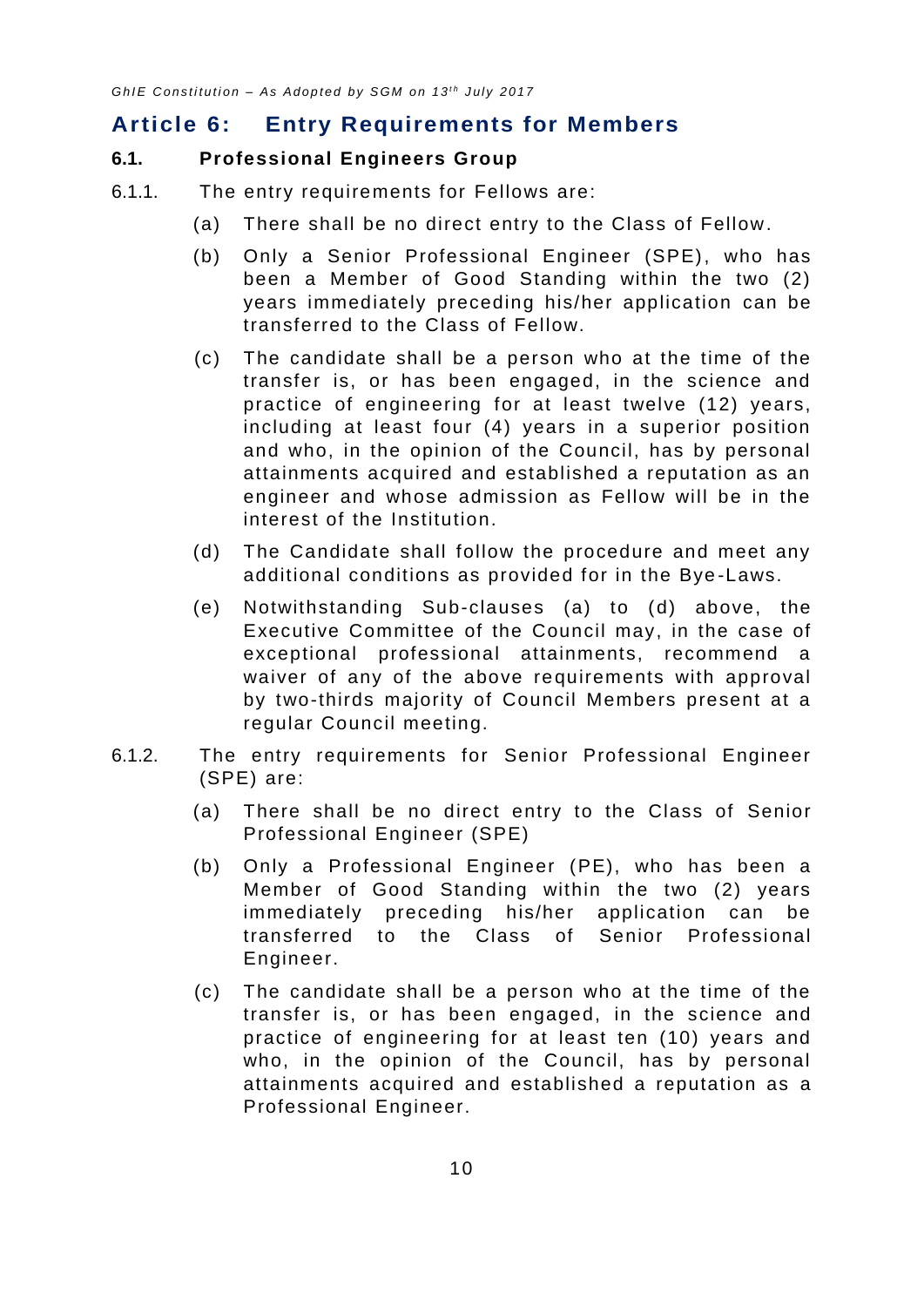# <span id="page-14-0"></span>**Article 6: Entry Requirements for Members**

#### <span id="page-14-1"></span>**6.1. Professional Engineers Group**

- 6.1.1. The entry requirements for Fellows are:
	- (a) There shall be no direct entry to the Class of Fellow.
	- (b) Only a Senior Professional Engineer (SPE), who has been a Member of Good Standing within the two (2) years immediately preceding his/her application can be transferred to the Class of Fellow.
	- (c) The candidate shall be a person who at the time of the transfer is, or has been engaged, in the science and practice of engineering for at least twelve (12) years, including at least four (4) years in a superior position and who, in the opinion of the Council, has by personal attainments acquired and established a reputation as an engineer and whose admission as Fellow will be in the interest of the Institution.
	- (d) The Candidate shall follow the procedure and meet any additional conditions as provided for in the Bye -Laws.
	- (e) Notwithstanding Sub-clauses (a) to (d) above, the Executive Committee of the Council may, in the case of exceptional professional attainments, recommend a waiver of any of the above requirements with approval by two-thirds majority of Council Members present at a regular Council meeting.
- 6.1.2. The entry requirements for Senior Professional Engineer (SPE) are:
	- (a) There shall be no direct entry to the Class of Senior Professional Engineer (SPE)
	- (b) Only a Professional Engineer (PE), who has been a Member of Good Standing within the two (2) years immediately preceding his/her application can be transferred to the Class of Senior Professional Engineer.
	- (c) The candidate shall be a person who at the time of the transfer is, or has been engaged, in the science and practice of engineering for at least ten (10) years and who, in the opinion of the Council, has by personal attainments acquired and established a reputation as a Professional Engineer.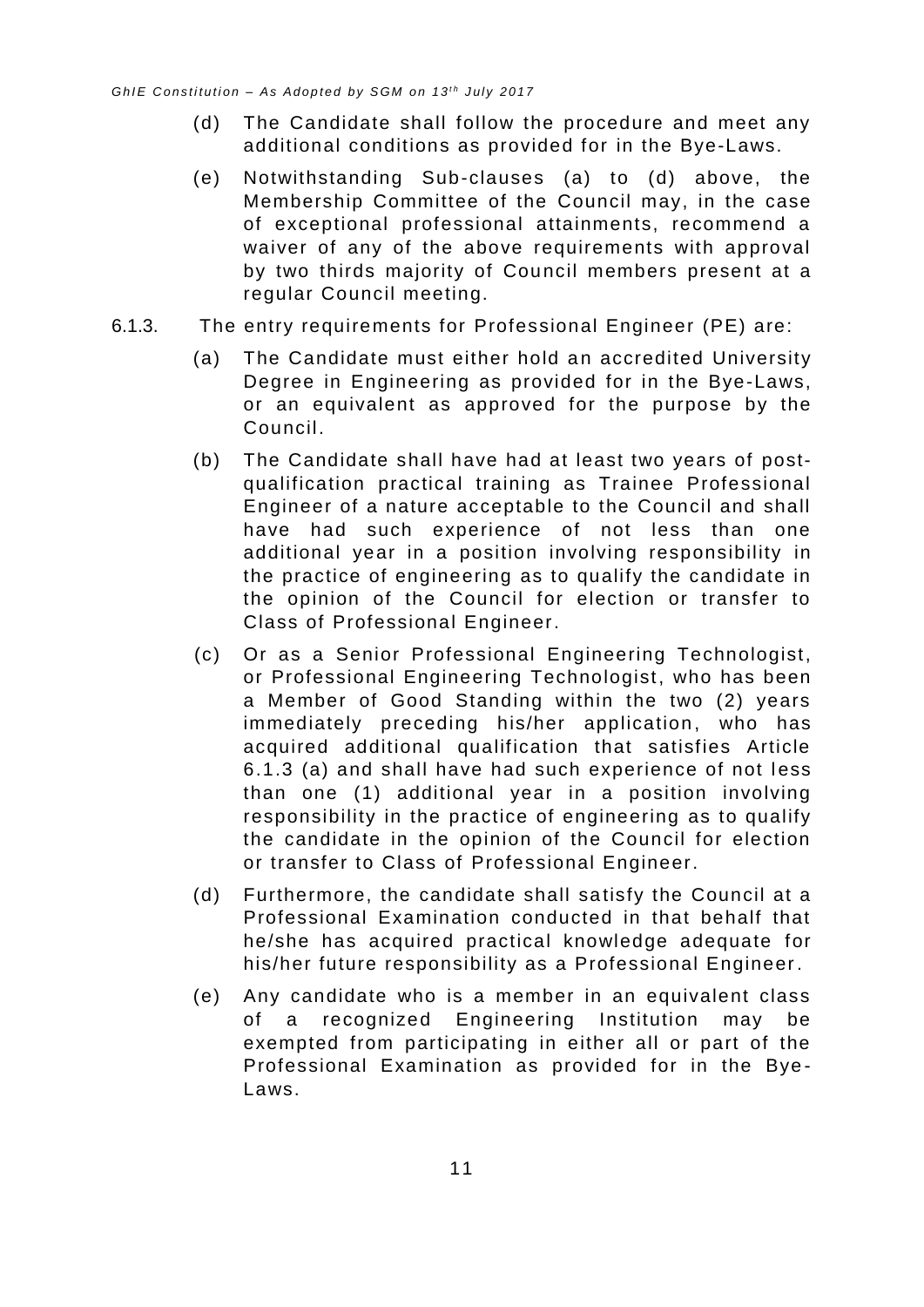- (d) The Candidate shall follow the procedure and meet any additional conditions as provided for in the Bye-Laws.
- (e) Notwithstanding Sub-clauses (a) to (d) above, the Membership Committee of the Council may, in the case of exceptional professional attainments, recommend a waiver of any of the above requirements with approval by two thirds majority of Council members present at a regular Council meeting.
- <span id="page-15-0"></span>6.1.3. The entry requirements for Professional Engineer (PE) are:
	- (a) The Candidate must either hold an accredited University Degree in Engineering as provided for in the Bye-Laws, or an equivalent as approved for the purpose by the Council.
	- (b) The Candidate shall have had at least two years of postqualification practical training as Trainee Professional Engineer of a nature acceptable to the Council and shall have had such experience of not less than one additional year in a position involving responsibility in the practice of engineering as to qualify the candidate in the opinion of the Council for election or transfer to Class of Professional Engineer.
	- (c) Or as a Senior Professional Engineering Technologist, or Professional Engineering Technologist, who has been a Member of Good Standing within the two (2) years immediately preceding his/her application, who has acquired additional qualification that satisfies Article 6.1.3 (a) and shall have had such experience of not less than one (1) additional year in a position involving responsibility in the practice of engineering as to qualify the candidate in the opinion of the Council for election or transfer to Class of Professional Engineer.
	- (d) Furthermore, the candidate shall satisfy the Council at a Professional Examination conducted in that behalf that he/she has acquired practical knowledge adequate for his/her future responsibility as a Professional Engineer.
	- (e) Any candidate who is a member in an equivalent class of a recognized Engineering Institution may be exempted from participating in either all or part of the Professional Examination as provided for in the Bye - Laws.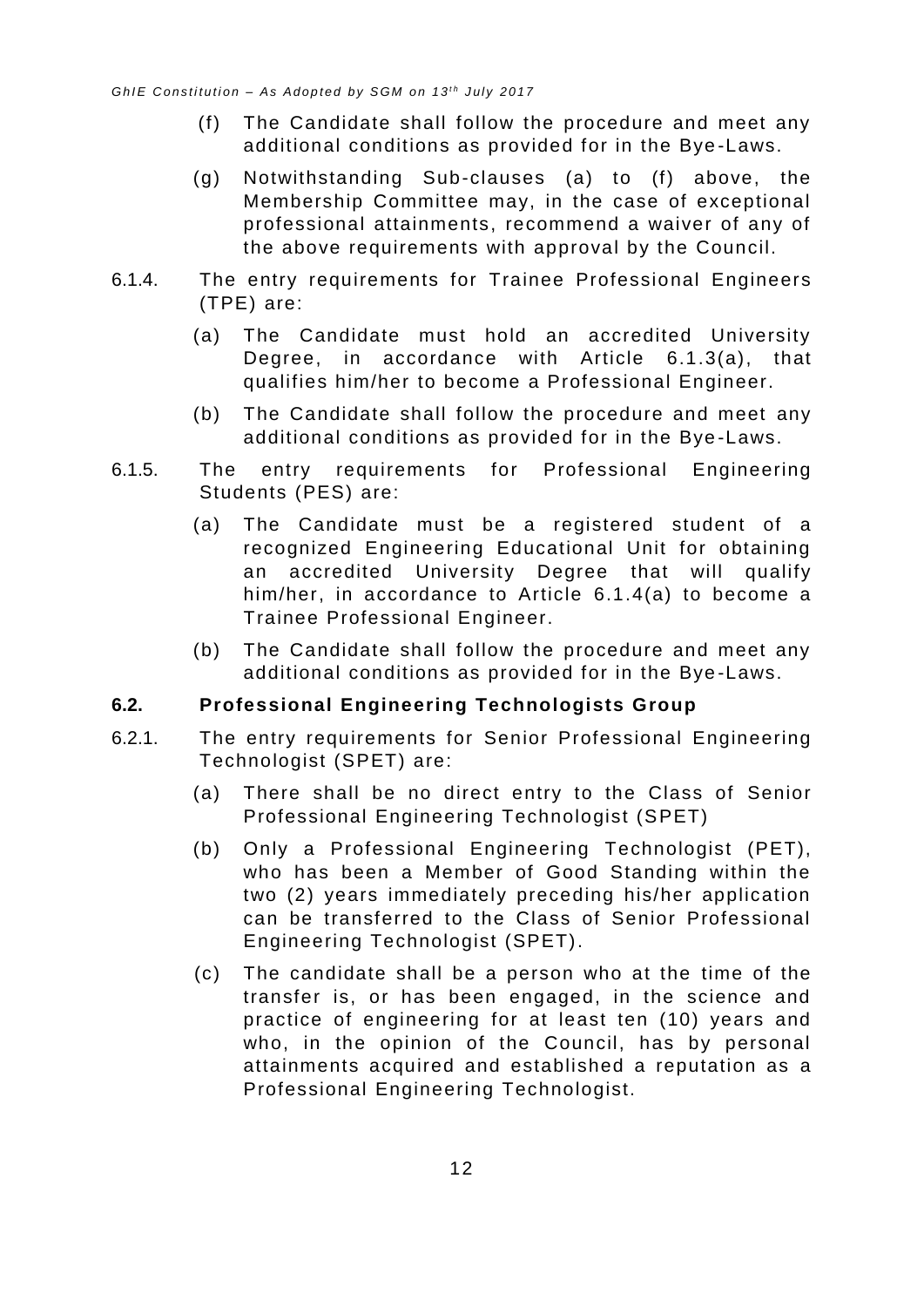- (f) The Candidate shall follow the procedure and meet any additional conditions as provided for in the Bye -Laws.
- (g) Notwithstanding Sub-clauses (a) to (f) above, the Membership Committee may, in the case of exceptional professional attainments, recommend a waiver of any of the above requirements with approval by the Council.
- <span id="page-16-1"></span>6.1.4. The entry requirements for Trainee Professional Engineers (TPE) are:
	- (a) The Candidate must hold an accredited University Degree, in accordance with Article [6.1.3\(a\),](#page-15-0) that qualifies him/her to become a Professional Engineer.
	- (b) The Candidate shall follow the procedure and meet any additional conditions as provided for in the Bye -Laws.
- 6.1.5. The entry requirements for Professional Engineering Students (PES) are:
	- (a) The Candidate must be a registered student of a recognized Engineering Educational Unit for obtaining an accredited University Degree that will qualify him/her, in accordance to Article [6.1.4\(a\)](#page-16-1) to become a Trainee Professional Engineer.
	- (b) The Candidate shall follow the procedure and meet any additional conditions as provided for in the Bye -Laws.

#### <span id="page-16-0"></span>**6.2. Professional Engineering Technologists Group**

- 6.2.1. The entry requirements for Senior Professional Engineering Technologist (SPET) are:
	- (a) There shall be no direct entry to the Class of Senior Professional Engineering Technologist (SPET)
	- (b) Only a Professional Engineering Technologist (PET), who has been a Member of Good Standing within the two (2) years immediately preceding his/her application can be transferred to the Class of Senior Professional Engineering Technologist (SPET).
	- (c) The candidate shall be a person who at the time of the transfer is, or has been engaged, in the science and practice of engineering for at least ten (10) years and who, in the opinion of the Council, has by personal attainments acquired and established a reputation as a Professional Engineering Technologist.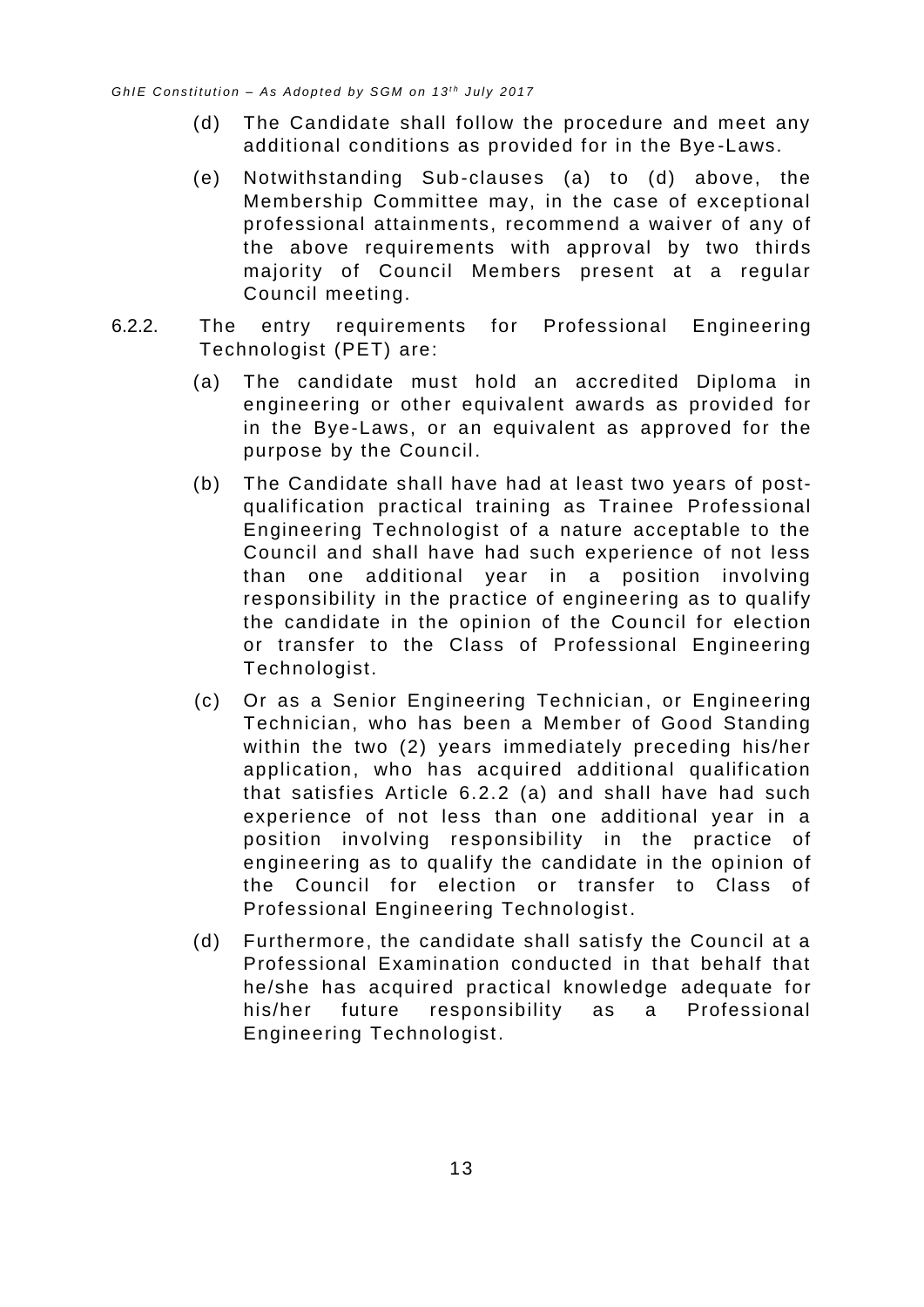- (d) The Candidate shall follow the procedure and meet any additional conditions as provided for in the Bye -Laws.
- (e) Notwithstanding Sub-clauses (a) to (d) above, the Membership Committee may, in the case of exceptional professional attainments, recomme nd a waiver of any of the above requirements with approval by two thirds majority of Council Members present at a regular Council meeting.
- <span id="page-17-0"></span>6.2.2. The entry requirements for Professional Engineering Technologist (PET) are:
	- (a) The candidate must hold an accredited Diploma in engineering or other equivalent awards as provided for in the Bye-Laws, or an equivalent as approved for the purpose by the Council.
	- (b) The Candidate shall have had at least two years of postqualification practical training as Trainee Professional Engineering Technologist of a nature acceptable to the Council and shall have had such experience of not less than one additional year in a position involving responsibility in the practice of engineering as to qualify the candidate in the opinion of the Council for election or transfer to the Class of Professional Engineering Technologist.
	- (c) Or as a Senior Engineering Technician, or Engineering Technician, who has been a Member of Good Standing within the two (2) years immediately preceding his/her application, who has acquired additional qualification that satisfies Article 6.2.2 (a) and shall have had such experience of not less than one additional year in a position involving responsibility in the practice of engineering as to qualify the candidate in the opinion of the Council for election or transfer to Class of Professional Engineering Technologist .
	- (d) Furthermore, the candidate shall satisfy the Council at a Professional Examination conducted in that behalf that he/she has acquired practical knowledge adequate for his/her future responsibility as a Professional Engineering Technologist.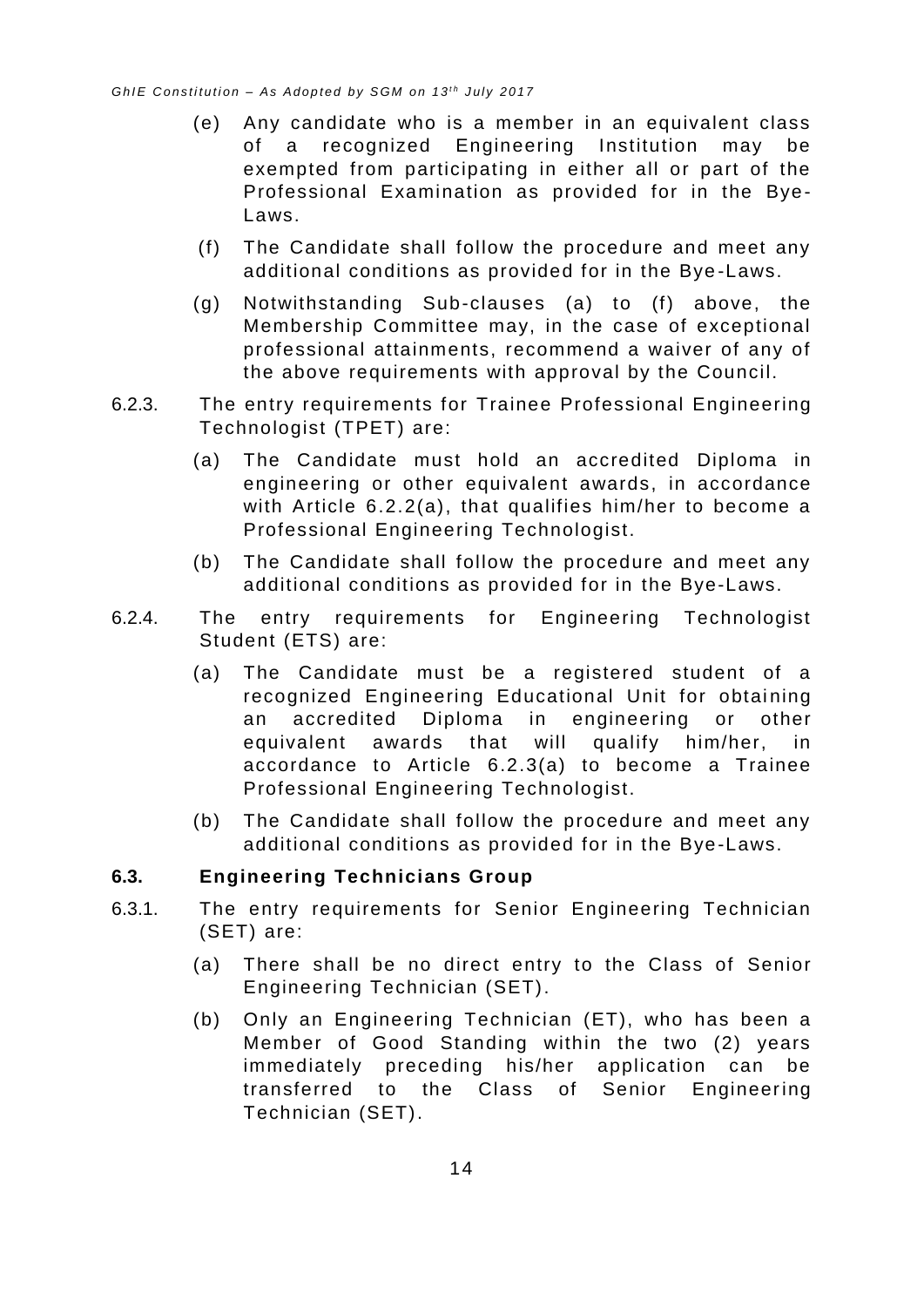- (e) Any candidate who is a member in an equivalent class of a recognized Engineering Institution may be exempted from participating in either all or part of the Professional Examination as provided for in the Bye - Laws.
- (f) The Candidate shall follow the procedure and meet any additional conditions as provided for in the Bye -Laws.
- (g) Notwithstanding Sub-clauses (a) to (f) above, the Membership Committee may, in the case of exceptional professional attainments, recommend a waiver of any of the above requirements with approval by the Council.
- <span id="page-18-1"></span>6.2.3. The entry requirements for Trainee Professional Engineering Technologist (TPET) are:
	- (a) The Candidate must hold an accredited Diploma in engineering or other equivalent awards, in accordance with Article [6.2.2\(a\),](#page-17-0) that qualifies him/her to become a Professional Engineering Technologist.
	- (b) The Candidate shall follow the procedure and meet any additional conditions as provided for in the Bye-Laws.
- 6.2.4. The entry requirements for Engineering Technologist Student (ETS) are:
	- (a) The Candidate must be a registered student of a recognized Engineering Educational Unit for obtaining an accredited Diploma in engineering or other equivalent awards that will qualify him/her, in accordance to Article [6.2.3\(a\)](#page-18-1) to become a Trainee Professional Engineering Technologist.
	- (b) The Candidate shall follow the procedure and meet any additional conditions as provided for in the Bye-Laws.

#### <span id="page-18-0"></span>**6.3. Engineering Technicians Group**

- 6.3.1. The entry requirements for Senior Engineering Technician (SET) are:
	- (a) There shall be no direct entry to the Class of Senior Engineering Technician (SET).
	- (b) Only an Engineering Technician (ET), who has been a Member of Good Standing within the two (2) years immediately preceding his/her application can be transferred to the Class of Senior Engineering Technician (SET).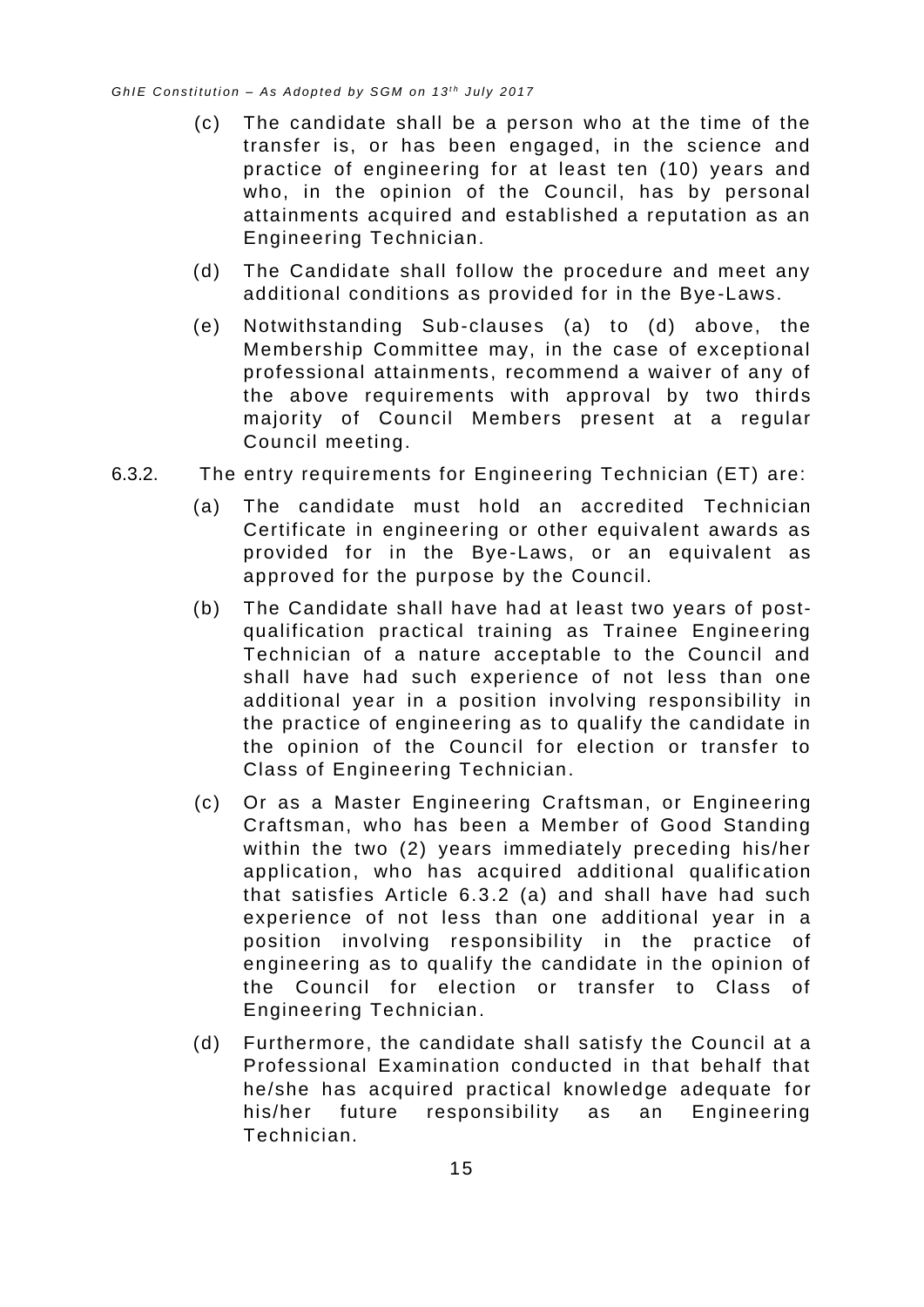- (c) The candidate shall be a person who at the time of the transfer is, or has been engaged, in the science and practice of engineering for at least ten (10) years and who, in the opinion of the Council, has by personal attainments acquired and established a reputation as an Engineering Technician.
- (d) The Candidate shall follow the procedure and meet any additional conditions as provided for in the Bye-Laws.
- (e) Notwithstanding Sub-clauses (a) to (d) above, the Membership Committee may, in the case of exceptional professional attainments, recommend a waiver of any of the above requirements with approval by two thirds majority of Council Members present at a regular Council meeting.
- <span id="page-19-0"></span>6.3.2. The entry requirements for Engineering Technician (ET) are:
	- (a) The candidate must hold an accredited Technician Certificate in engineering or other equivalent awards as provided for in the Bye-Laws, or an equivalent as approved for the purpose by the Council.
	- (b) The Candidate shall have had at least two years of postqualification practical training as Trainee Engineering Technician of a nature acceptable to the Council and shall have had such experience of not less than one additional year in a position involving responsibility in the practice of engineering as to qualify the candidate in the opinion of the Council for election or transfer to Class of Engineering Technician.
	- (c) Or as a Master Engineering Craftsman, or Engineering Craftsman, who has been a Member of Good Standing within the two (2) years immediately preceding his/her application, who has acquired additional qualific ation that satisfies Article 6.3.2 (a) and shall have had such experience of not less than one additional year in a position involving responsibility in the practice of engineering as to qualify the candidate in the opinion of the Council for election or transfer to Class of Engineering Technician.
	- (d) Furthermore, the candidate shall satisfy the Council at a Professional Examination conducted in that behalf that he/she has acquired practical knowledge adequate for his/her future responsibility as an Engineering Technician.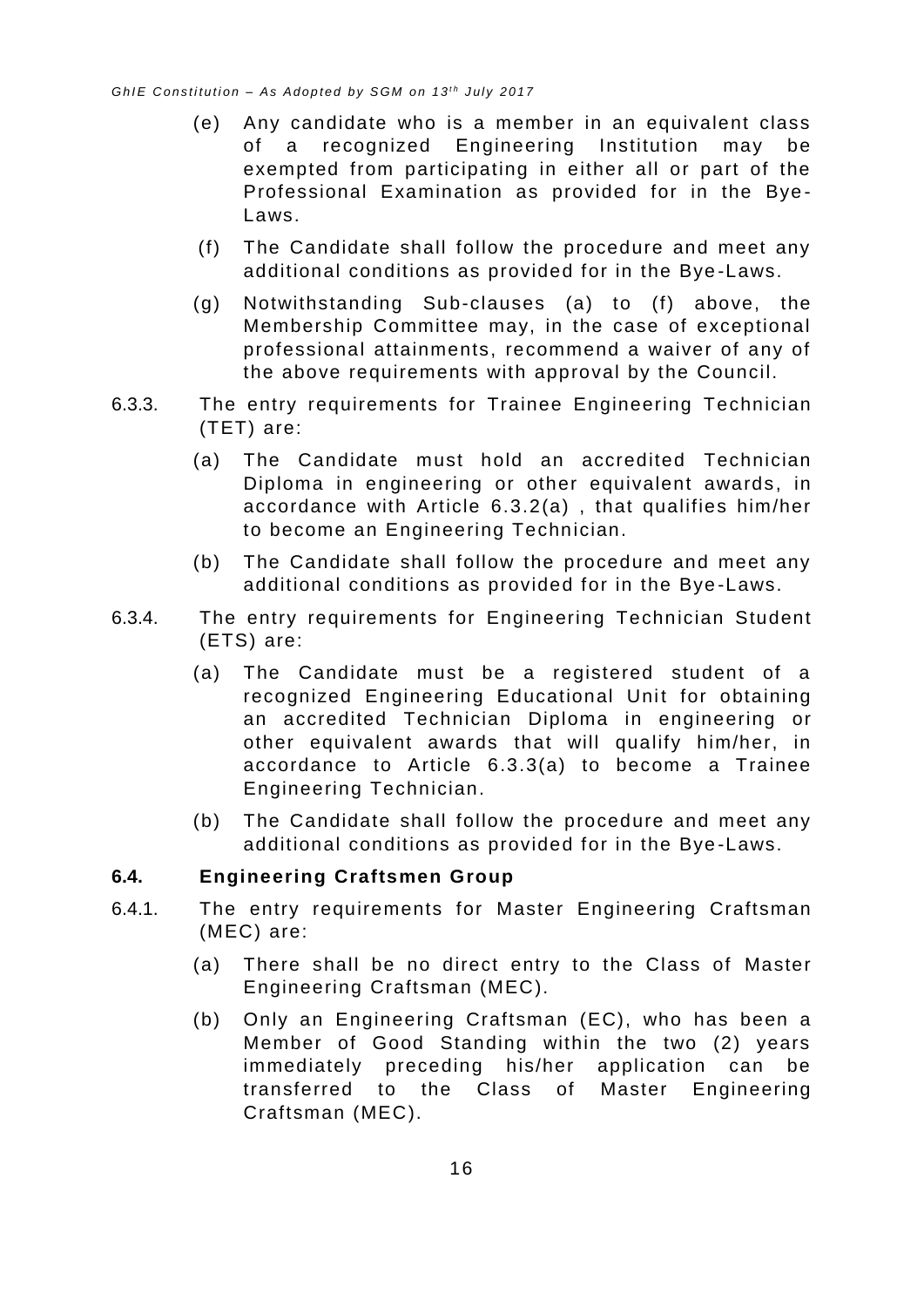- (e) Any candidate who is a member in an equivalent class of a recognized Engineering Institution may be exempted from participating in either all or part of the Professional Examination as provided for in the Bye - Laws.
- (f) The Candidate shall follow the procedure and meet any additional conditions as provided for in the Bye -Laws.
- (g) Notwithstanding Sub-clauses (a) to (f) above, the Membership Committee may, in the case of exceptional professional attainments, recommend a waiver of any of the above requirements with approval by the Council.
- <span id="page-20-1"></span>6.3.3. The entry requirements for Trainee Engineering Technician (TET) are:
	- (a) The Candidate must hold an accredited Technician Diploma in engineering or other equivalent awards, in accordance with Article [6.3.2\(a\)](#page-19-0) , that qualifies him/her to become an Engineering Technician.
	- (b) The Candidate shall follow the procedure and meet any additional conditions as provided for in the Bye -Laws.
- 6.3.4. The entry requirements for Engineering Technician Student (ETS) are:
	- (a) The Candidate must be a registered student of a recognized Engineering Educational Unit for obtaining an accredited Technician Diploma in engineering or other equivalent awards that will qualify him/her, in accordance to Article [6.3.3\(a\)](#page-20-1) to become a Trainee Engineering Technician.
	- (b) The Candidate shall follow the procedure and meet any additional conditions as provided for in the Bye -Laws.

#### <span id="page-20-0"></span>**6.4. Engineering Craftsmen Group**

- 6.4.1. The entry requirements for Master Engineering Craftsman (MEC) are:
	- (a) There shall be no direct entry to the Class of Master Engineering Craftsman (MEC).
	- (b) Only an Engineering Craftsman (EC), who has been a Member of Good Standing within the two (2) years immediately preceding his/her application can be transferred to the Class of Master Engineering Craftsman (MEC).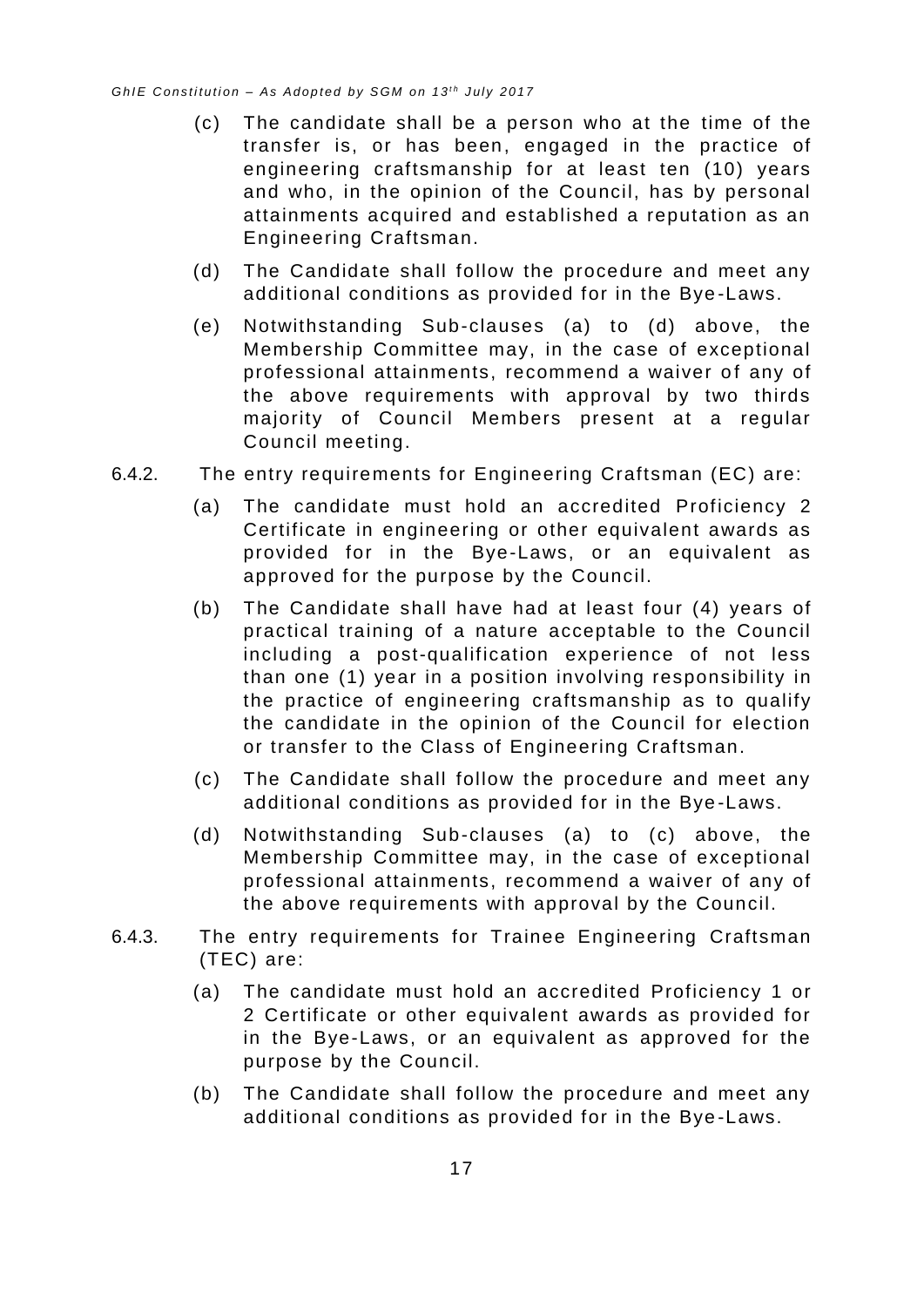- (c) The candidate shall be a person who at the time of the transfer is, or has been, engaged in the practice of engineering craftsmanship for at least ten (10) years and who, in the opinion of the Council, has by personal attainments acquired and established a reputation as an Engineering Craftsman.
- (d) The Candidate shall follow the procedure and meet any additional conditions as provided for in the Bye -Laws.
- (e) Notwithstanding Sub-clauses (a) to (d) above, the Membership Committee may, in the case of exceptional professional attainments, recommend a waiver of any of the above requirements with approval by two thirds majority of Council Members present at a regular Council meeting.
- 6.4.2. The entry requirements for Engineering Craftsman (EC) are:
	- (a) The candidate must hold an accredited Proficiency 2 Certificate in engineering or other equivalent awards as provided for in the Bye-Laws, or an equivalent as approved for the purpose by the Council.
	- (b) The Candidate shall have had at least four (4) years of practical training of a nature acceptable to the Council including a post-qualification experience of not less than one (1) year in a position involving responsibility in the practice of engineering craftsmanship as to qualify the candidate in the opinion of the Council for election or transfer to the Class of Engineering Craftsman.
	- (c) The Candidate shall follow the procedure and meet any additional conditions as provided for in the Bye -Laws.
	- (d) Notwithstanding Sub-clauses (a) to (c) above, the Membership Committee may, in the case of exceptional professional attainments, recommend a waiver of any of the above requirements with approval by the Council.
- 6.4.3. The entry requirements for Trainee Engineering Craftsman (TEC) are:
	- (a) The candidate must hold an accredited Proficiency 1 or 2 Certificate or other equivalent awards as provided for in the Bye-Laws, or an equivalent as approved for the purpose by the Council.
	- (b) The Candidate shall follow the procedure and meet any additional conditions as provided for in the Bye -Laws.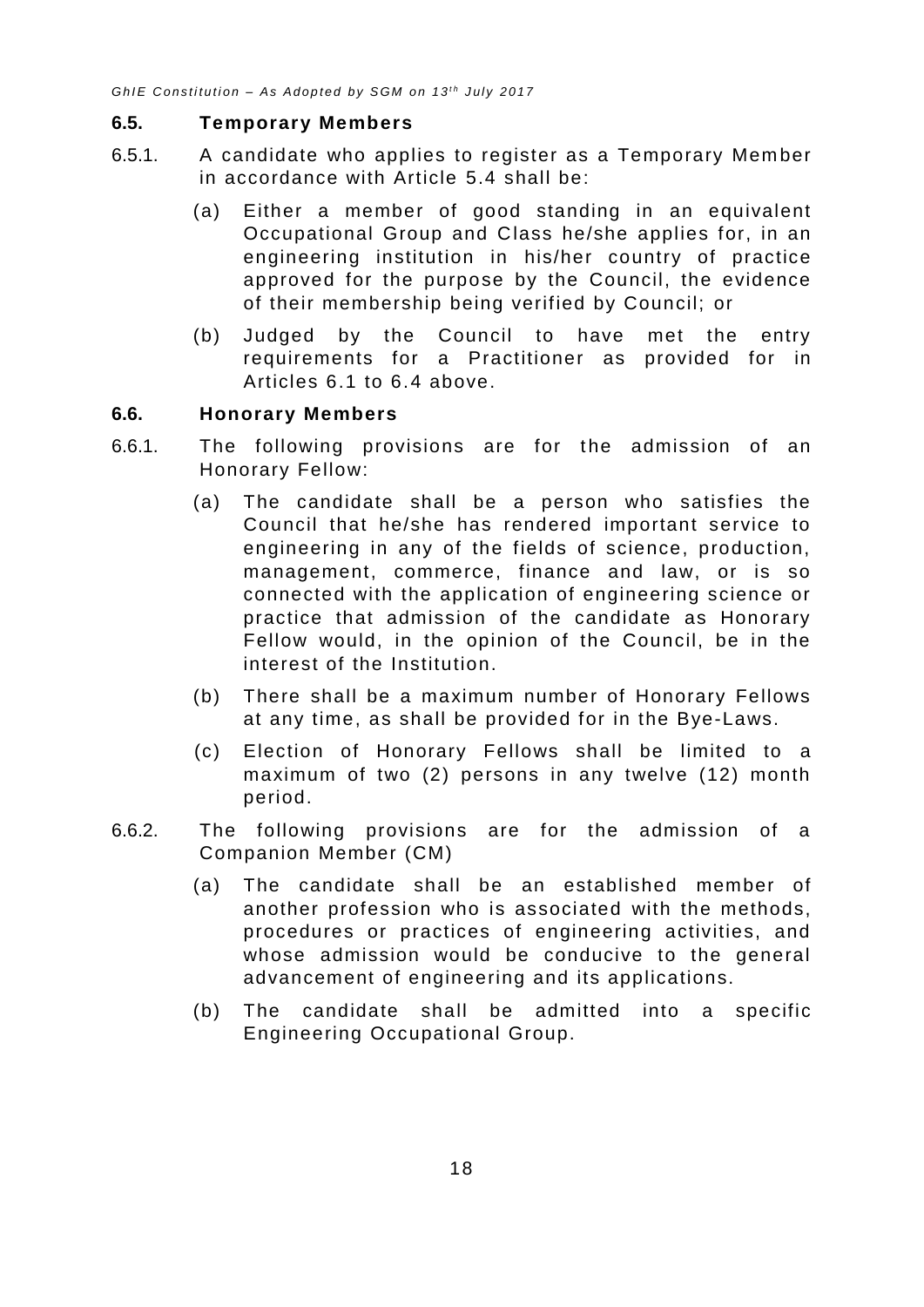#### <span id="page-22-0"></span>**6.5. Temporary Members**

- 6.5.1. A candidate who applies to register as a Temporary Mem ber in accordance with Article [5.4](#page-12-0) shall be:
	- (a) Either a member of good standing in an equivalent Occupational Group and Class he/she applies for, in an engineering institution in his/her country of practice approved for the purpose by the Council, the evidence of their membership being verified by Council; or
	- (b) Judged by the Council to have met the entry requirements for a Practitioner as provided for in Articles 6.1 to 6.4 above.

#### <span id="page-22-1"></span>**6.6. Honorary Members**

- 6.6.1. The following provisions are for the admission of an Honorary Fellow:
	- (a) The candidate shall be a person who satisfies the Council that he/she has rendered important service to engineering in any of the fields of science, production, management, commerce, finance and law, or is so connected with the application of engineering science or practice that admission of the candidate as Honorary Fellow would, in the opinion of the Council, be in the interest of the Institution.
	- (b) There shall be a maximum number of Honorary Fellows at any time, as shall be provided for in the Bye-Laws.
	- (c) Election of Honorary Fellows shall be limited to a maximum of two (2) persons in any twelve (12) month period.
- 6.6.2. The following provisions are for the admission of a Companion Member (CM)
	- (a) The candidate shall be an established member of another profession who is associated with the methods, procedures or practices of engineering activities, and whose admission would be conducive to the general advancement of engineering and its applications.
	- (b) The candidate shall be admitted into a specific Engineering Occupational Group.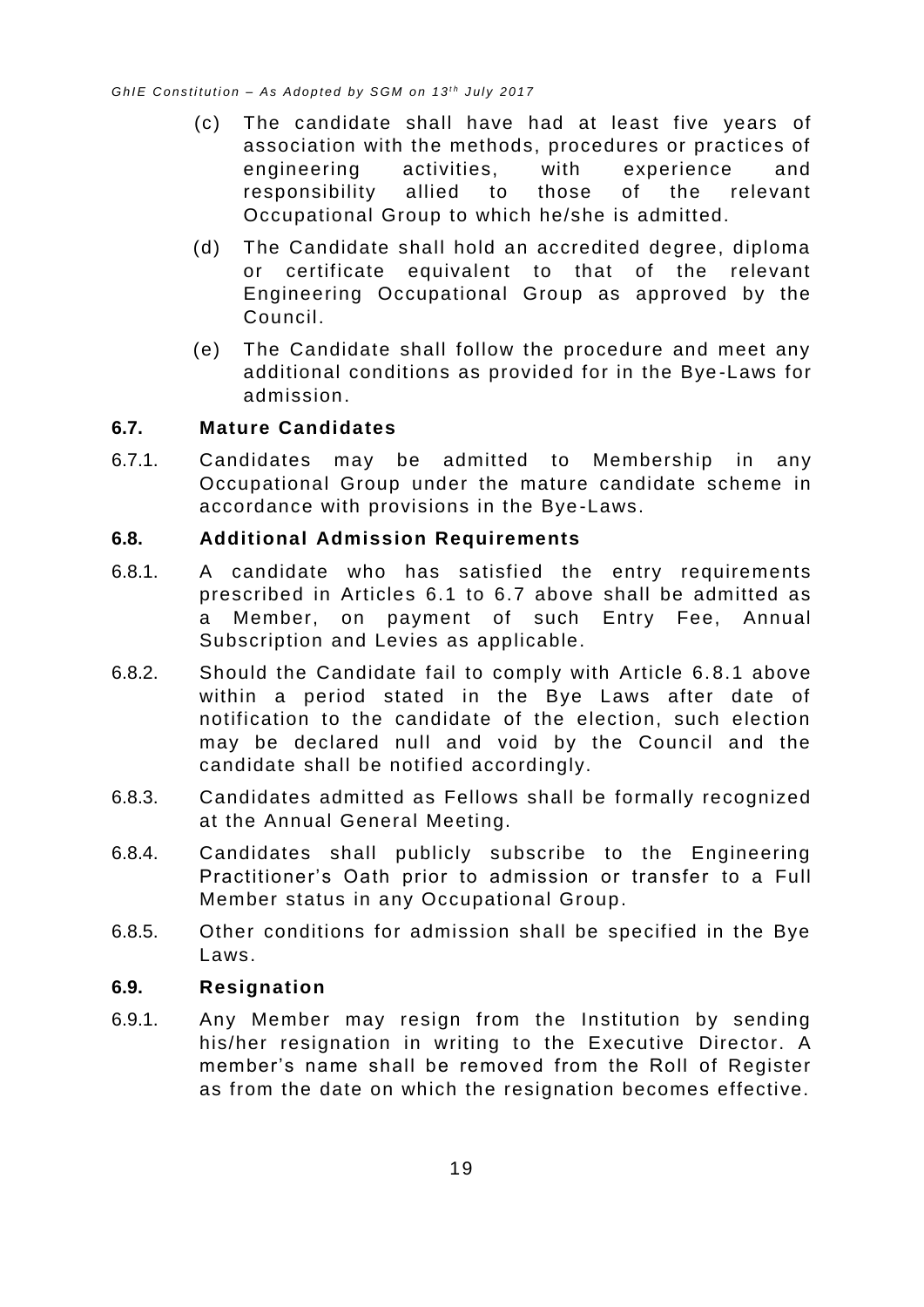- (c) The candidate shall have had at least five years of association with the methods, procedures or practices of engineering activities, with experience and responsibility allied to those of the relevant Occupational Group to which he/she is admitted.
- (d) The Candidate shall hold an accredited degree, diploma or certificate equivalent to that of the relevant Engineering Occupational Group as approved by the Council.
- (e) The Candidate shall follow the procedure and meet any additional conditions as provided for in the Bye -Laws for admission.

#### <span id="page-23-0"></span>**6.7. Mature Candidates**

6.7.1. Candidates may be admitted to Membership in any Occupational Group under the mature candidate scheme in accordance with provisions in the Bye -Laws.

#### <span id="page-23-1"></span>**6.8. Additional Admission Requirements**

- 6.8.1. A candidate who has satisfied the entry requirements prescribed in Articles [6.1](#page-14-1) to [6.7](#page-23-0) above shall be admitted as a Member, on payment of such Entry Fee, Annual Subscription and Levies as applicable.
- 6.8.2. Should the Candidate fail to comply with Article 6. 8.1 above within a period stated in the Bye Laws after date of notification to the candidate of the election, such election may be declared null and void by the Council and the candidate shall be notified accordingly.
- 6.8.3. Candidates admitted as Fellows shall be formally recognized at the Annual General Meeting.
- 6.8.4. Candidates shall publicly subscribe to the Engineering Practitioner's Oath prior to admission or transfer to a Full Member status in any Occupational Group.
- 6.8.5. Other conditions for admission shall be specified in the Bye Laws.

#### <span id="page-23-2"></span>**6.9. Resignation**

6.9.1. Any Member may resign from the Institution by sending his/her resignation in writing to the Executive Director. A member's name shall be removed from the Roll of Register as from the date on which the resignation becomes effective.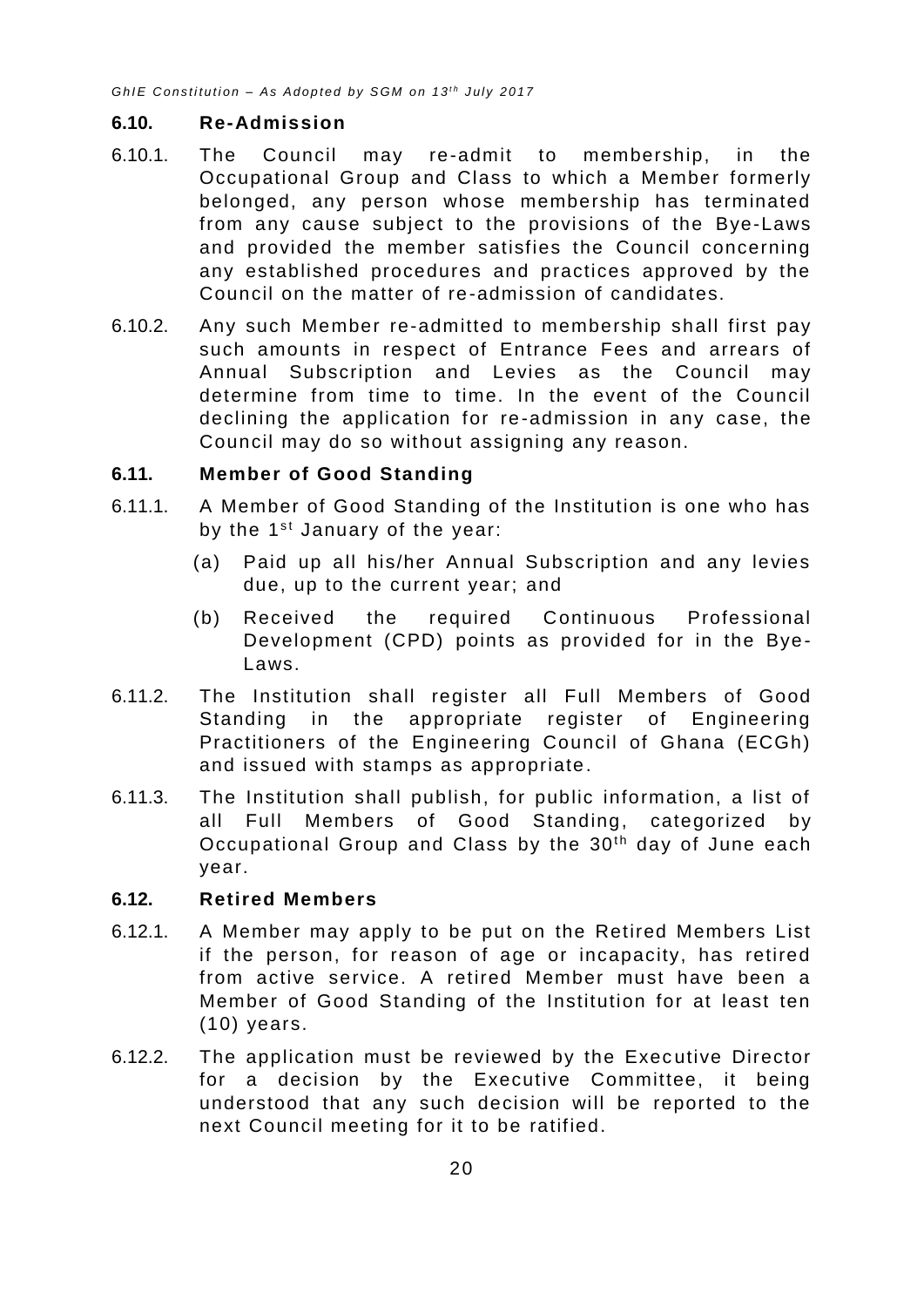#### <span id="page-24-0"></span>**6.10. Re-Admission**

- 6.10.1. The Council may re-admit to membership, in the Occupational Group and Class to which a Member formerly belonged, any person whose membership has terminated from any cause subject to the provisions of the Bye-Laws and provided the member satisfies the Council concerning any established procedures and practices approved by the Council on the matter of re-admission of candidates.
- 6.10.2. Any such Member re-admitted to membership shall first pay such amounts in respect of Entrance Fees and arrears of Annual Subscription and Levies as the Council may determine from time to time. In the event of the Council declining the application for re -admission in any case, the Council may do so without assigning any reason.

#### <span id="page-24-1"></span>**6.11. Member of Good Standing**

- 6.11.1. A Member of Good Standing of the Institution is one who has by the  $1<sup>st</sup>$  January of the year:
	- (a) Paid up all his/her Annual Subscription and any levies due, up to the current year; and
	- (b) Received the required Continuous Professional Development (CPD) points as provided for in the Bye-Laws.
- 6.11.2. The Institution shall register all Full Members of Good Standing in the appropriate register of Engineering Practitioners of the Engineering Council of Ghana (ECGh) and issued with stamps as appropriate.
- 6.11.3. The Institution shall publish, for public information, a list of all Full Members of Good Standing, categorized by Occupational Group and Class by the 30<sup>th</sup> day of June each year.

#### <span id="page-24-2"></span>**6.12. Retired Members**

- 6.12.1. A Member may apply to be put on the Retired Members List if the person, for reason of age or incapacity, has retired from active service. A retired Member must have been a Member of Good Standing of the Institution for at least ten (10) years.
- 6.12.2. The application must be reviewed by the Executive Director for a decision by the Executive Committee, it being understood that any such decision will be reported to the next Council meeting for it to be ratified.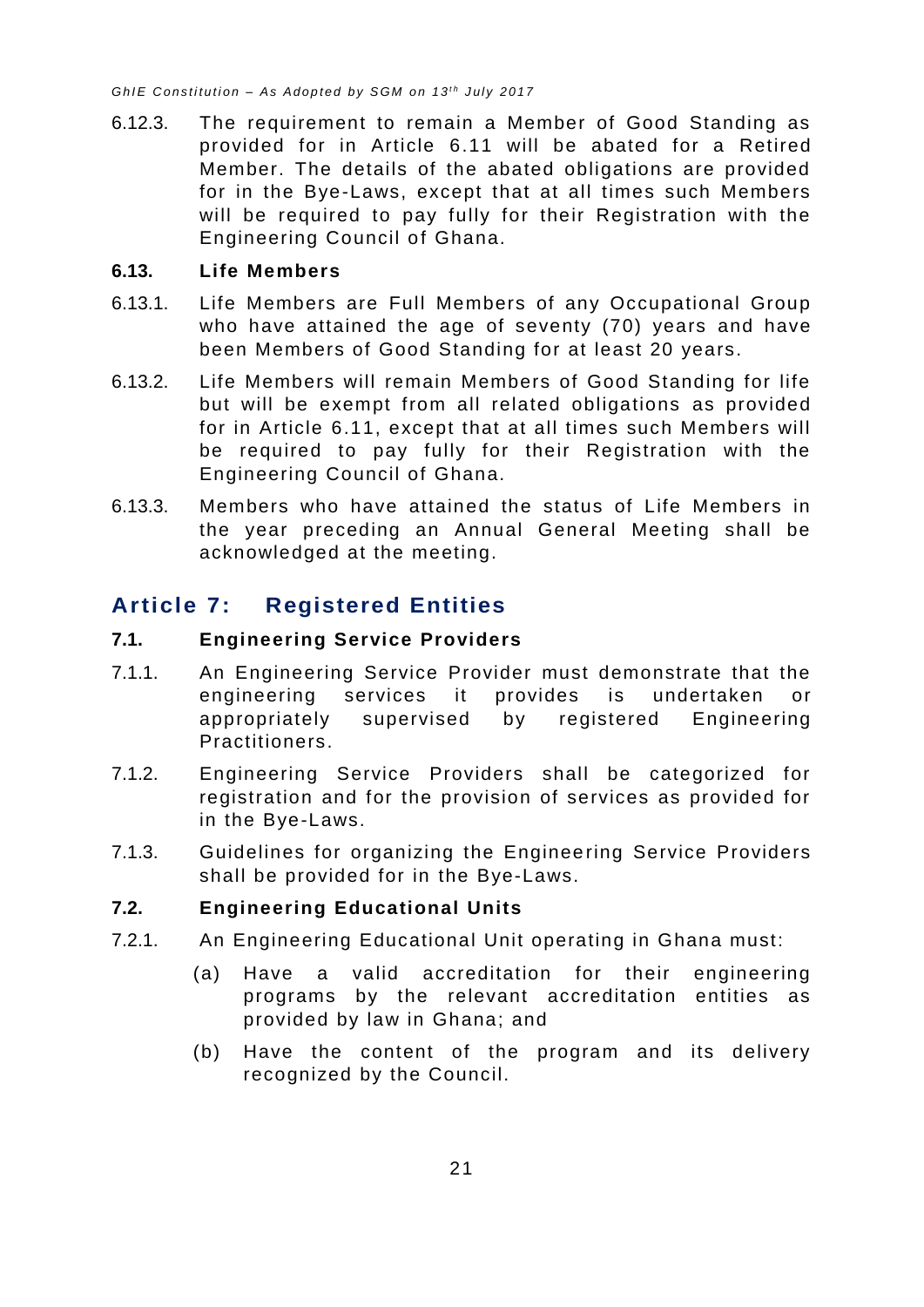6.12.3. The requirement to remain a Member of Good Standing as provided for in Article [6.11](#page-24-1) will be abated for a Retired Member. The details of the abated obligations are provided for in the Bye-Laws, except that at all times such Members will be required to pay fully for their Registration with the Engineering Council of Ghana.

#### <span id="page-25-0"></span>**6.13. Life Members**

- 6.13.1. Life Members are Full Members of any Occupational Group who have attained the age of seventy (70) years and have been Members of Good Standing for at least 20 years.
- 6.13.2. Life Members will remain Members of Good Standing for life but will be exempt from all related obligations as provided for in Article [6.11,](#page-24-1) except that at all times such Members will be required to pay fully for their Registration with the Engineering Council of Ghana.
- 6.13.3. Members who have attained the status of Life Members in the year preceding an Annual General Meeting shall be acknowledged at the meeting.

# <span id="page-25-1"></span>**Article 7: Registered Entities**

#### <span id="page-25-2"></span>**7.1. Engineering Service Providers**

- 7.1.1. An Engineering Service Provider must demonstrate that the engineering services it provides is undertaken or appropriately supervised by registered Engineering Practitioners.
- 7.1.2. Engineering Service Providers shall be categorized for registration and for the provision of services as provided for in the Bye-Laws.
- 7.1.3. Guidelines for organizing the Engineering Service Providers shall be provided for in the Bye-Laws.

#### <span id="page-25-3"></span>**7.2. Engineering Educational Units**

- 7.2.1. An Engineering Educational Unit operating in Ghana must:
	- (a) Have a valid accreditation for their engineering programs by the relevant accreditation entities as provided by law in Ghana; and
	- (b) Have the content of the program and its delivery recognized by the Council.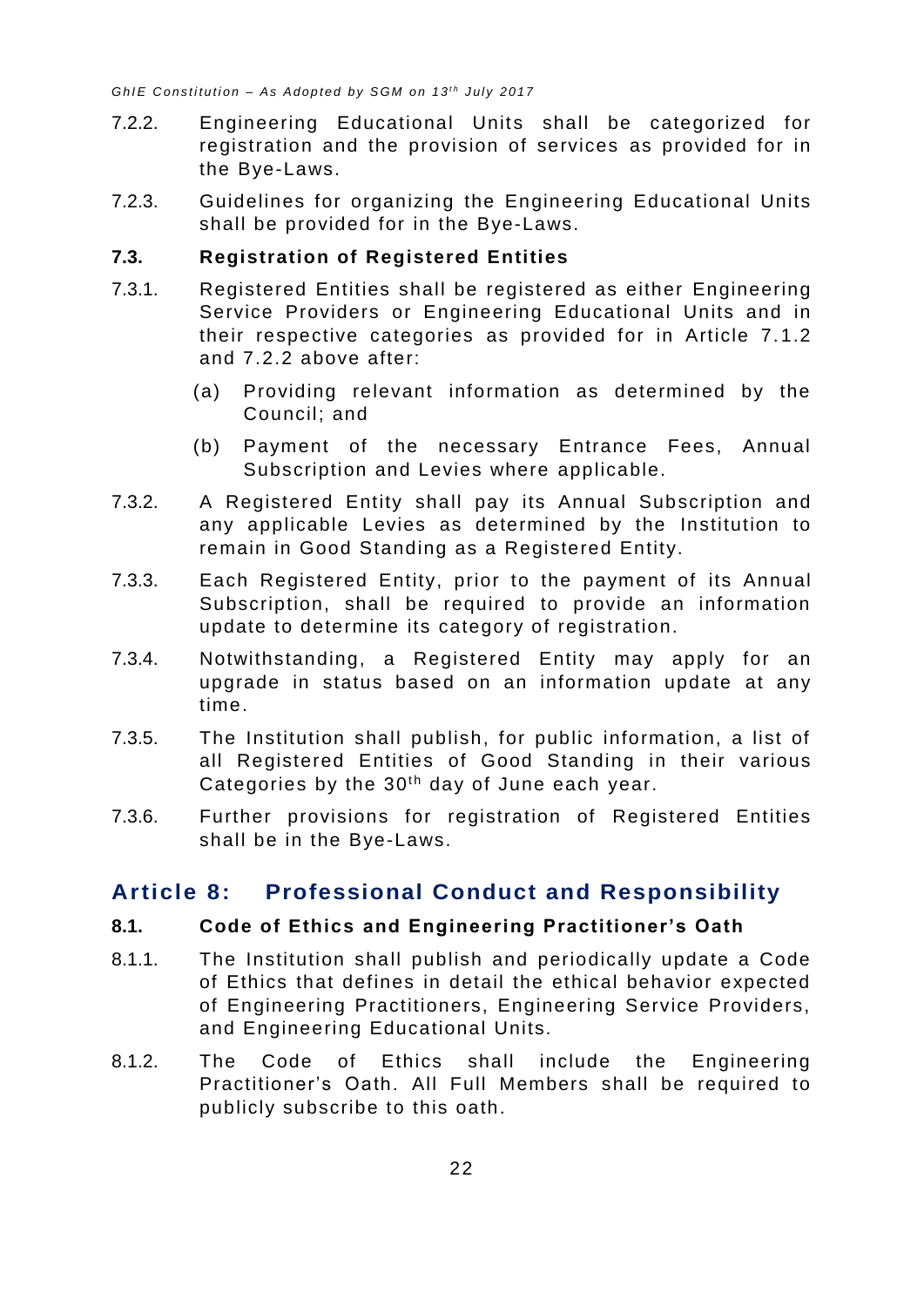- 7.2.2. Engineering Educational Units shall be categorized for registration and the provision of services as provided for in the Bye-Laws.
- 7.2.3. Guidelines for organizing the Engineering Educational Units shall be provided for in the Bye-Laws.

#### <span id="page-26-0"></span>**7.3. Registration of Registered Entities**

- 7.3.1. Registered Entities shall be registered as either Engineering Service Providers or Engineering Educational Units and in their respective categories as provided for in Article 7.1.2 and 7.2.2 above after:
	- (a) Providing relevant information as determined by the Council; and
	- (b) Payment of the necessary Entrance Fees, Annual Subscription and Levies where applicable.
- 7.3.2. A Registered Entity shall pay its Annual Subscription and any applicable Levies as determined by the Institution to remain in Good Standing as a Registered Entity.
- 7.3.3. Each Registered Entity, prior to the payment of its Annual Subscription, shall be required to provide an information update to determine its category of registration.
- 7.3.4. Notwithstanding, a Registered Entity may apply for an upgrade in status based on an information update at any time.
- 7.3.5. The Institution shall publish, for public information, a list of all Registered Entities of Good Standing in their various Categories by the 30<sup>th</sup> day of June each year.
- 7.3.6. Further provisions for registration of Registered Entities shall be in the Bye-Laws.

# <span id="page-26-1"></span>**Article 8: Professional Conduct and Responsibility**

#### <span id="page-26-2"></span>**8.1. Code of Ethics and Engineering Practitioner's Oath**

- 8.1.1. The Institution shall publish and periodically update a Code of Ethics that defines in detail the ethical behavior expected of Engineering Practitioners, Engineering Service Providers, and Engineering Educational Units.
- 8.1.2. The Code of Ethics shall include the Engineering Practitioner's Oath. All Full Members shall be required to publicly subscribe to this oath.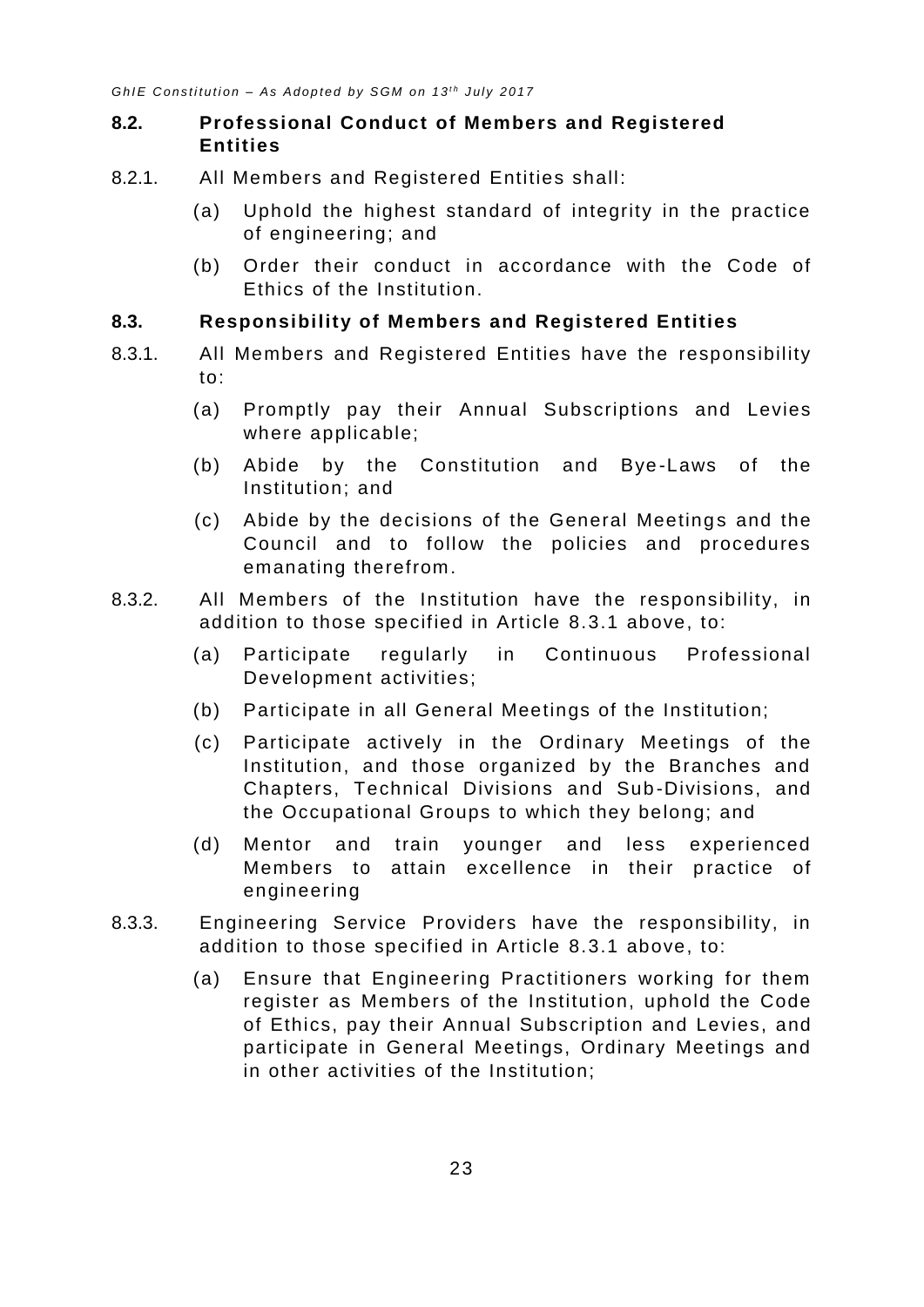#### <span id="page-27-0"></span>**8.2. Professional Conduct of Members and Registered Entities**

- 8.2.1. All Members and Registered Entities shall:
	- (a) Uphold the highest standard of integrity in the practice of engineering; and
	- (b) Order their conduct in accordance with the Code of Ethics of the Institution.

#### <span id="page-27-1"></span>**8.3. Responsibility of Members and Registered Entities**

- <span id="page-27-2"></span>8.3.1. All Members and Registered Entities have the responsibility to:
	- (a) Promptly pay their Annual Subscriptions and Levies where applicable;
	- (b) Abide by the Constitution and Bye -Laws of the Institution; and
	- (c) Abide by the decisions of the General Meetings and the Council and to follow the policies and procedures emanating therefrom.
- 8.3.2. All Members of the Institution have the responsibility, in addition to those specified in Article [8.3.1](#page-27-2) above, to:
	- (a) Participate regularly in Continuous Professional Development activities;
	- (b) Participate in all General Meetings of the Institution;
	- (c) Participate actively in the Ordinary Meetings of the Institution, and those organized by the Branches and Chapters, Technical Divisions and Sub -Divisions, and the Occupational Groups to which they belong; and
	- (d) Mentor and train younger and less experienced Members to attain excellence in their practice of engineering
- 8.3.3. Engineering Service Providers have the responsibility, in addition to those specified in Article [8.3.1](#page-27-2) above, to:
	- (a) Ensure that Engineering Practitioners working for them register as Members of the Institution, uphold the Code of Ethics, pay their Annual Subscription and Levies, and participate in General Meetings, Ordinary Meetings and in other activities of the Institution;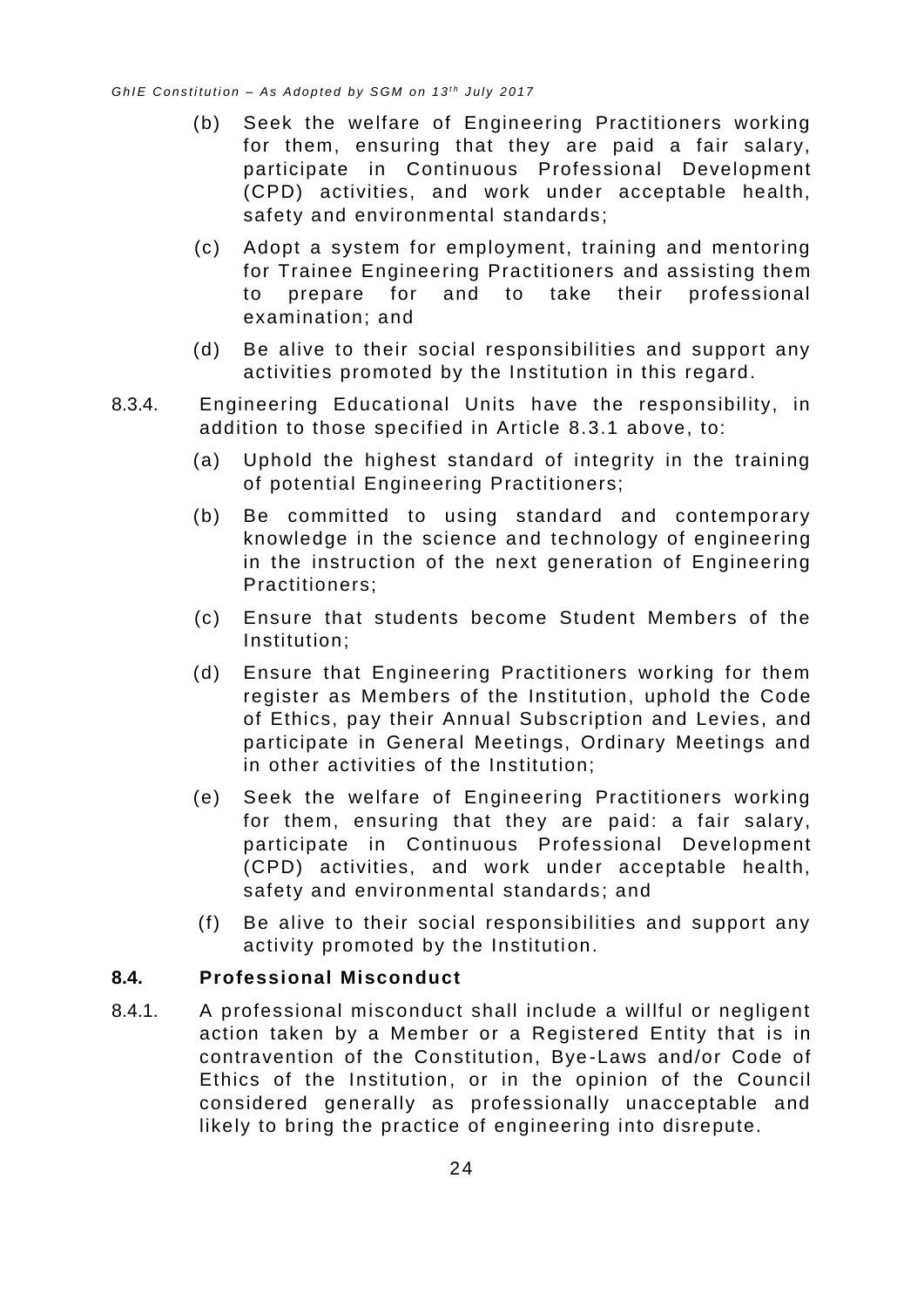- (b) Seek the welfare of Engineering Practitioners working for them, ensuring that they are paid a fair salary, participate in Continuous Professional Development (CPD) activities, and work under acceptable health, safety and environmental standards;
- (c) Adopt a system for employment, training and mentoring for Trainee Engineering Practitioners and assisting them to prepare for and to take their professional examination; and
- (d) Be alive to their social responsibilities and support any activities promoted by the Institution in this regard.
- 8.3.4. Engineering Educational Units have the responsibility, in addition to those specified in Article [8.3.1](#page-27-2) above, to:
	- (a) Uphold the highest standard of integrity in the training of potential Engineering Practitioners;
	- (b) Be committed to using standard and contemporary knowledge in the science and technology of engineering in the instruction of the next generation of Engineering Practitioners;
	- (c) Ensure that students become Student Members of the Institution;
	- (d) Ensure that Engineering Practitioners working for them register as Members of the Institution, uphold the Code of Ethics, pay their Annual Subscription and Levies, and participate in General Meetings, Ordinary Meetings and in other activities of the Institution;
	- (e) Seek the welfare of Engineering Practitioners working for them, ensuring that they are paid: a fair salary, participate in Continuous Professional Development (CPD) activities, and work under acceptable health, safety and environmental standards; and
	- (f) Be alive to their social responsibilities and support any activity promoted by the Institution.

#### <span id="page-28-0"></span>**8.4. Professional Misconduct**

8.4.1. A professional misconduct shall include a willful or negligent action taken by a Member or a Registered Entity that is in contravention of the Constitution, Bye -Laws and/or Code of Ethics of the Institution, or in the opinion of the Council considered generally as professionally unacceptable and likely to bring the practice of engineering into disrepute.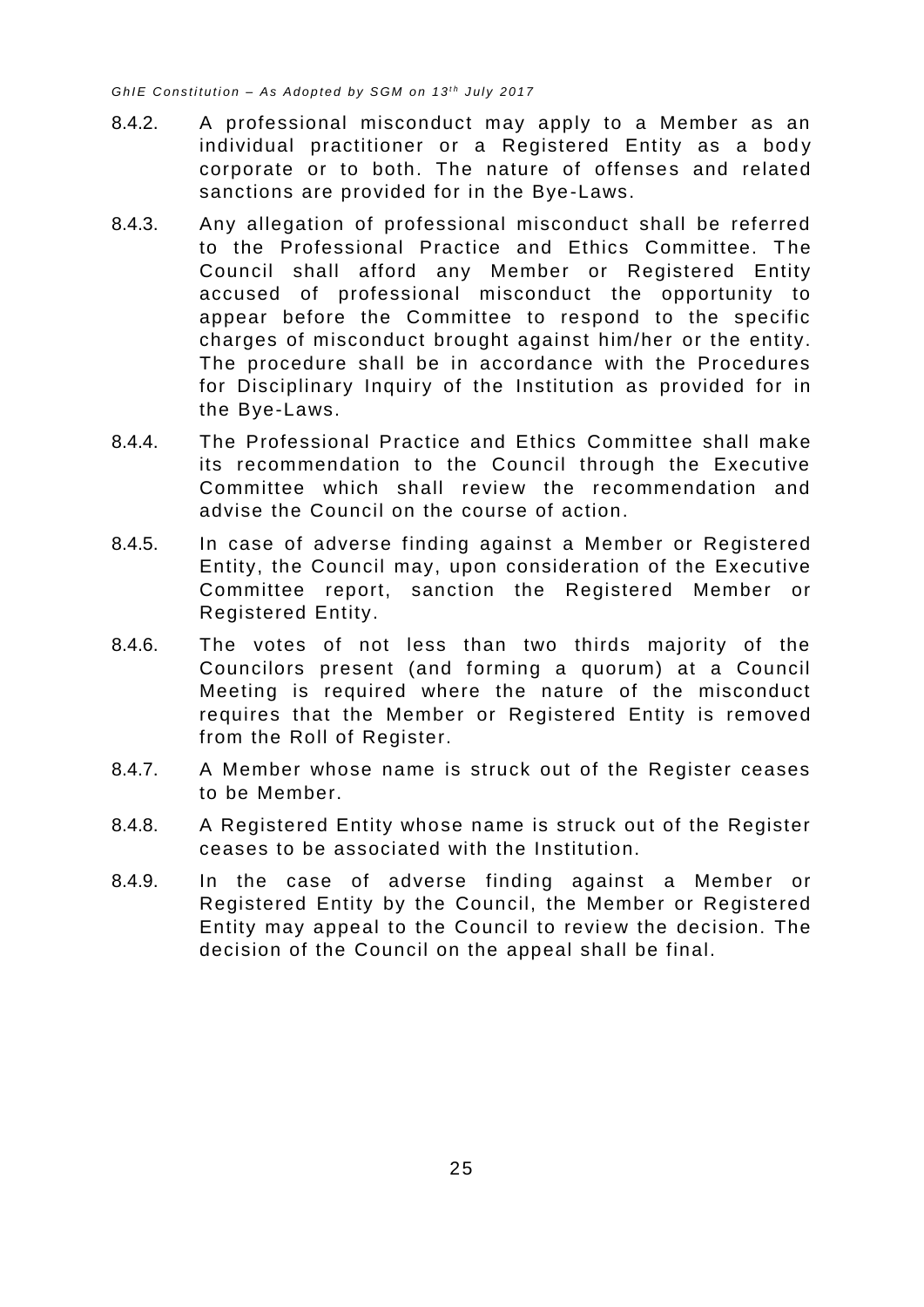- 8.4.2. A professional misconduct may apply to a Member as an individual practitioner or a Registered Entity as a body corporate or to both. The nature of offenses and related sanctions are provided for in the Bye-Laws.
- 8.4.3. Any allegation of professional misconduct shall be referred to the Professional Practice and Ethics Committee. The Council shall afford any Member or Registered Entity accused of professional misconduct the opportunity to appear before the Committee to respond to the specific charges of misconduct brought against him/her or the entity. The procedure shall be in accordance with the Procedures for Disciplinary Inquiry of the Institution as provided for in the Bye-Laws.
- 8.4.4. The Professional Practice and Ethics Committee shall make its recommendation to the Council through the Executive Committee which shall review the recommendation and advise the Council on the course of action.
- 8.4.5. In case of adverse finding against a Member or Registered Entity, the Council may, upon consideration of the Executive Committee report, sanction the Registered Member or Registered Entity.
- 8.4.6. The votes of not less than two thirds majority of the Councilors present (and forming a quorum) at a Council Meeting is required where the nature of the misconduct requires that the Member or Registered Entity is removed from the Roll of Register.
- 8.4.7. A Member whose name is struck out of the Register ceases to be Member.
- 8.4.8. A Registered Entity whose name is struck out of the Register ceases to be associated with the Institution.
- 8.4.9. In the case of adverse finding against a Member or Registered Entity by the Council, the Member or Registered Entity may appeal to the Council to review the decision. The decision of the Council on the appeal shall be final.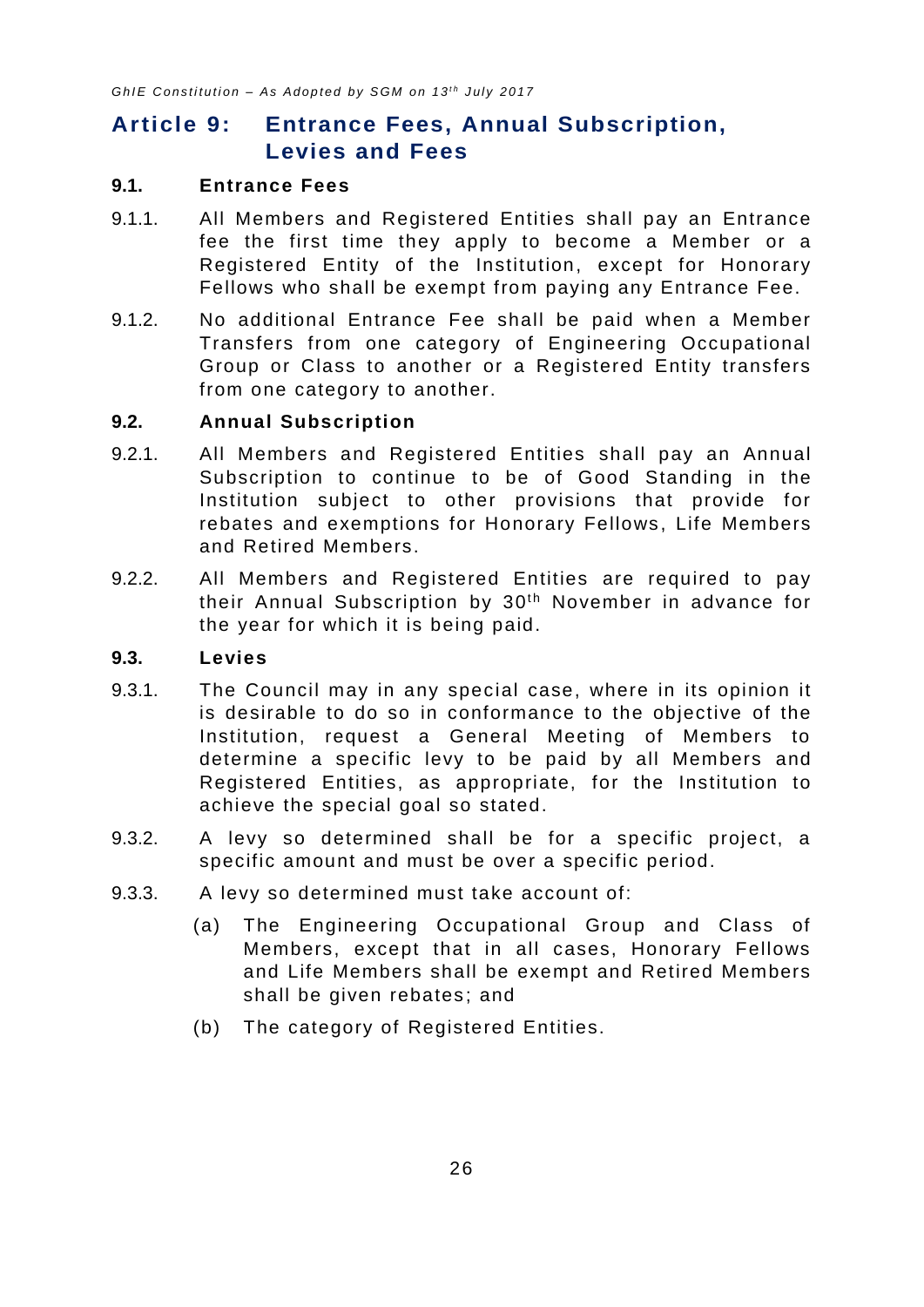# <span id="page-30-0"></span>**Article 9: Entrance Fees, Annual Subscription, Levies and Fees**

#### <span id="page-30-1"></span>**9.1. Entrance Fees**

- 9.1.1. All Members and Registered Entities shall pay an Entrance fee the first time they apply to become a Member or a Registered Entity of the Institution, except for Honorary Fellows who shall be exempt from paying any Entrance Fee.
- 9.1.2. No additional Entrance Fee shall be paid when a Member Transfers from one category of Engineering Occupational Group or Class to another or a Registered Entity transfers from one category to another.

#### <span id="page-30-2"></span>**9.2. Annual Subscription**

- 9.2.1. All Members and Registered Entities shall pay an Annual Subscription to continue to be of Good Standing in the Institution subject to other provisions that provide for rebates and exemptions for Honorary Fellows, Life Members and Retired Members.
- 9.2.2. All Members and Registered Entities are required to pay their Annual Subscription by 30<sup>th</sup> November in advance for the year for which it is being paid.

#### <span id="page-30-3"></span>**9.3. Levies**

- 9.3.1. The Council may in any special case, where in its opinion it is desirable to do so in conformance to the objective of the Institution, request a General Meeting of Members to determine a specific levy to be paid by all Members and Registered Entities, as appropriate, for the Institution to achieve the special goal so stated.
- 9.3.2. A levy so determined shall be for a specific project, a specific amount and must be over a specific period.
- 9.3.3. A levy so determined must take account of:
	- (a) The Engineering Occupational Group and Class of Members, except that in all cases, Honorary Fellows and Life Members shall be exempt and Retired Members shall be given rebates; and
	- (b) The category of Registered Entities.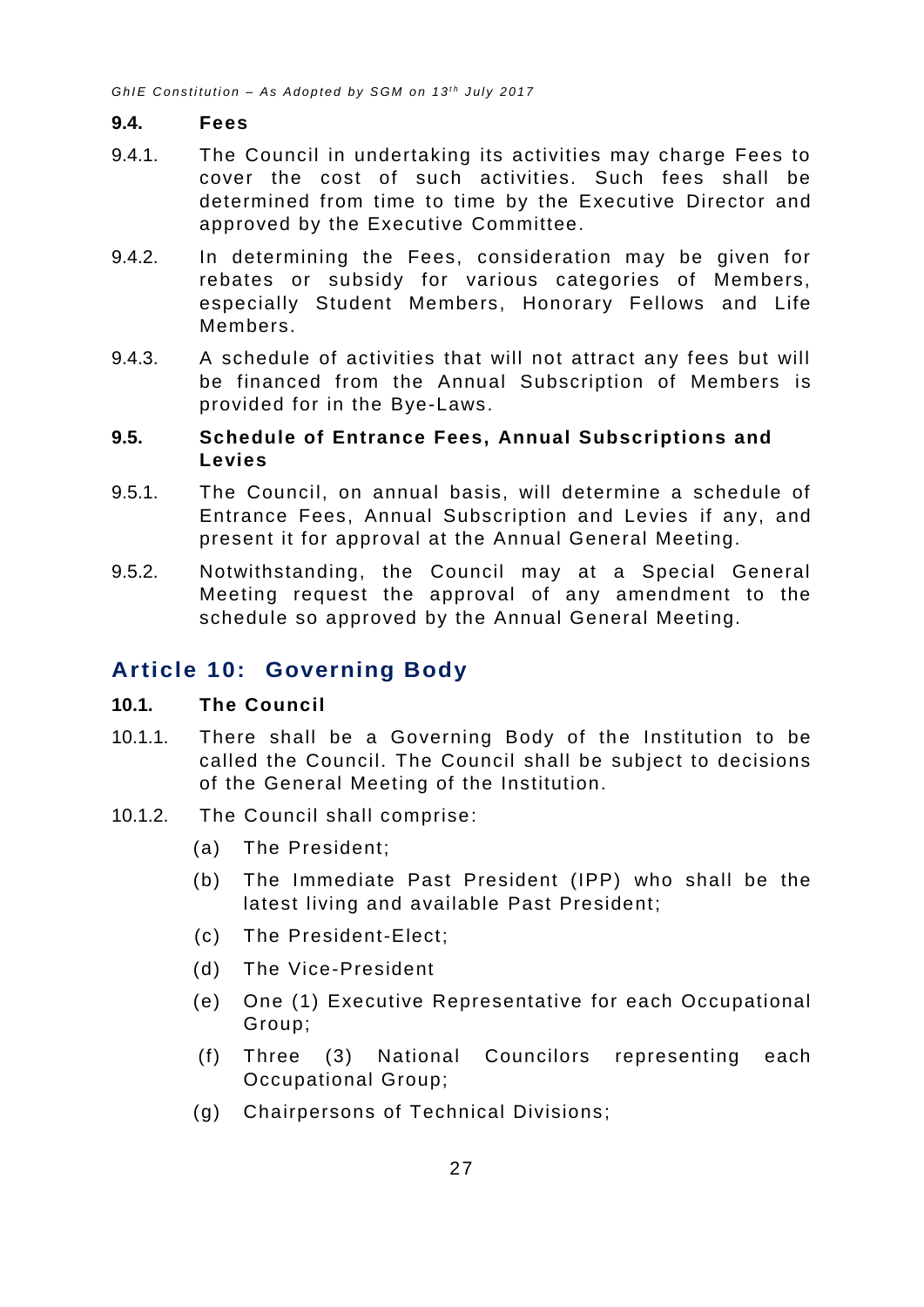#### <span id="page-31-0"></span>**9.4. Fees**

- 9.4.1. The Council in undertaking its activities may charge Fees to cover the cost of such activities. Such fees shall be determined from time to time by the Executive Director and approved by the Executive Committee.
- 9.4.2. In determining the Fees, consideration may be given for rebates or subsidy for various categories of Members, especially Student Members, Honorary Fellows and Life Members.
- 9.4.3. A schedule of activities that will not attract any fees but will be financed from the Annual Subscription of Members is provided for in the Bye-Laws.

#### <span id="page-31-1"></span>**9.5. Schedule of Entrance Fees, Annual Subscriptions and Levies**

- 9.5.1. The Council, on annual basis, will determine a schedule of Entrance Fees, Annual Subscription and Levies if any, and present it for approval at the Annual General Meeting.
- 9.5.2. Notwithstanding, the Council may at a Special General Meeting request the approval of any amendment to the schedule so approved by the Annual General Meeting.

# <span id="page-31-2"></span>**Article 10: Governing Body**

#### <span id="page-31-3"></span>**10.1. The Council**

- 10.1.1. There shall be a Governing Body of the Institution to be called the Council. The Council shall be subject to decisions of the General Meeting of the Institution.
- 10.1.2. The Council shall comprise:
	- (a) The President;
	- (b) The Immediate Past President (IPP) who shall be the latest living and available Past President;
	- (c) The President-Elect;
	- (d) The Vice-President
	- (e) One (1) Executive Representative for each Occupational Group;
	- (f) Three (3) National Councilors representing each Occupational Group;
	- (g) Chairpersons of Technical Divisions;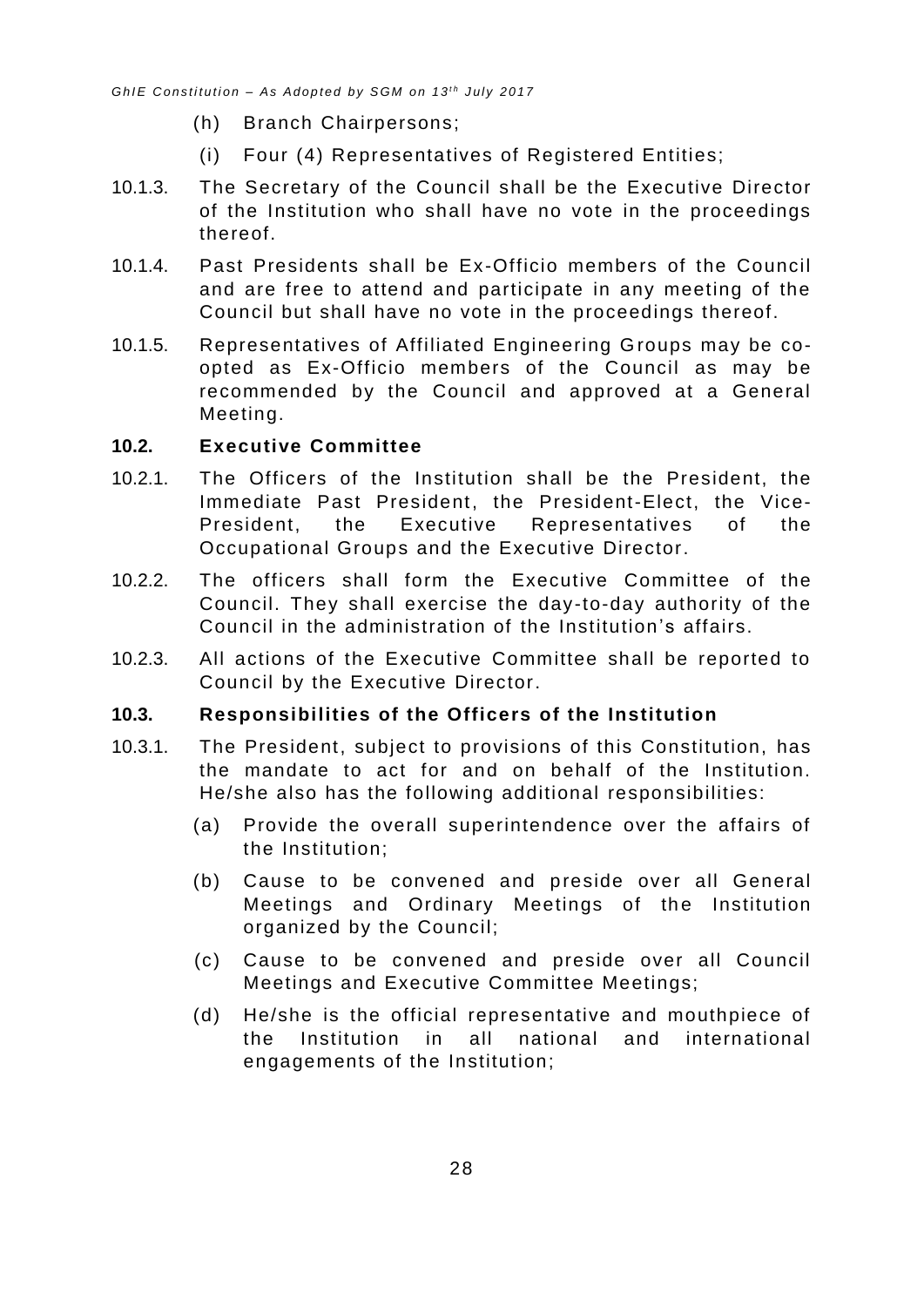- (h) Branch Chairpersons;
- (i) Four (4) Representatives of Registered Entities;
- 10.1.3. The Secretary of the Council shall be the Executive Director of the Institution who shall have no vote in the proceedings thereof.
- 10.1.4. Past Presidents shall be Ex-Officio members of the Council and are free to attend and participate in any meeting of the Council but shall have no vote in the proceedings thereof.
- 10.1.5. Representatives of Affiliated Engineering Groups may be coopted as Ex-Officio members of the Council as may be recommended by the Council and approved at a General Meeting.

#### <span id="page-32-0"></span>**10.2. Executive Committee**

- 10.2.1. The Officers of the Institution shall be the President, the Immediate Past President, the President-Elect, the Vice-President, the Executive Representatives of the Occupational Groups and the Executive Director.
- 10.2.2. The officers shall form the Executive Committee of the Council. They shall exercise the day -to-day authority of the Council in the administration of the Institution's affairs.
- 10.2.3. All actions of the Executive Committee shall be reported to Council by the Executive Director.

#### <span id="page-32-1"></span>**10.3. Responsibilities of the Officers of the Institution**

- 10.3.1. The President, subject to provisions of this Constitution, has the mandate to act for and on behalf of the Institution. He/she also has the following additional responsibilities:
	- (a) Provide the overall superintendence over the affairs of the Institution;
	- (b) Cause to be convened and preside over all General Meetings and Ordinary Meetings of the Institution organized by the Council;
	- (c) Cause to be convened and preside over all Council Meetings and Executive Committee Meetings;
	- (d) He/she is the official representative and mouthpiece of the Institution in all national and international engagements of the Institution;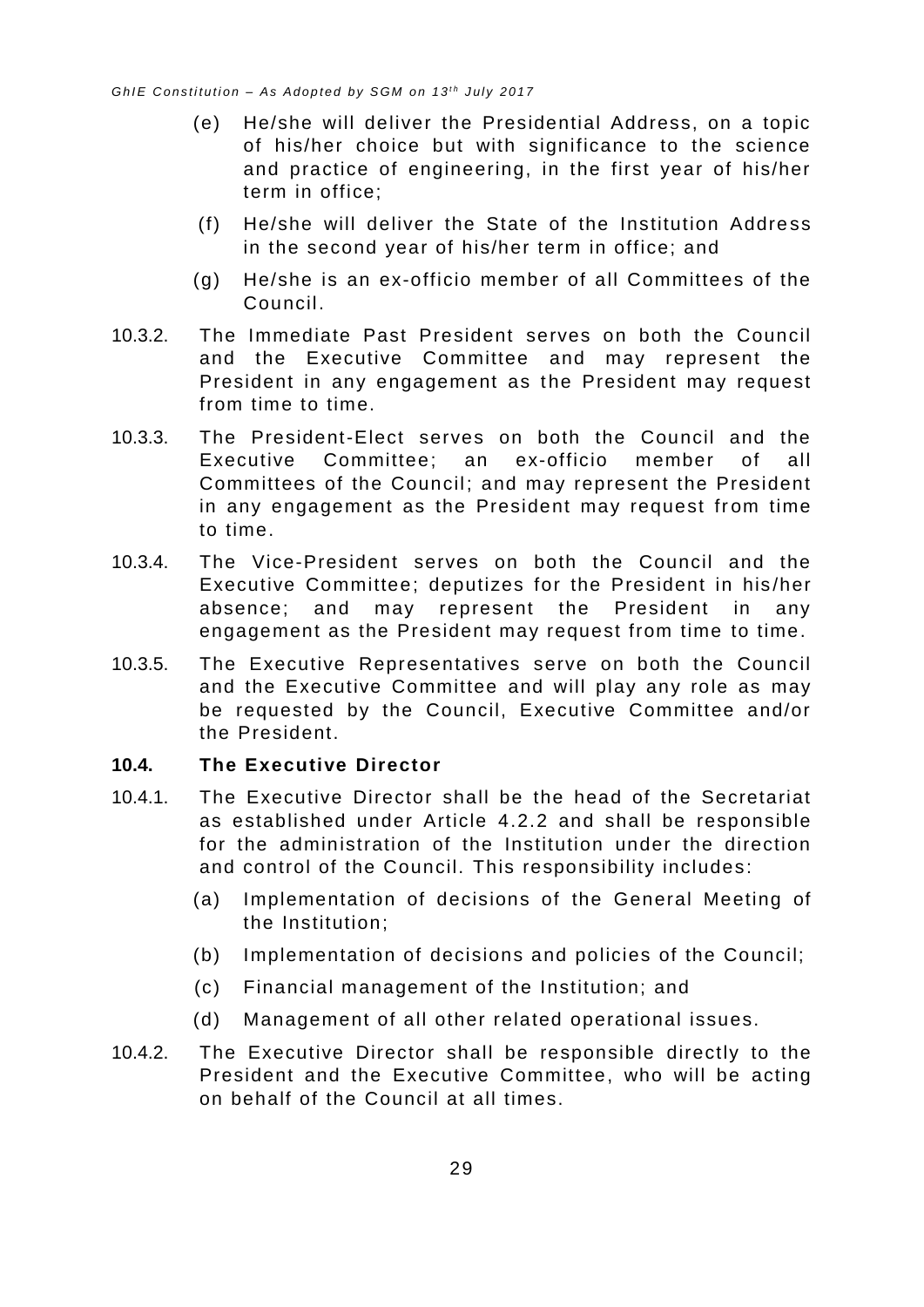- (e) He/she will deliver the Presidential Address, on a topic of his/her choice but with significance to the science and practice of engineering, in the first year of his/her term in office;
- (f) He/she will deliver the State of the Institution Addre ss in the second year of his/her term in office; and
- (g) He/she is an ex-officio member of all Committees of the Council.
- 10.3.2. The Immediate Past President serves on both the Council and the Executive Committee and may represent the President in any engagement as the President may request from time to time.
- 10.3.3. The President-Elect serves on both the Council and the Executive Committee; an ex-officio member of all Committees of the Council; and may represent the President in any engagement as the President may request from time to time.
- 10.3.4. The Vice-President serves on both the Council and the Executive Committee; deputizes for the President in his /her absence; and may represent the President in any engagement as the President may request from time to time.
- 10.3.5. The Executive Representatives serve on both the Council and the Executive Committee and will play any role as may be requested by the Council, Executive Committee and/or the President.

#### <span id="page-33-0"></span>**10.4. The Executive Director**

- 10.4.1. The Executive Director shall be the head of the Secretariat as established under Article [4.2.2](#page-9-5) and shall be responsible for the administration of the Institution under the direction and control of the Council. This responsibility includes :
	- (a) Implementation of decisions of the General Meeting of the Institution;
	- (b) Implementation of decisions and policies of the Council;
	- (c) Financial management of the Institution; and
	- (d) Management of all other related operational issues.
- 10.4.2. The Executive Director shall be responsible directly to the President and the Executive Committee, who will be acting on behalf of the Council at all times.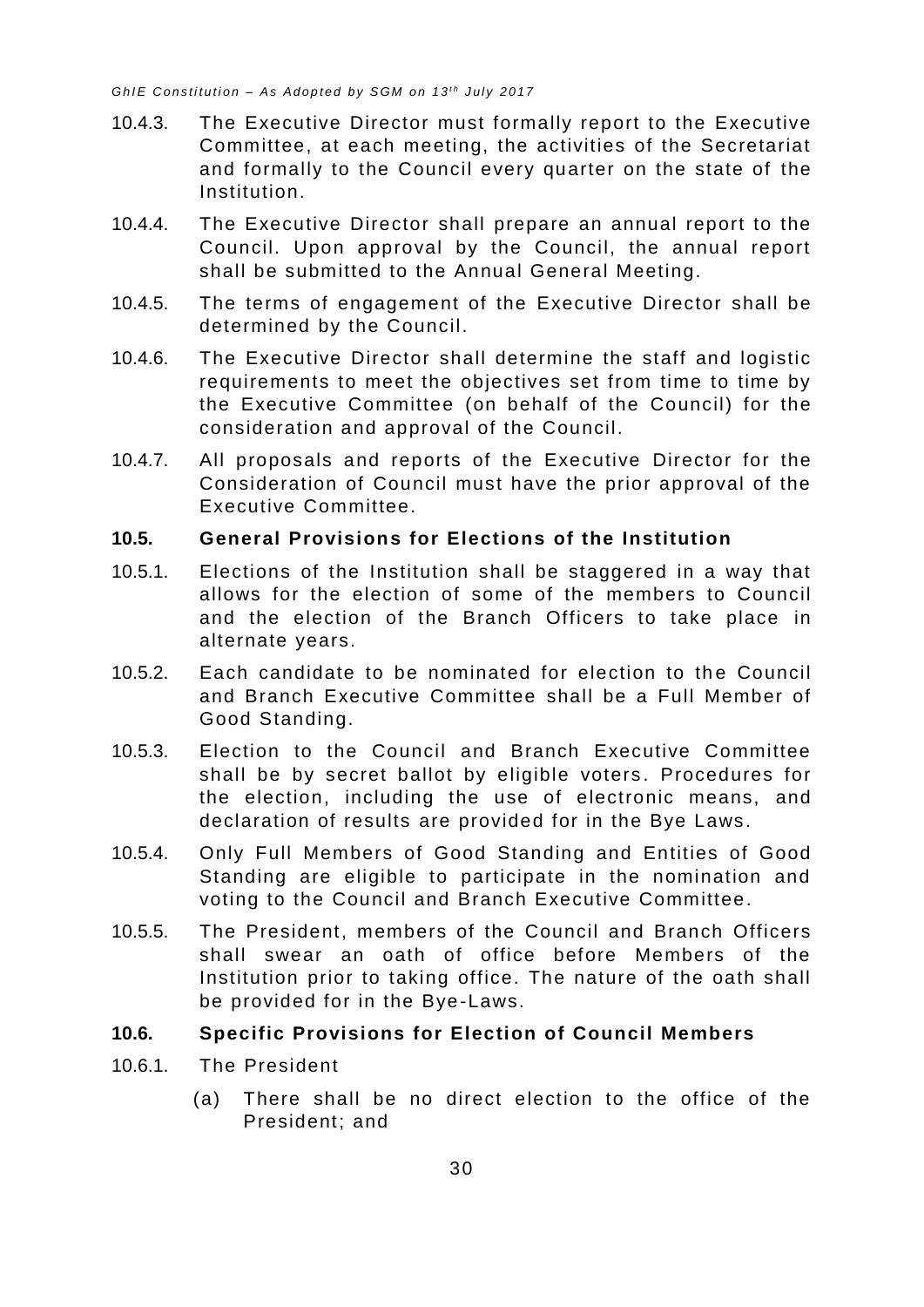- 10.4.3. The Executive Director must formally report to the Executive Committee, at each meeting, the activities of the Secretariat and formally to the Council every quarter on the state of the Institution.
- 10.4.4. The Executive Director shall prepare an annual report to the Council. Upon approval by the Council, the annual report shall be submitted to the Annual General Meeting.
- 10.4.5. The terms of engagement of the Executive Director shall be determined by the Council.
- 10.4.6. The Executive Director shall determine the staff and logistic requirements to meet the objectives set from time to time by the Executive Committee (on behalf of the Council) for the consideration and approval of the Council.
- 10.4.7. All proposals and reports of the Executive Director for the Consideration of Council must have the prior approval of the Executive Committee.

#### <span id="page-34-0"></span>**10.5. General Provisions for Elections of the Institution**

- 10.5.1. Elections of the Institution shall be staggered in a way that allows for the election of some of the members to Council and the election of the Branch Officers to take place in alternate years.
- 10.5.2. Each candidate to be nominated for election to the Council and Branch Executive Committee shall be a Full Member of Good Standing.
- 10.5.3. Election to the Council and Branch Executive Committee shall be by secret ballot by eligible voters. Procedures for the election, including the use of electronic means, and declaration of results are provided for in the Bye Laws.
- 10.5.4. Only Full Members of Good Standing and Entities of Good Standing are eligible to participate in the nomination and voting to the Council and Branch Executive Committee.
- 10.5.5. The President, members of the Council and Branch Officers shall swear an oath of office before Members of the Institution prior to taking office. The nature of the oath shall be provided for in the Bye-Laws.

#### <span id="page-34-1"></span>**10.6. Specific Provisions for Election of Council Members**

- 10.6.1. The President
	- (a) There shall be no direct election to the office of the President; and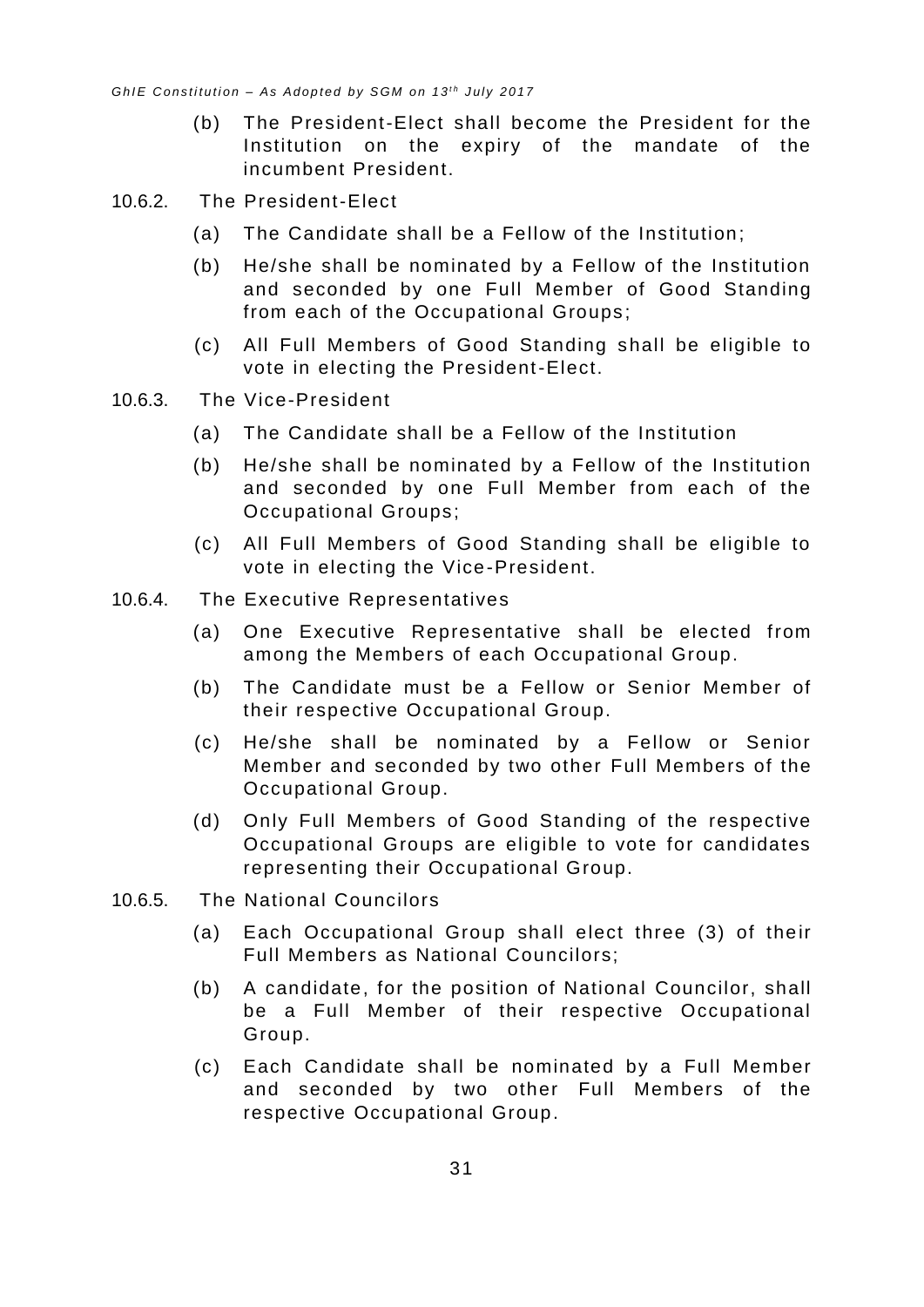- (b) The President-Elect shall become the President for the Institution on the expiry of the mandate of the incumbent President.
- 10.6.2. The President-Elect
	- (a) The Candidate shall be a Fellow of the Institution;
	- (b) He/she shall be nominated by a Fellow of the Institution and seconded by one Full Member of Good Standing from each of the Occupational Groups;
	- (c) All Full Members of Good Standing shall be eligible to vote in electing the President-Elect.
- 10.6.3. The Vice-President
	- (a) The Candidate shall be a Fellow of the Institution
	- (b) He/she shall be nominated by a Fellow of the Institution and seconded by one Full Member from each of the Occupational Groups;
	- (c) All Full Members of Good Standing shall be eligible to vote in electing the Vice-President.
- 10.6.4. The Executive Representatives
	- (a) One Executive Representative shall be elected from among the Members of each Occupational Group.
	- (b) The Candidate must be a Fellow or Senior Member of their respective Occupational Group.
	- (c) He/she shall be nominated by a Fellow or Senior Member and seconded by two other Full Members of the Occupational Group.
	- (d) Only Full Members of Good Standing of the respective Occupational Groups are eligible to vote for candidates representing their Occupational Group.
- 10.6.5. The National Councilors
	- (a) Each Occupational Group shall elect three (3) of their Full Members as National Councilors;
	- (b) A candidate, for the position of National Councilor, shall be a Full Member of their respective Occupational Group.
	- (c) Each Candidate shall be nominated by a Full Member and seconded by two other Full Members of the respective Occupational Group.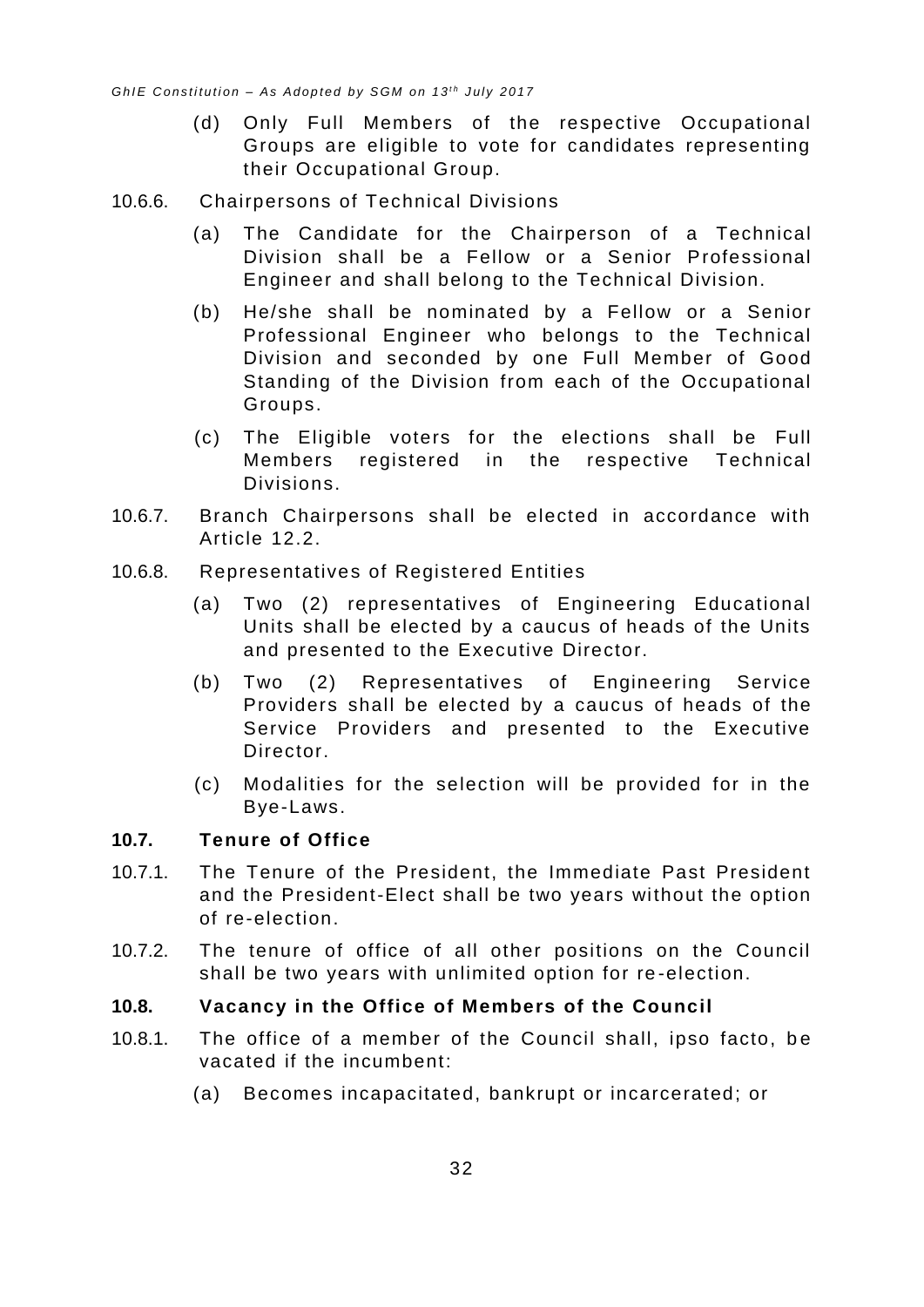- (d) Only Full Members of the respective Occupational Groups are eligible to vote for candidates representing their Occupational Group.
- 10.6.6. Chairpersons of Technical Divisions
	- (a) The Candidate for the Chairperson of a Technical Division shall be a Fellow or a Senior Professional Engineer and shall belong to the Technical Division.
	- (b) He/she shall be nominated by a Fellow or a Senior Professional Engineer who belongs to the Technical Division and seconded by one Full Member of Good Standing of the Division from each of the Occupational Groups.
	- (c) The Eligible voters for the elections shall be Full Members registered in the respective Technical Divisions.
- 10.6.7. Branch Chairpersons shall be elected in accordance with Article [12.2.](#page-39-2)
- 10.6.8. Representatives of Registered Entities
	- (a) Two (2) representatives of Engineering Educational Units shall be elected by a caucus of heads of the Units and presented to the Executive Director.
	- (b) Two (2) Representatives of Engineering Service Providers shall be elected by a caucus of heads of the Service Providers and presented to the Executive Director.
	- (c) Modalities for the selection will be provided for in the Bye-Laws.

#### <span id="page-36-0"></span>**10.7. Tenure of Office**

- 10.7.1. The Tenure of the President, the Immediate Past President and the President-Elect shall be two years without the option of re-election.
- 10.7.2. The tenure of office of all other positions on the Council shall be two years with unlimited option for re -election.

#### <span id="page-36-1"></span>**10.8. Vacancy in the Office of Members of the Council**

- 10.8.1. The office of a member of the Council shall, ipso facto, be vacated if the incumbent:
	- (a) Becomes incapacitated, bankrupt or incarcerated; or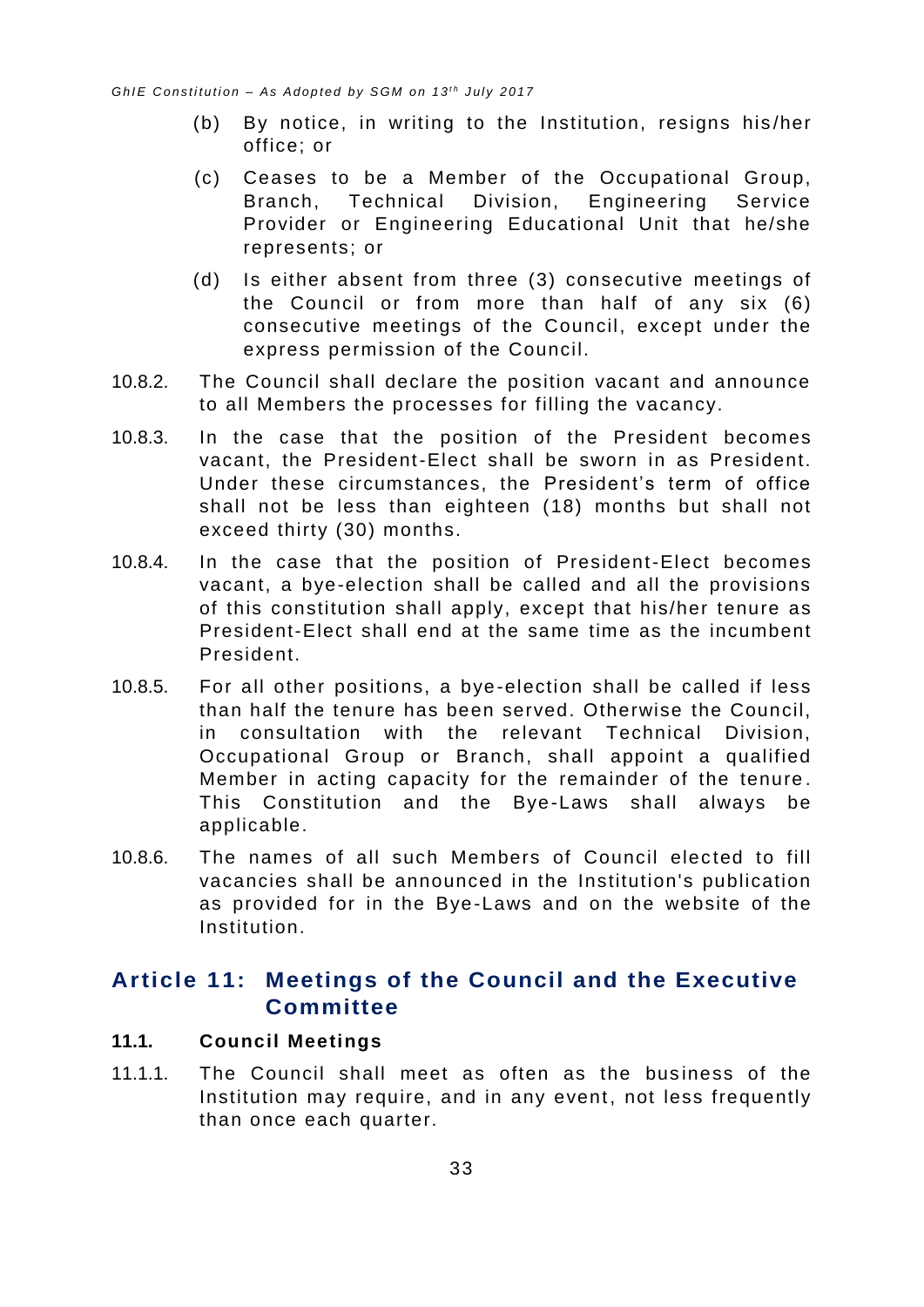- (b) By notice, in writing to the Institution, resigns his /her office; or
- (c) Ceases to be a Member of the Occupational Group, Branch, Technical Division, Engineering Service Provider or Engineering Educational Unit that he/she represents; or
- (d) Is either absent from three (3) consecutive meetings of the Council or from more than half of any six (6) consecutive meetings of the Council, except under the express permission of the Council.
- 10.8.2. The Council shall declare the position vacant and announce to all Members the processes for filling the vacancy.
- 10.8.3. In the case that the position of the President becomes vacant, the President-Elect shall be sworn in as President. Under these circumstances, the President's term of office shall not be less than eighteen (18) months but shall not exceed thirty (30) months.
- 10.8.4. In the case that the position of President-Elect becomes vacant, a bye-election shall be called and all the provisions of this constitution shall apply, except that his/her tenure as President-Elect shall end at the same time as the incumbent President.
- 10.8.5. For all other positions, a bye-election shall be called if less than half the tenure has been served. Otherwise the Council, in consultation with the relevant Technical Division, Occupational Group or Branch, shall appoint a qualified Member in acting capacity for the remainder of the tenure . This Constitution and the Bye-Laws shall always be applicable.
- 10.8.6. The names of all such Members of Council elected to fill vacancies shall be announced in the Institution's publication as provided for in the Bye-Laws and on the website of the Institution.

# <span id="page-37-0"></span>**Article 11: Meetings of the Council and the Executive Committee**

#### <span id="page-37-1"></span>**11.1. Council Meetings**

11.1.1. The Council shall meet as often as the business of the Institution may require, and in any event, not less frequently than once each quarter.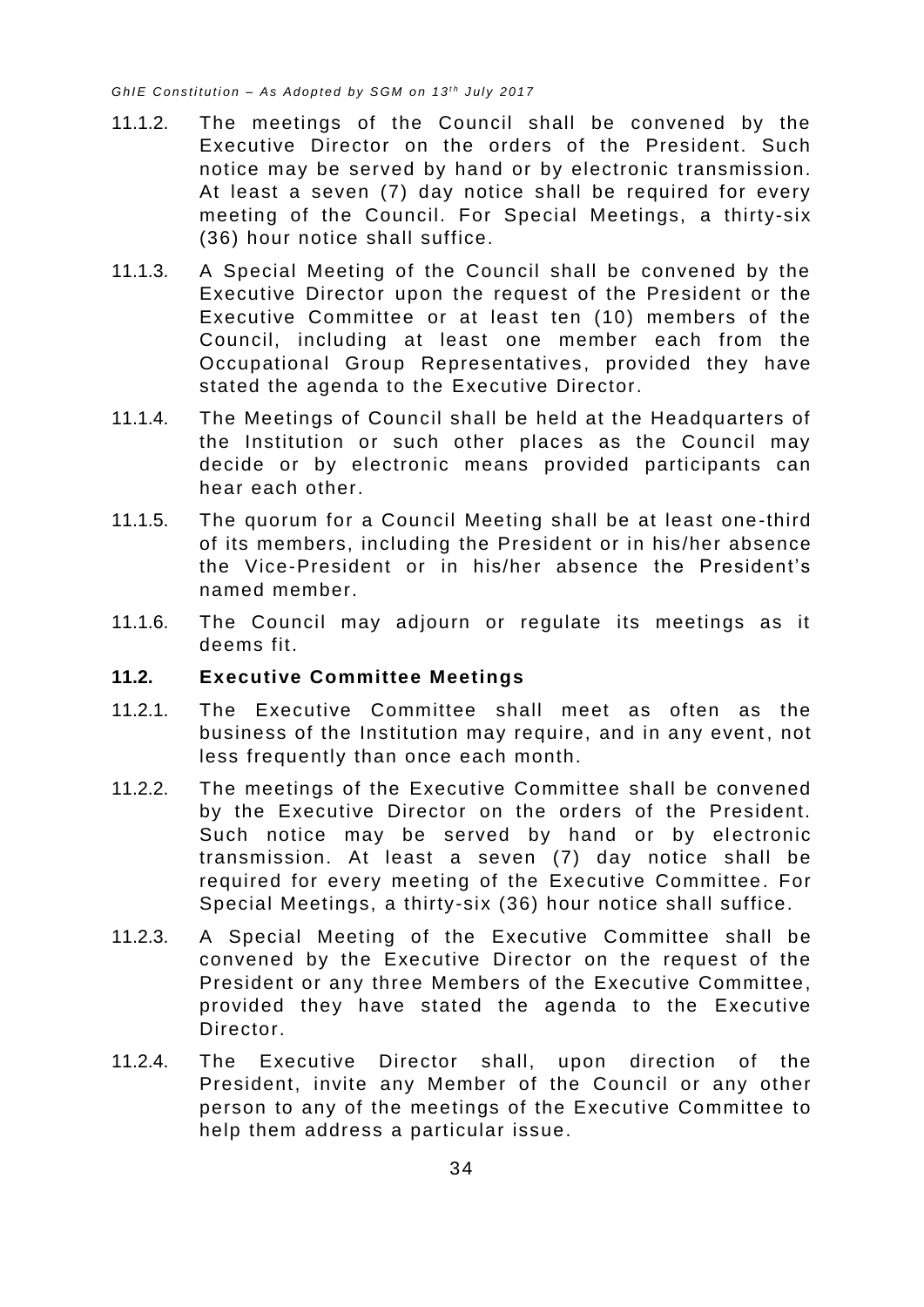- 11.1.2. The meetings of the Council shall be convened by the Executive Director on the orders of the President. Such notice may be served by hand or by electronic transmission. At least a seven (7) day notice shall be required for every meeting of the Council. For Special Meetings, a thirty-six (36) hour notice shall suffice.
- 11.1.3. A Special Meeting of the Council shall be convened by the Executive Director upon the request of the President or the Executive Committee or at least ten (10) members of the Council, including at least one member each from the Occupational Group Representatives, provided they have stated the agenda to the Executive Director.
- 11.1.4. The Meetings of Council shall be held at the Headquarters of the Institution or such other places as the Council may decide or by electronic means provided participants can hear each other.
- 11.1.5. The quorum for a Council Meeting shall be at least one-third of its members, including the President or in his/her absence the Vice-President or in his/her absence the President's named member.
- 11.1.6. The Council may adjourn or regulate its meetings as it deems fit.

#### <span id="page-38-0"></span>**11.2. Executive Committee Meetings**

- 11.2.1. The Executive Committee shall meet as often as the business of the Institution may require, and in any event, not less frequently than once each month.
- 11.2.2. The meetings of the Executive Committee shall be convened by the Executive Director on the orders of the President. Such notice may be served by hand or by electronic transmission. At least a seven (7) day notice shall be required for every meeting of the Executive Committee. For Special Meetings, a thirty-six (36) hour notice shall suffice.
- 11.2.3. A Special Meeting of the Executive Committee shall be convened by the Executive Director on the request of the President or any three Members of the Executive Committee, provided they have stated the agenda to the Executive Director.
- 11.2.4. The Executive Director shall, upon direction of the President, invite any Member of the Council or any other person to any of the meetings of the Executive Committee to help them address a particular issue.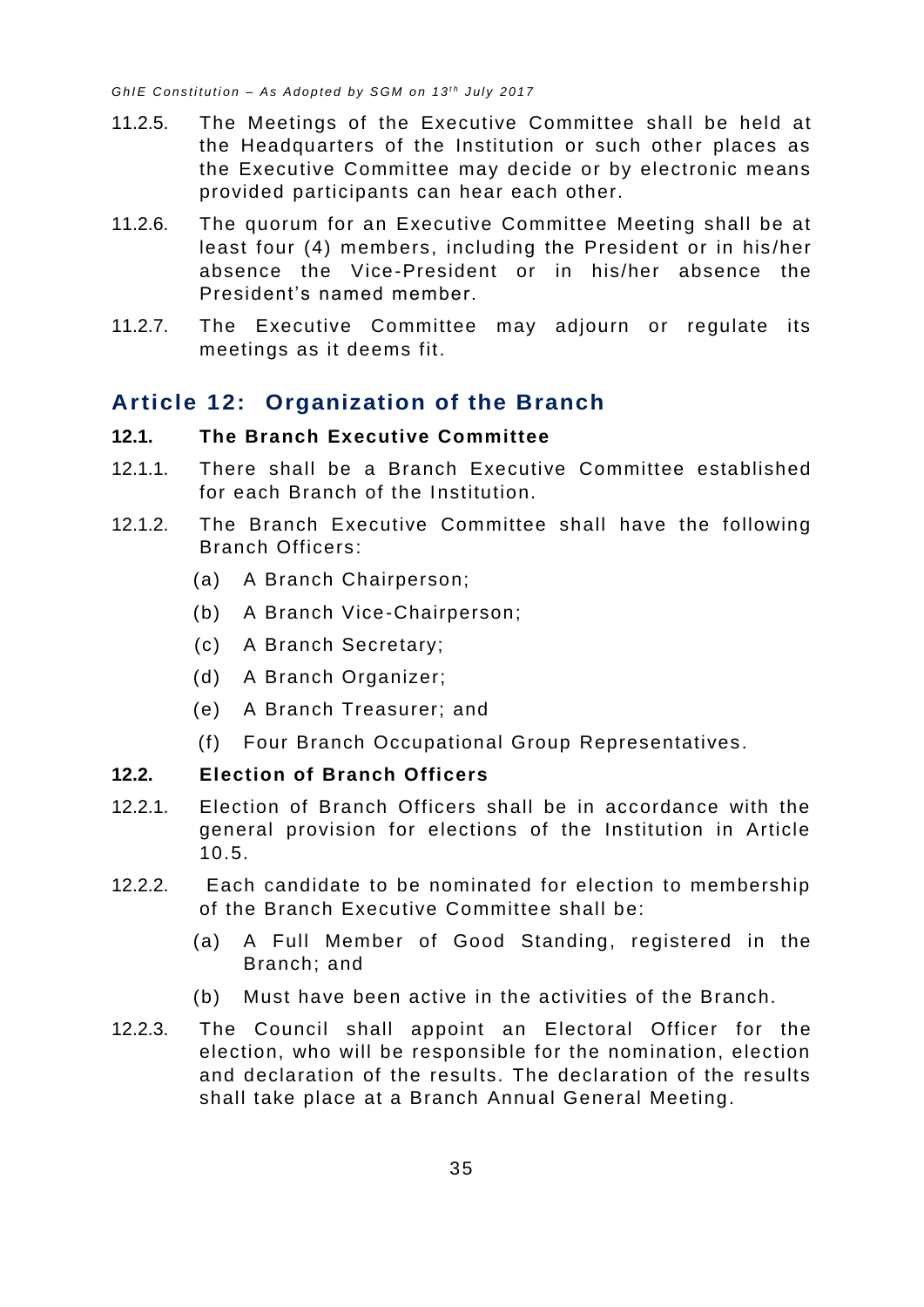- 11.2.5. The Meetings of the Executive Committee shall be held at the Headquarters of the Institution or such other places as the Executive Committee may decide or by electronic means provided participants can hear each other.
- 11.2.6. The quorum for an Executive Committee Meeting shall be at least four (4) members, including the President or in his/her absence the Vice-President or in his/her absence the President's named member.
- 11.2.7. The Executive Committee may adjourn or regulate its meetings as it deems fit.

# <span id="page-39-0"></span>**Article 12: Organization of the Branch**

#### <span id="page-39-1"></span>**12.1. The Branch Executive Committee**

- 12.1.1. There shall be a Branch Executive Committee established for each Branch of the Institution.
- 12.1.2. The Branch Executive Committee shall have the following Branch Officers:
	- (a) A Branch Chairperson;
	- (b) A Branch Vice-Chairperson;
	- (c) A Branch Secretary;
	- (d) A Branch Organizer;
	- (e) A Branch Treasurer; and
	- (f) Four Branch Occupational Group Representatives.

#### <span id="page-39-2"></span>**12.2. Election of Branch Officers**

- 12.2.1. Election of Branch Officers shall be in accordance with the general provision for elections of the Institution in Article [10.5.](#page-34-0)
- 12.2.2. Each candidate to be nominated for election to membership of the Branch Executive Committee shall be:
	- (a) A Full Member of Good Standing, registered in the Branch; and
	- (b) Must have been active in the activities of the Branch.
- 12.2.3. The Council shall appoint an Electoral Officer for the election, who will be responsible for the nomination, election and declaration of the results. The declaration of the results shall take place at a Branch Annual General Meeting.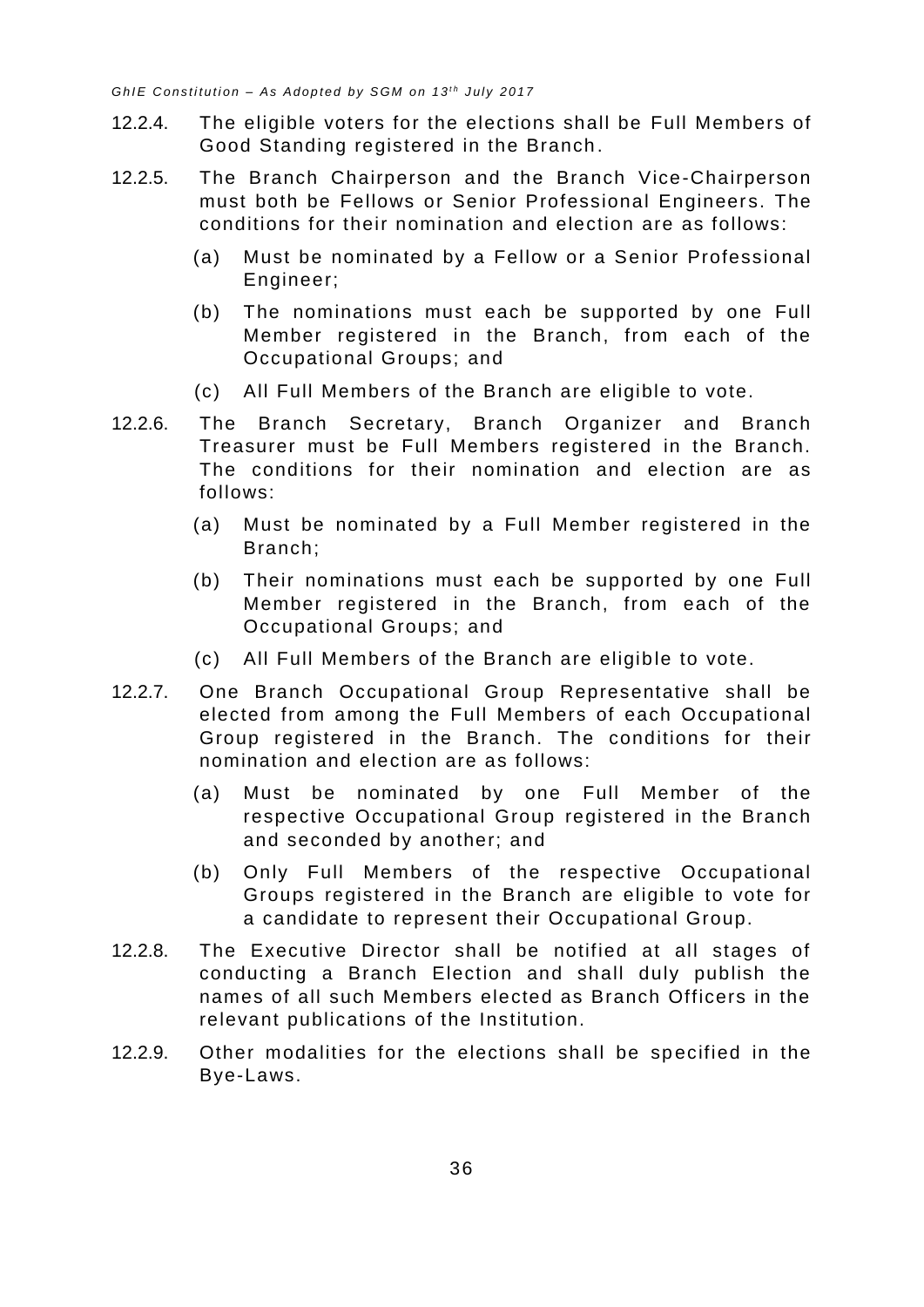- 12.2.4. The eligible voters for the elections shall be Full Members of Good Standing registered in the Branch .
- 12.2.5. The Branch Chairperson and the Branch Vice-Chairperson must both be Fellows or Senior Professional Engineers. The conditions for their nomination and election are as follows:
	- (a) Must be nominated by a Fellow or a Senior Professional Engineer;
	- (b) The nominations must each be supported by one Full Member registered in the Branch, from each of the Occupational Groups; and
	- (c) All Full Members of the Branch are eligible to vote.
- 12.2.6. The Branch Secretary, Branch Organizer and Branch Treasurer must be Full Members registered in the Branch. The conditions for their nomination and election are as follows:
	- (a) Must be nominated by a Full Member registered in the Branch;
	- (b) Their nominations must each be supported by one Full Member registered in the Branch, from each of the Occupational Groups; and
	- (c) All Full Members of the Branch are eligible to vote.
- 12.2.7. One Branch Occupational Group Representative shall be elected from among the Full Members of each Occupational Group registered in the Branch. The conditions for their nomination and election are as follows:
	- (a) Must be nominated by one Full Member of the respective Occupational Group registered in the Branch and seconded by another; and
	- (b) Only Full Members of the respective Occupational Groups registered in the Branch are eligible to vote for a candidate to represent their Occupational Group.
- 12.2.8. The Executive Director shall be notified at all stages of conducting a Branch Election and shall duly publish the names of all such Members elected as Branch Officers in the relevant publications of the Institution.
- 12.2.9. Other modalities for the elections shall be specified in the Bye-Laws.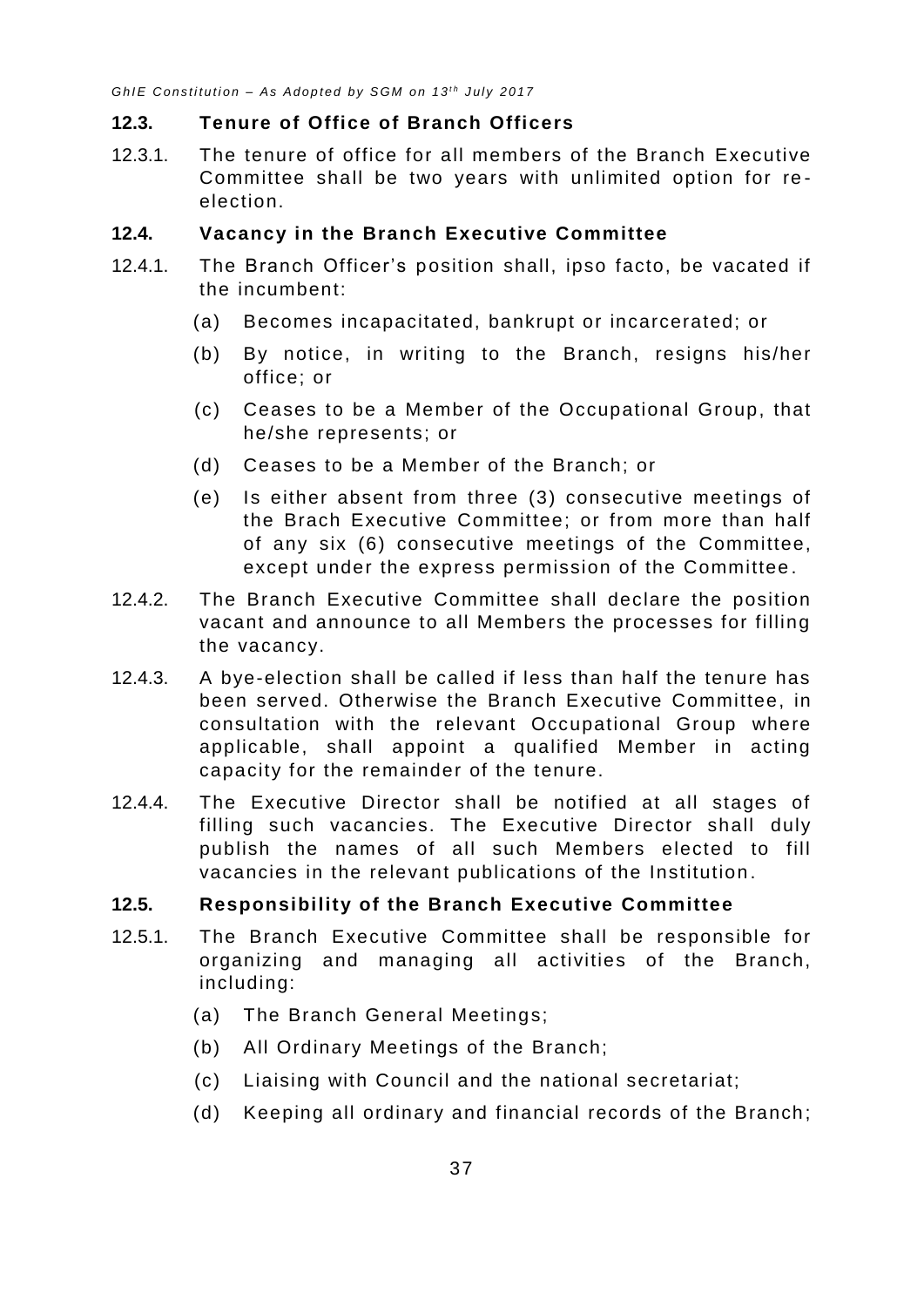#### <span id="page-41-0"></span>**12.3. Tenure of Office of Branch Officers**

12.3.1. The tenure of office for all members of the Branch Executive Committee shall be two years with unlimited option for re election.

#### <span id="page-41-1"></span>**12.4. Vacancy in the Branch Executive Committee**

- 12.4.1. The Branch Officer's position shall, ipso facto, be vacated if the incumbent:
	- (a) Becomes incapacitated, bankrupt or incarcerated; or
	- (b) By notice, in writing to the Branch, resigns his/her office; or
	- (c) Ceases to be a Member of the Occupational Group, that he/she represents; or
	- (d) Ceases to be a Member of the Branch; or
	- (e) Is either absent from three (3) consecutive meetings of the Brach Executive Committee; or from more than half of any six (6) consecutive meetings of the Committee, except under the express permission of the Committee .
- 12.4.2. The Branch Executive Committee shall declare the position vacant and announce to all Members the processes for filling the vacancy.
- 12.4.3. A bye-election shall be called if less than half the tenure has been served. Otherwise the Branch Executive Committee, in consultation with the relevant Occupational Group where applicable, shall appoint a qualified Member in acting capacity for the remainder of the tenure.
- 12.4.4. The Executive Director shall be notified at all stages of filling such vacancies. The Executive Director shall duly publish the names of all such Members elected to fill vacancies in the relevant publications of the Institution .

#### <span id="page-41-2"></span>**12.5. Responsibility of the Branch Executive Committee**

- 12.5.1. The Branch Executive Committee shall be responsible for organizing and managing all activities of the Branch, including:
	- (a) The Branch General Meetings;
	- (b) All Ordinary Meetings of the Branch;
	- (c) Liaising with Council and the national secretariat;
	- (d) Keeping all ordinary and financial records of the Branch;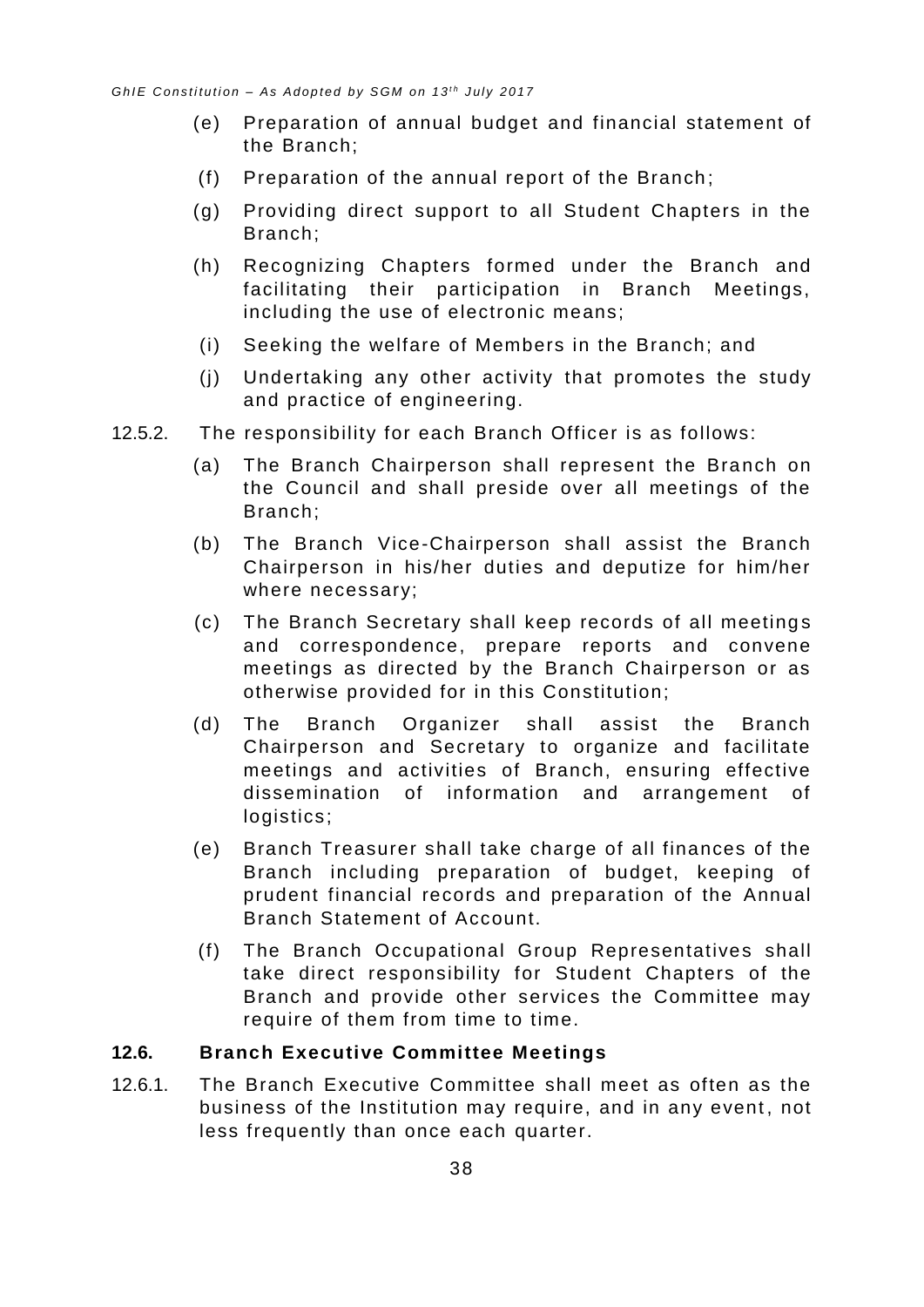- (e) Preparation of annual budget and financial statement of the Branch;
- (f) Preparation of the annual report of the Branch ;
- (g) Providing direct support to all Student Chapters in the Branch;
- (h) Recognizing Chapters formed under the Branch and facilitating their participation in Branch Meetings, including the use of electronic means;
- (i) Seeking the welfare of Members in the Branch; and
- (j) Undertaking any other activity that promotes the study and practice of engineering.
- 12.5.2. The responsibility for each Branch Officer is as follows:
	- (a) The Branch Chairperson shall represent the Branch on the Council and shall preside over all meetings of the Branch;
	- (b) The Branch Vice-Chairperson shall assist the Branch Chairperson in his/her duties and deputize for him/her where necessary;
	- (c) The Branch Secretary shall keep records of all meeting s and correspondence, prepare reports and convene meetings as directed by the Branch Chairperson or as otherwise provided for in this Constitution;
	- (d) The Branch Organizer shall assist the Branch Chairperson and Secretary to organize and facilitate meetings and activities of Branch, ensuring effective dissemination of information and arrangement of logistics;
	- (e) Branch Treasurer shall take charge of all finances of the Branch including preparation of budget, keeping of prudent financial records and preparation of the Annual Branch Statement of Account.
	- (f) The Branch Occupational Group Representatives shall take direct responsibility for Student Chapters of the Branch and provide other services the Committee may require of them from time to time.

#### <span id="page-42-0"></span>**12.6. Branch Executive Committee Meetings**

12.6.1. The Branch Executive Committee shall meet as often as the business of the Institution may require, and in any event, not less frequently than once each quarter.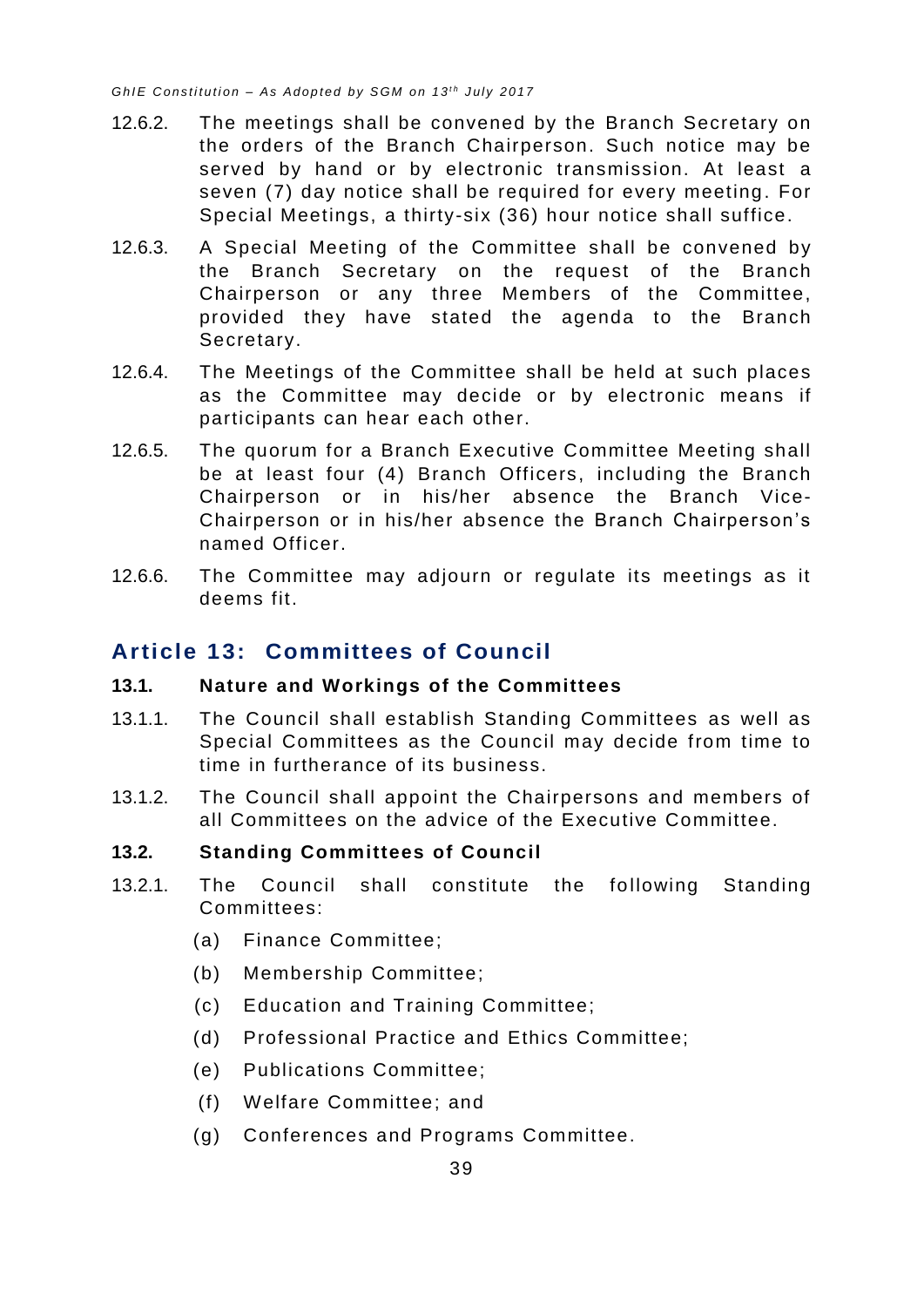- 12.6.2. The meetings shall be convened by the Branch Secretary on the orders of the Branch Chairperson. Such notice may be served by hand or by electronic transmission. At least a seven (7) day notice shall be required for every meeting. For Special Meetings, a thirty-six (36) hour notice shall suffice.
- 12.6.3. A Special Meeting of the Committee shall be convened by the Branch Secretary on the request of the Branch Chairperson or any three Members of the Committee, provided they have stated the agenda to the Branch Secretary.
- 12.6.4. The Meetings of the Committee shall be held at such places as the Committee may decide or by electronic means if participants can hear each other.
- 12.6.5. The quorum for a Branch Executive Committee Meeting shall be at least four (4) Branch Officers, including the Branch Chairperson or in his/her absence the Branch Vice-Chairperson or in his/her absence the Branch Chairperson's named Officer.
- 12.6.6. The Committee may adjourn or regulate its meetings as it deems fit.

# <span id="page-43-0"></span>**Article 13: Committees of Council**

#### <span id="page-43-1"></span>**13.1. Nature and Workings of the Committees**

- 13.1.1. The Council shall establish Standing Committees as well as Special Committees as the Council may decide from time to time in furtherance of its business.
- 13.1.2. The Council shall appoint the Chairpersons and members of all Committees on the advice of the Executive Committee.

#### <span id="page-43-2"></span>**13.2. Standing Committees of Council**

- 13.2.1. The Council shall constitute the following Standing Committees:
	- (a) Finance Committee;
	- (b) Membership Committee;
	- (c) Education and Training Committee;
	- (d) Professional Practice and Ethics Committee;
	- (e) Publications Committee;
	- (f) Welfare Committee; and
	- (g) Conferences and Programs Committee.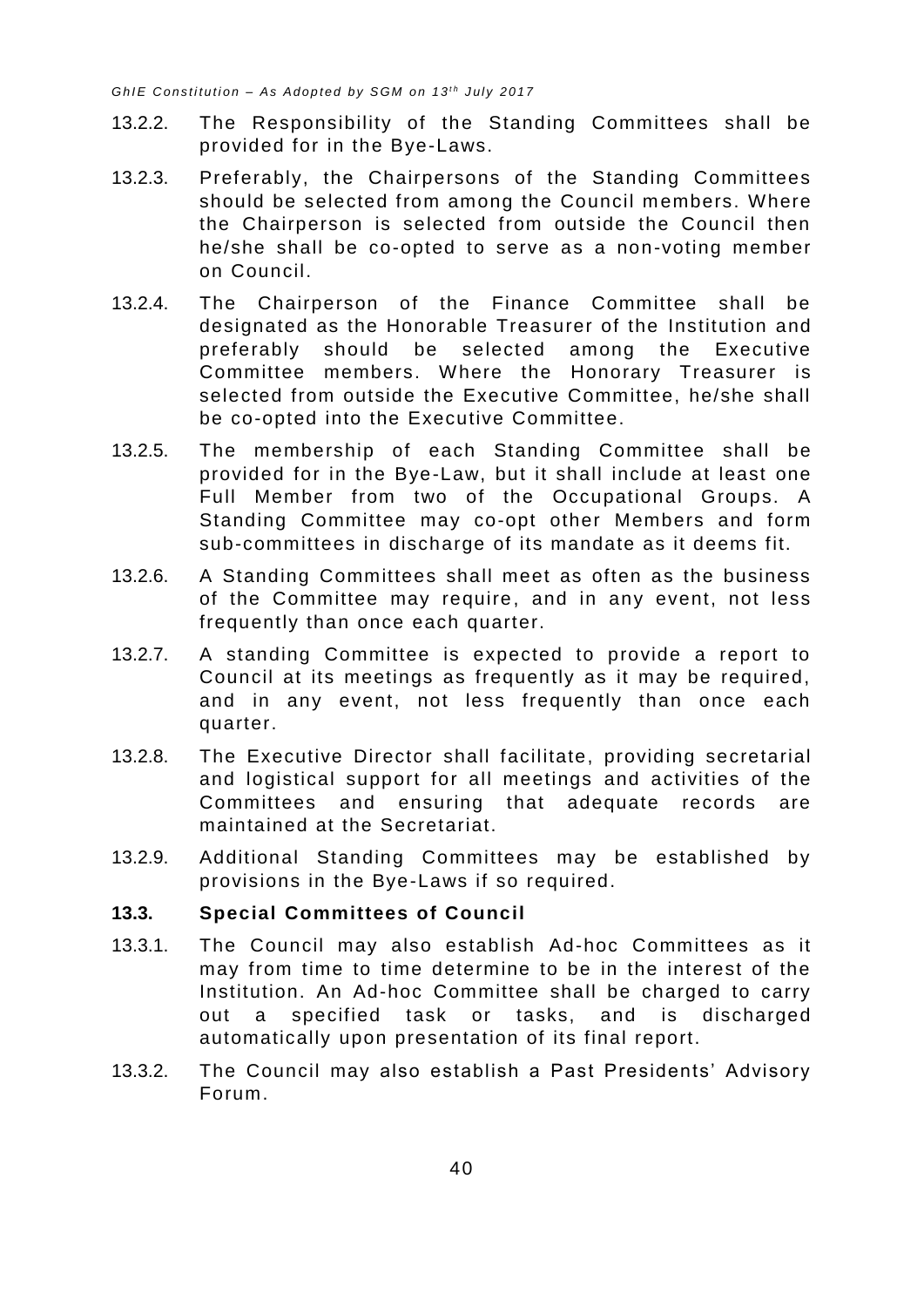- 13.2.2. The Responsibility of the Standing Committees shall be provided for in the Bye-Laws.
- 13.2.3. Preferably, the Chairpersons of the Standing Committees should be selected from among the Council members. Where the Chairperson is selected from outside the Council then he/she shall be co-opted to serve as a non-voting member on Council.
- 13.2.4. The Chairperson of the Finance Committee shall be designated as the Honorable Treasurer of the Institution and preferably should be selected among the Executive Committee members. Where the Honorary Treasurer is selected from outside the Executive Committee, he/she shall be co-opted into the Executive Committee.
- 13.2.5. The membership of each Standing Committee shall be provided for in the Bye-Law, but it shall include at least one Full Member from two of the Occupational Groups. A Standing Committee may co-opt other Members and form sub-committees in discharge of its mandate as it deems fit.
- 13.2.6. A Standing Committees shall meet as often as the business of the Committee may require, and in any event, not less frequently than once each quarter.
- 13.2.7. A standing Committee is expected to provide a report to Council at its meetings as frequently as it may be required, and in any event, not less frequently than once each quarter.
- 13.2.8. The Executive Director shall facilitate, providing secretarial and logistical support for all meetings and activities of the Committees and ensuring that adequate records are maintained at the Secretariat.
- 13.2.9. Additional Standing Committees may be established by provisions in the Bye-Laws if so required.

#### <span id="page-44-0"></span>**13.3. Special Committees of Council**

- 13.3.1. The Council may also establish Ad-hoc Committees as it may from time to time determine to be in the interest of the Institution. An Ad-hoc Committee shall be charged to carry out a specified task or tasks, and is discharged automatically upon presentation of its final report.
- 13.3.2. The Council may also establish a Past Presidents' Advisory Forum.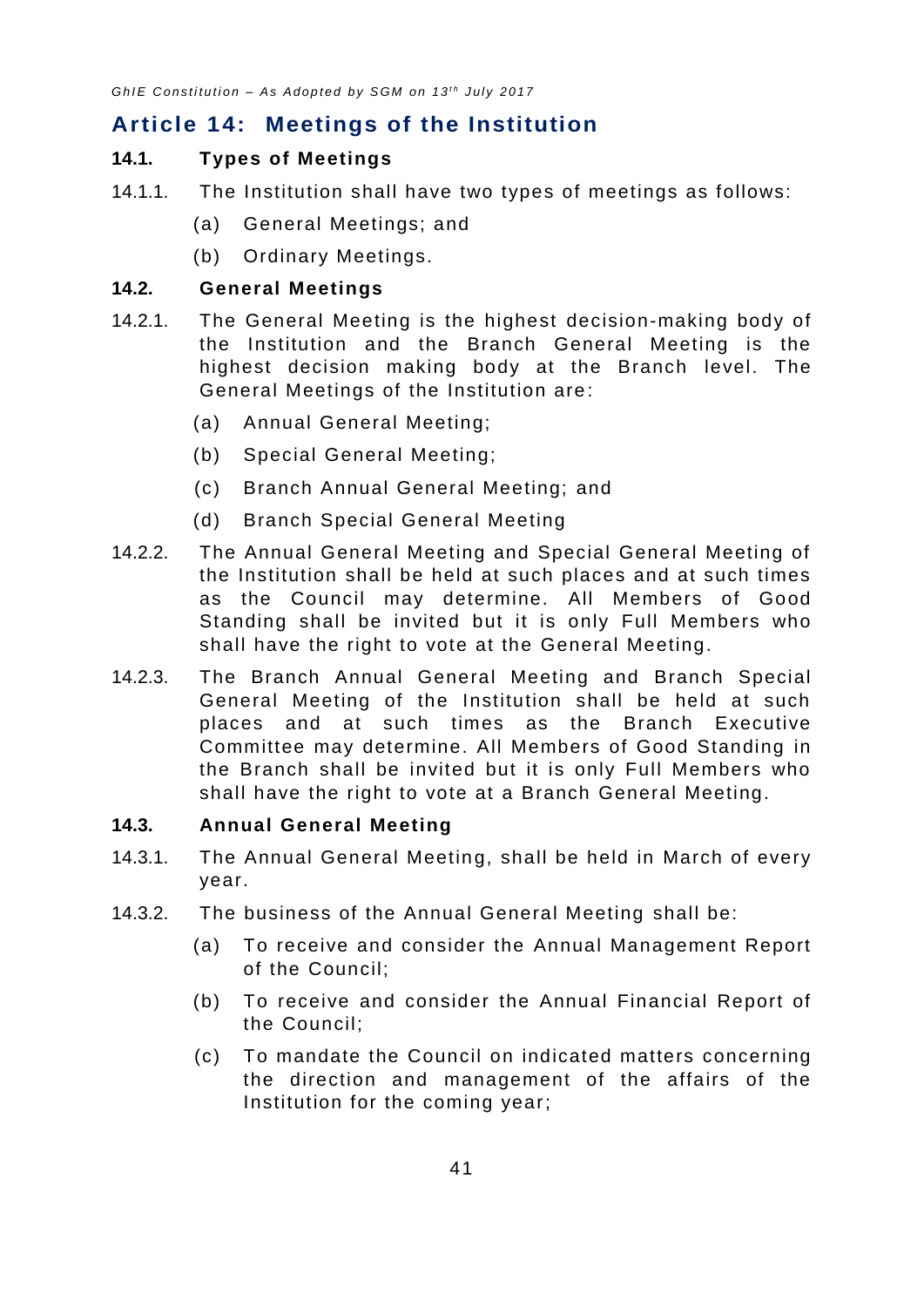# <span id="page-45-0"></span>**Article 14: Meetings of the Institution**

#### <span id="page-45-1"></span>**14.1. Types of Meetings**

- 14.1.1. The Institution shall have two types of meetings as follows:
	- (a) General Meetings; and
	- (b) Ordinary Meetings.

#### <span id="page-45-2"></span>**14.2. General Meetings**

- 14.2.1. The General Meeting is the highest decision-making body of the Institution and the Branch General Meeting is the highest decision making body at the Branch level. The General Meetings of the Institution are :
	- (a) Annual General Meeting;
	- (b) Special General Meeting;
	- (c) Branch Annual General Meeting; and
	- (d) Branch Special General Meeting
- 14.2.2. The Annual General Meeting and Special General Meeting of the Institution shall be held at such places and at such times as the Council may determine. All Members of Good Standing shall be invited but it is only Full Members who shall have the right to vote at the General Meeting.
- 14.2.3. The Branch Annual General Meeting and Branch Special General Meeting of the Institution shall be held at such places and at such times as the Branch Executive Committee may determine. All Members of Good Standing in the Branch shall be invited but it is only Full Members who shall have the right to vote at a Branch General Meeting.

#### <span id="page-45-3"></span>**14.3. Annual General Meeting**

- 14.3.1. The Annual General Meeting, shall be held in March of every year.
- 14.3.2. The business of the Annual General Meeting shall be:
	- (a) To receive and consider the Annual Management Report of the Council;
	- (b) To receive and consider the Annual Financial Report of the Council;
	- (c) To mandate the Council on indicated matters concerning the direction and management of the affairs of the Institution for the coming year;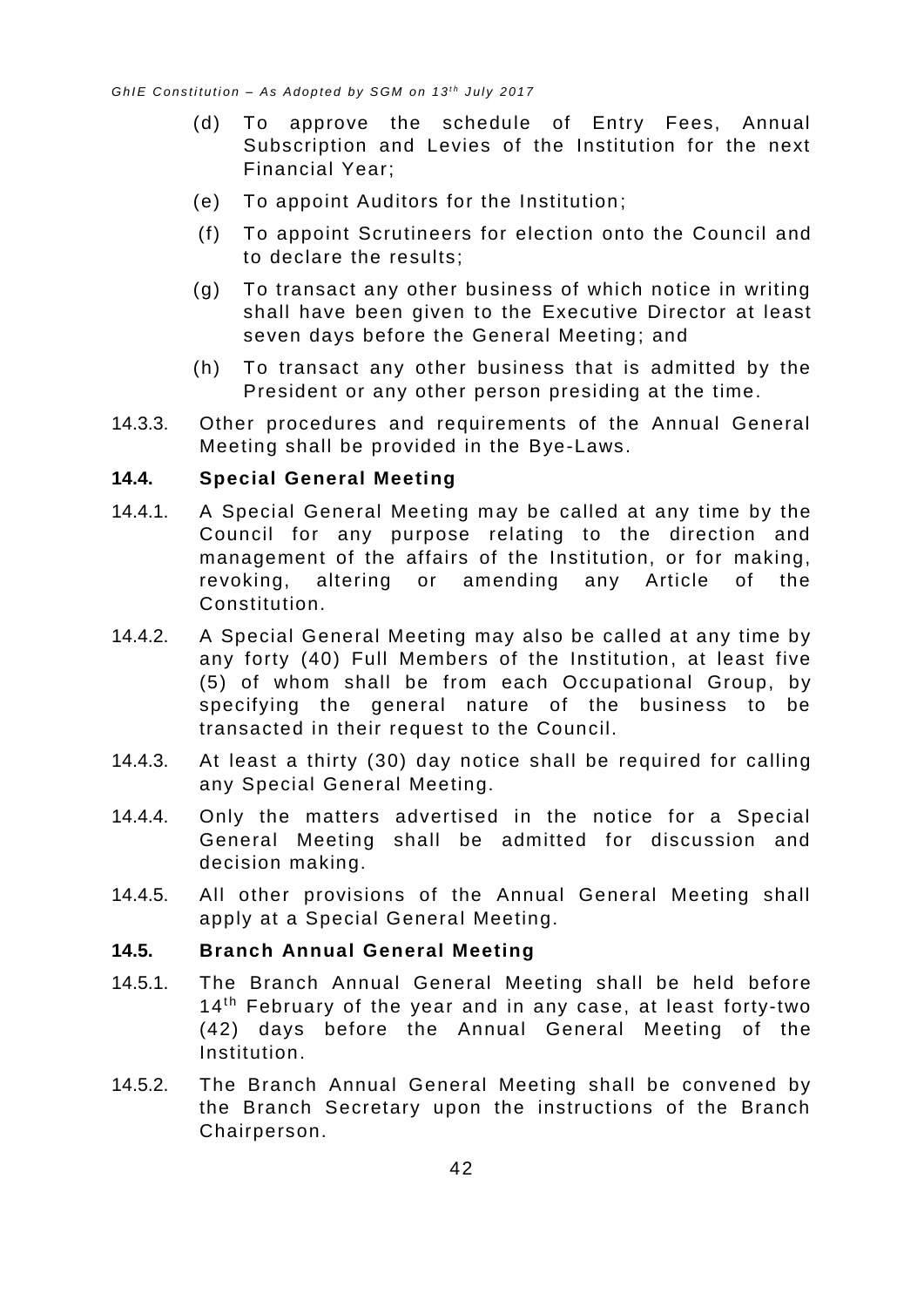- (d) To approve the schedule of Entry Fees, Annual Subscription and Levies of the Institution for the next Financial Year;
- (e) To appoint Auditors for the Institution ;
- (f) To appoint Scrutineers for election onto the Council and to declare the results;
- (g) To transact any other business of which notice in writing shall have been given to the Executive Director at least seven days before the General Meeting; and
- (h) To transact any other business that is admitted by the President or any other person presiding at the time.
- 14.3.3. Other procedures and requirements of the Annual General Meeting shall be provided in the Bye-Laws.

#### <span id="page-46-0"></span>**14.4. Special General Meeting**

- 14.4.1. A Special General Meeting may be called at any time by the Council for any purpose relating to the direction and management of the affairs of the Institution, or for making, revoking, altering or amending any Article of the Constitution.
- 14.4.2. A Special General Meeting may also be called at any time by any forty (40) Full Members of the Institution, at least five (5) of whom shall be from each Occupational Group, by specifying the general nature of the business to be transacted in their request to the Council.
- 14.4.3. At least a thirty (30) day notice shall be required for calling any Special General Meeting.
- 14.4.4. Only the matters advertised in the notice for a Special General Meeting shall be admitted for discussion and decision making.
- 14.4.5. All other provisions of the Annual General Meeting shall apply at a Special General Meeting.

#### <span id="page-46-1"></span>**14.5. Branch Annual General Meeting**

- 14.5.1. The Branch Annual General Meeting shall be held before  $14<sup>th</sup>$  February of the year and in any case, at least forty-two (42) days before the Annual General Meeting of the Institution.
- 14.5.2. The Branch Annual General Meeting shall be convened by the Branch Secretary upon the instructions of the Branch Chairperson.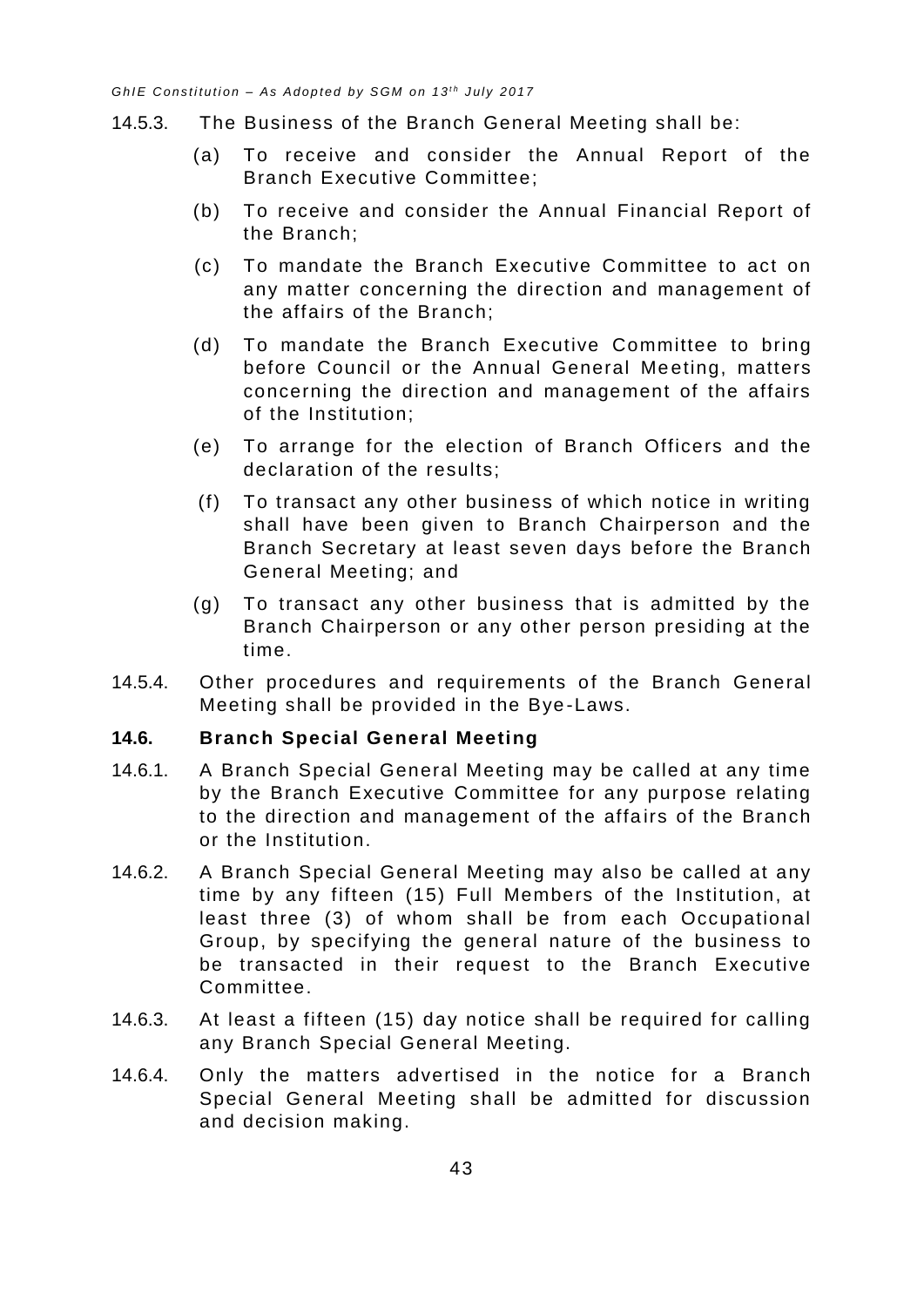- 14.5.3. The Business of the Branch General Meeting shall be:
	- (a) To receive and consider the Annual Report of the Branch Executive Committee;
	- (b) To receive and consider the Annual Financial Report of the Branch;
	- (c) To mandate the Branch Executive Committee to act on any matter concerning the direction and management of the affairs of the Branch;
	- (d) To mandate the Branch Executive Committee to bring before Council or the Annual General Meeting, matters concerning the direction and management of the affairs of the Institution;
	- (e) To arrange for the election of Branch Officers and the declaration of the results;
	- (f) To transact any other business of which notice in writing shall have been given to Branch Chairperson and the Branch Secretary at least seven days before the Branch General Meeting; and
	- (g) To transact any other business that is admitted by the Branch Chairperson or any other person presiding at the time.
- 14.5.4. Other procedures and requirements of the Branch General Meeting shall be provided in the Bye -Laws.

#### <span id="page-47-0"></span>**14.6. Branch Special General Meeting**

- 14.6.1. A Branch Special General Meeting may be called at any time by the Branch Executive Committee for any purpose relating to the direction and management of the affairs of the Branch or the Institution.
- 14.6.2. A Branch Special General Meeting may also be called at any time by any fifteen (15) Full Members of the Institution, at least three (3) of whom shall be from each Occupational Group, by specifying the general nature of the business to be transacted in their request to the Branch Executive Committee.
- 14.6.3. At least a fifteen (15) day notice shall be required for calling any Branch Special General Meeting.
- 14.6.4. Only the matters advertised in the notice for a Branch Special General Meeting shall be admitted for discussion and decision making.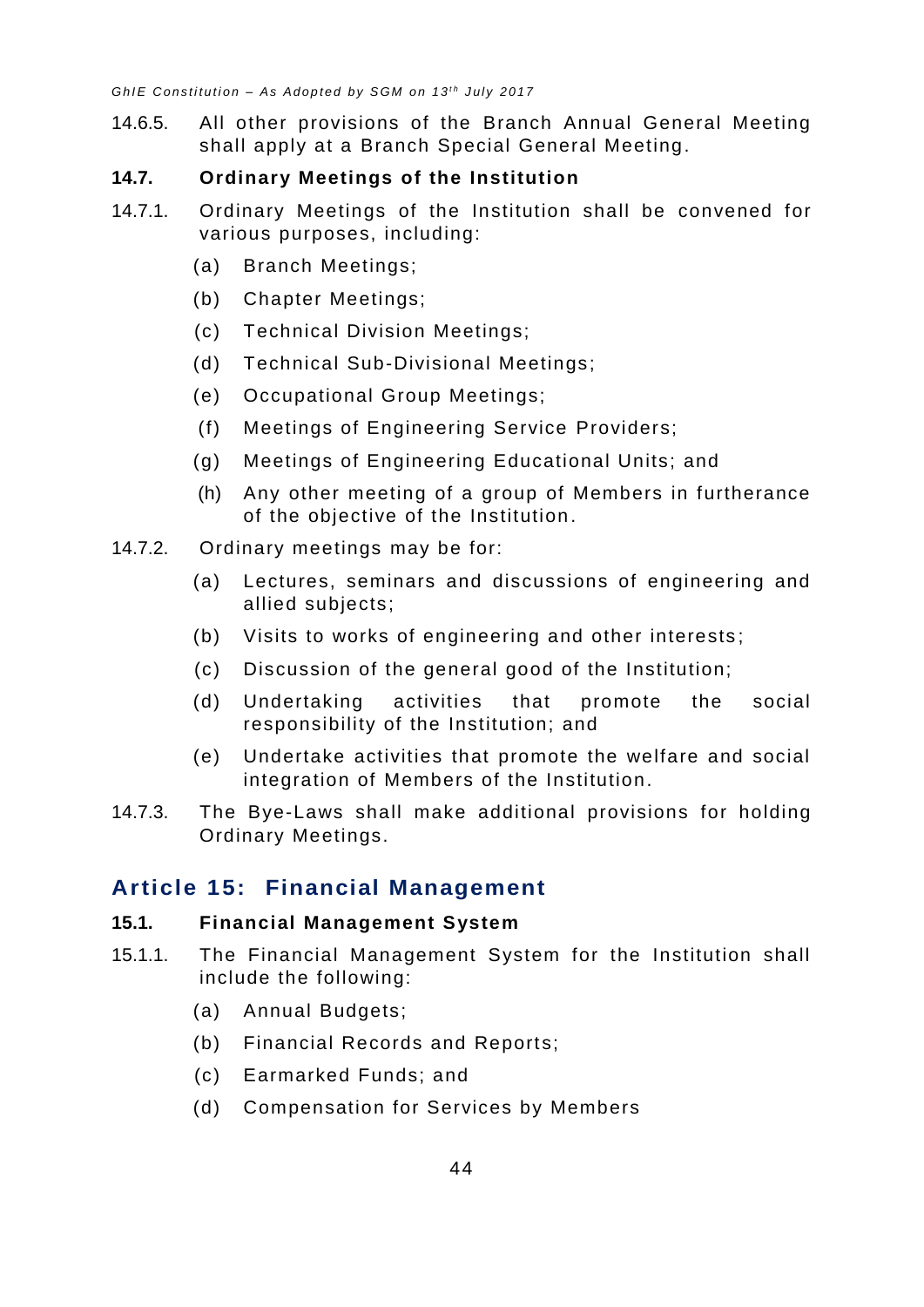14.6.5. All other provisions of the Branch Annual General Meeting shall apply at a Branch Special General Meeting.

#### <span id="page-48-0"></span>**14.7. Ordinary Meetings of the Institution**

- 14.7.1. Ordinary Meetings of the Institution shall be convened for various purposes, including:
	- (a) Branch Meetings;
	- (b) Chapter Meetings;
	- (c) Technical Division Meetings;
	- (d) Technical Sub-Divisional Meetings;
	- (e) Occupational Group Meetings;
	- (f) Meetings of Engineering Service Providers;
	- (g) Meetings of Engineering Educational Units; and
	- (h) Any other meeting of a group of Members in furtherance of the objective of the Institution .
- 14.7.2. Ordinary meetings may be for:
	- (a) Lectures, seminars and discussions of engineering and allied subjects;
	- (b) Visits to works of engineering and other interests ;
	- (c) Discussion of the general good of the Institution;
	- (d) Undertaking activities that promote the social responsibility of the Institution; and
	- (e) Undertake activities that promote the welfare and social integration of Members of the Institution.
- 14.7.3. The Bye-Laws shall make additional provisions for holding Ordinary Meetings.

# <span id="page-48-1"></span>**Article 15: Financial Management**

#### <span id="page-48-2"></span>**15.1. Financial Management System**

- 15.1.1. The Financial Management System for the Institution shall include the following:
	- (a) Annual Budgets;
	- (b) Financial Records and Reports;
	- (c) Earmarked Funds; and
	- (d) Compensation for Services by Members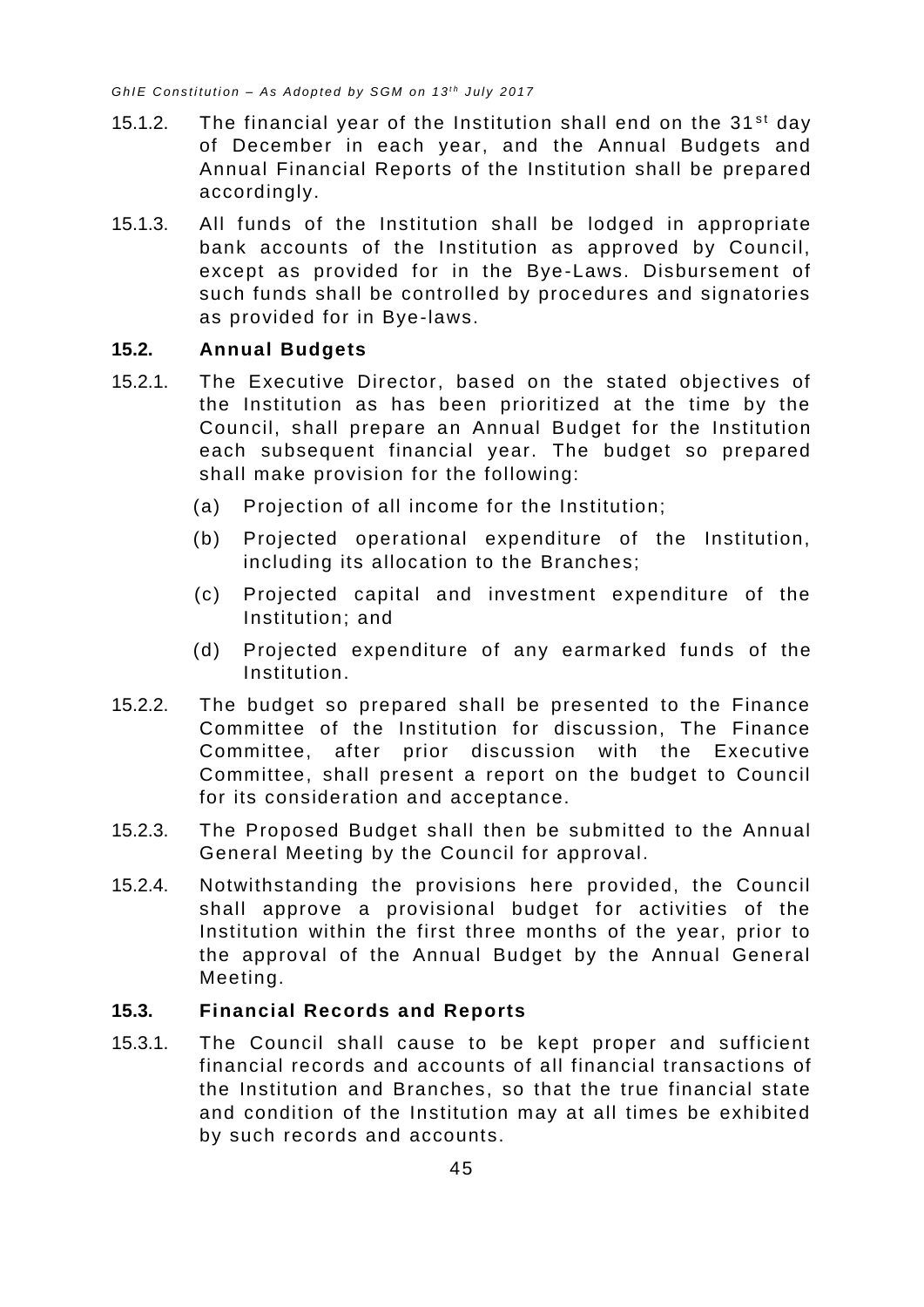- 15.1.2. The financial year of the Institution shall end on the  $31<sup>st</sup>$  day of December in each year, and the Annual Budgets and Annual Financial Reports of the Institution shall be prepared accordingly.
- 15.1.3. All funds of the Institution shall be lodged in appropriate bank accounts of the Institution as approved by Council, except as provided for in the Bye -Laws. Disbursement of such funds shall be controlled by procedures and signatories as provided for in Bye-laws.

#### <span id="page-49-0"></span>**15.2. Annual Budgets**

- 15.2.1. The Executive Director, based on the stated objectives of the Institution as has been prioritized at the time by the Council, shall prepare an Annual Budget for the Institution each subsequent financial year. The budget so prepared shall make provision for the following:
	- (a) Projection of all income for the Institution;
	- (b) Projected operational expenditure of the Institution, including its allocation to the Branches;
	- (c) Projected capital and investment expenditure of the Institution; and
	- (d) Projected expenditure of any earmarked funds of the Institution.
- 15.2.2. The budget so prepared shall be presented to the Finance Committee of the Institution for discussion, The Finance Committee, after prior discussion with the Executive Committee, shall present a report on the budget to Council for its consideration and acceptance.
- 15.2.3. The Proposed Budget shall then be submitted to the Annual General Meeting by the Council for approval.
- 15.2.4. Notwithstanding the provisions here provided, the Council shall approve a provisional budget for activities of the Institution within the first three months of the year, prior to the approval of the Annual Budget by the Annual General Meeting.

#### <span id="page-49-1"></span>**15.3. Financial Records and Reports**

15.3.1. The Council shall cause to be kept proper and sufficient financial records and accounts of all financial transactions of the Institution and Branches, so that the true financial state and condition of the Institution may at all times be exhibited by such records and accounts.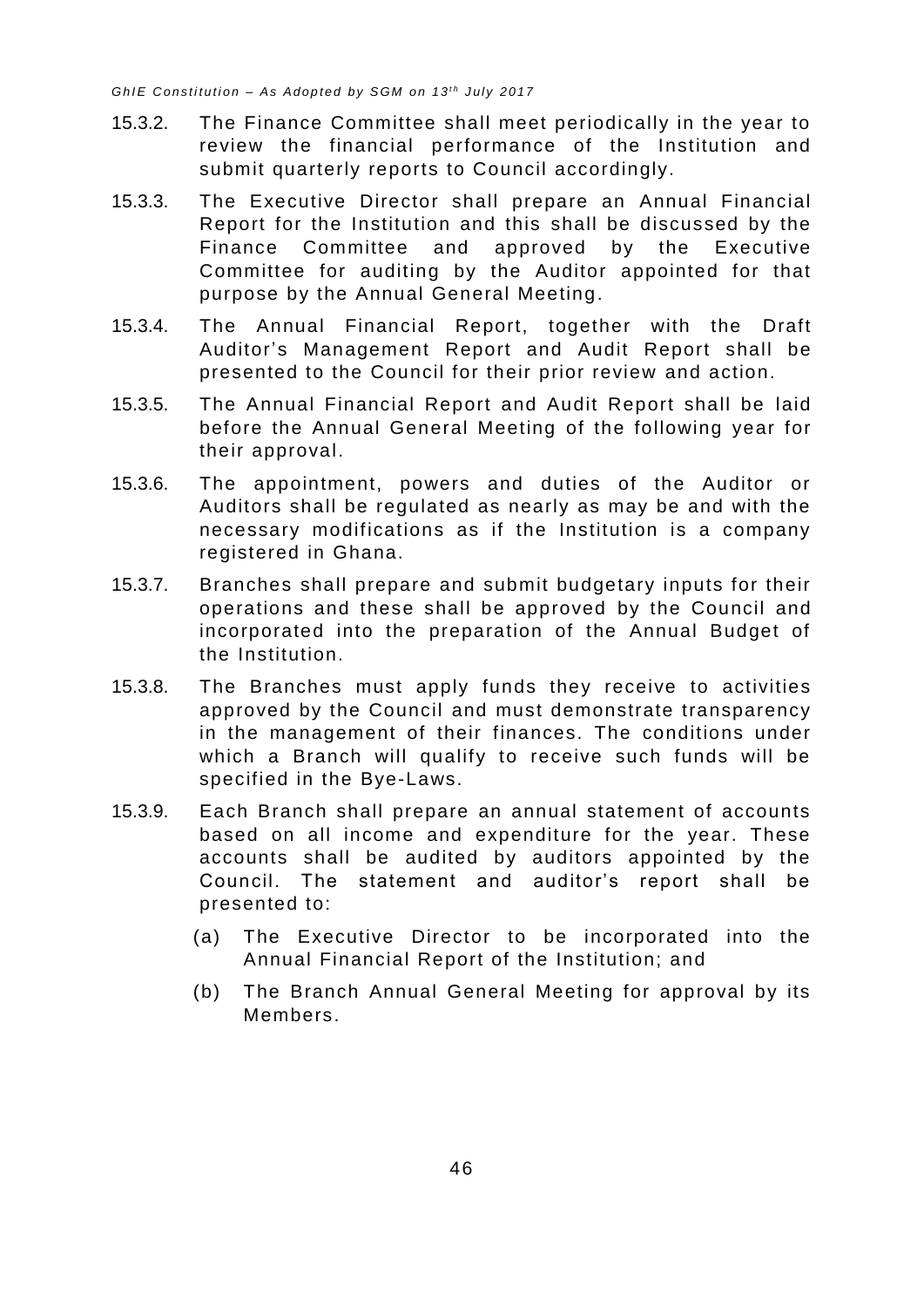- 15.3.2. The Finance Committee shall meet periodically in the year to review the financial performance of the Institution and submit quarterly reports to Council accordingly.
- 15.3.3. The Executive Director shall prepare an Annual Financial Report for the Institution and this shall be discussed by the Finance Committee and approved by the Executive Committee for auditing by the Auditor appointed for that purpose by the Annual General Meeting.
- 15.3.4. The Annual Financial Report, together with the Draft Auditor's Management Report and Audit Report shall be presented to the Council for their prior review and action.
- 15.3.5. The Annual Financial Report and Audit Report shall be laid before the Annual General Meeting of the following year for their approval.
- 15.3.6. The appointment, powers and duties of the Auditor or Auditors shall be regulated as nearly as may be and with the necessary modifications as if the Institution is a company registered in Ghana.
- 15.3.7. Branches shall prepare and submit budgetary inputs for their operations and these shall be approved by the Council and incorporated into the preparation of the Annual Budget of the Institution.
- 15.3.8. The Branches must apply funds they receive to activities approved by the Council and must demonstrate transparency in the management of their finances. The conditions under which a Branch will qualify to receive such funds will be specified in the Bye-Laws.
- 15.3.9. Each Branch shall prepare an annual statement of accounts based on all income and expenditure for the year. These accounts shall be audited by auditors appointed by the Council. The statement and auditor's report shall be presented to:
	- (a) The Executive Director to be incorporated into the Annual Financial Report of the Institution; and
	- (b) The Branch Annual General Meeting for approval by its Members.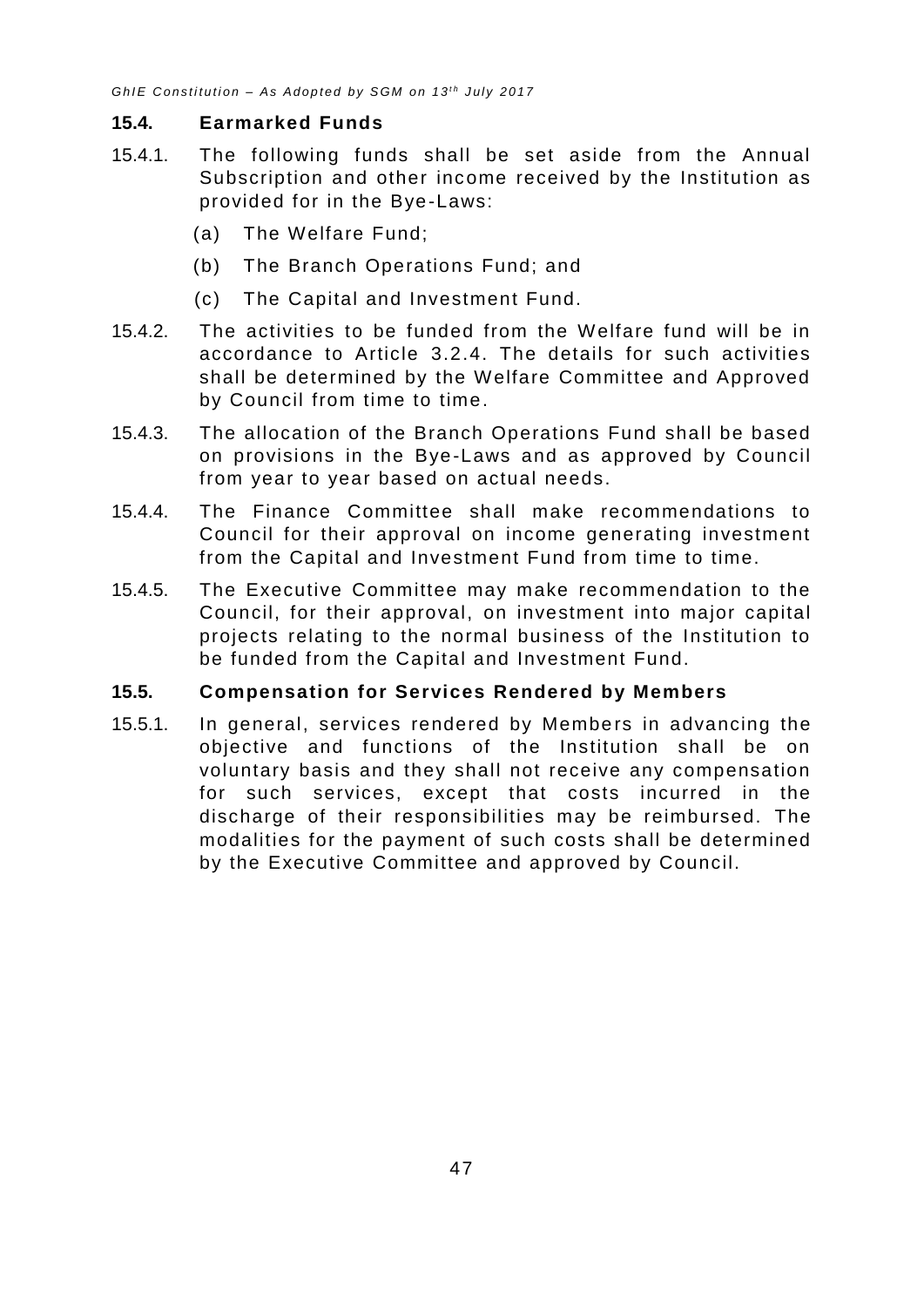#### <span id="page-51-0"></span>**15.4. Earmarked Funds**

- 15.4.1. The following funds shall be set aside from the Annual Subscription and other income received by the Institution as provided for in the Bye-Laws:
	- (a) The Welfare Fund;
	- (b) The Branch Operations Fund; and
	- (c) The Capital and Investment Fund.
- 15.4.2. The activities to be funded from the Welfare fund will be in accordance to Article [3.2.4.](#page-7-0) The details for such activities shall be determined by the Welfare Committee and Approved by Council from time to time.
- 15.4.3. The allocation of the Branch Operations Fund shall be based on provisions in the Bye-Laws and as approved by Council from year to year based on actual needs.
- 15.4.4. The Finance Committee shall make recommendations to Council for their approval on income generating investment from the Capital and Investment Fund from time to time.
- 15.4.5. The Executive Committee may make recommendation to the Council, for their approval, on investment into major capital projects relating to the normal business of the Institution to be funded from the Capital and Investment Fund.

#### <span id="page-51-1"></span>**15.5. Compensation for Services Rendered by Members**

<span id="page-51-2"></span>15.5.1. In general, services rendered by Members in advancing the objective and functions of the Institution shall be on voluntary basis and they shall not receive any compensation for such services, except that costs incurred in the discharge of their responsibilities may be reimbursed. The modalities for the payment of such costs shall be determined by the Executive Committee and approved by Council.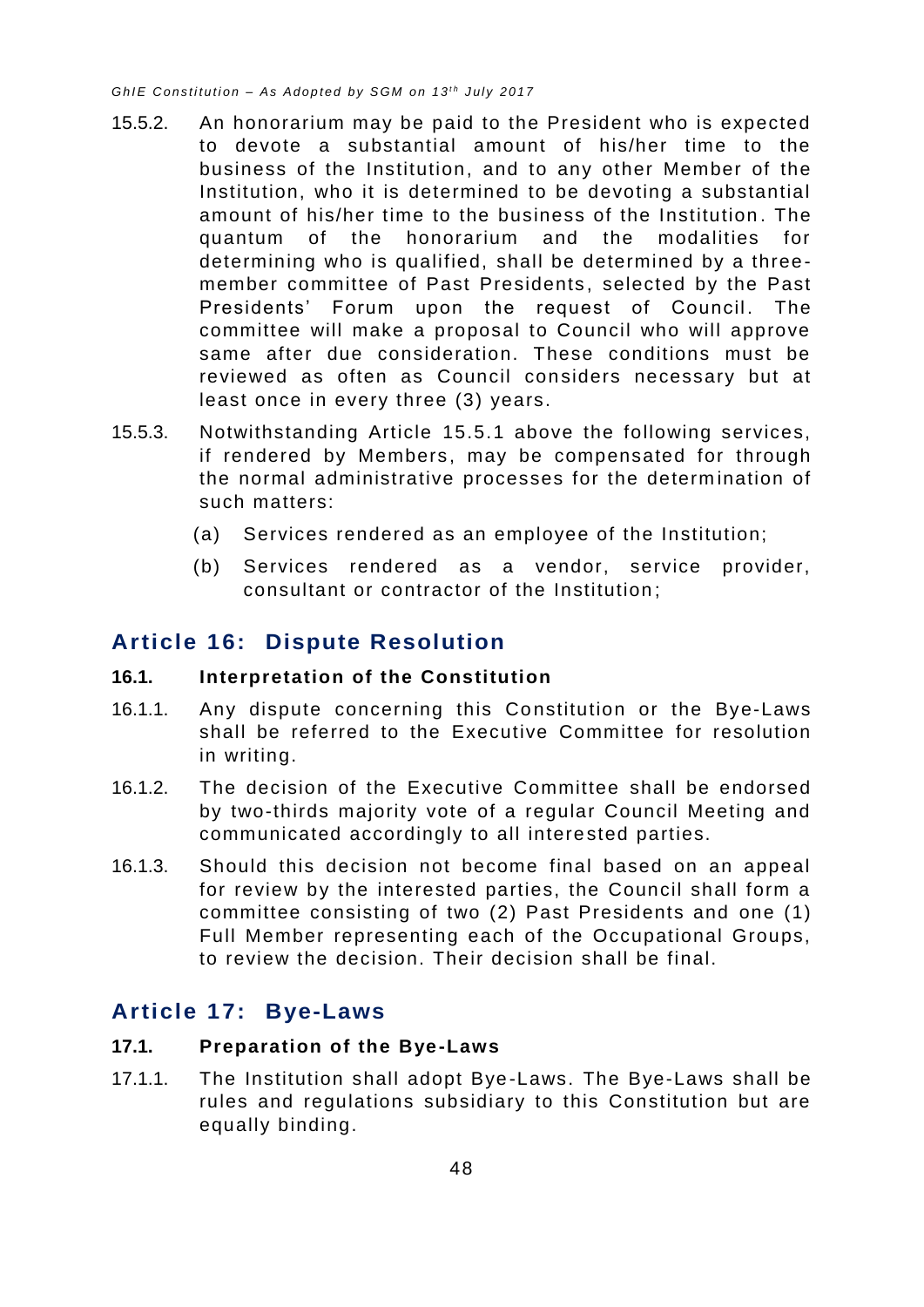- 15.5.2. An honorarium may be paid to the President who is expected to devote a substantial amount of his/her time to the business of the Institution, and to any other Member of the Institution, who it is determined to be devoting a substantial amount of his/her time to the business of the Institution . The quantum of the honorarium and the modalities for determining who is qualified, shall be determined by a threemember committee of Past Presidents, selected by the Past Presidents' Forum upon the request of Council. The committee will make a proposal to Council who will approve same after due consideration. These conditions must be reviewed as often as Council considers necessary but at least once in every three (3) years.
- 15.5.3. Notwithstanding Article [15.5.1](#page-51-2) above the following services, if rendered by Members, may be compensated for through the normal administrative processes for the determ ination of such matters:
	- (a) Services rendered as an employee of the Institution;
	- (b) Services rendered as a vendor, service provider, consultant or contractor of the Institution ;

# <span id="page-52-0"></span>**Article 16: Dispute Resolution**

#### <span id="page-52-1"></span>**16.1. Interpretation of the Constitution**

- 16.1.1. Any dispute concerning this Constitution or the Bye-Laws shall be referred to the Executive Committee for resolution in writing.
- 16.1.2. The decision of the Executive Committee shall be endorsed by two-thirds majority vote of a regular Council Meeting and communicated accordingly to all intere sted parties.
- 16.1.3. Should this decision not become final based on an appeal for review by the interested parties, the Council shall form a committee consisting of two (2) Past Presidents and one (1) Full Member representing each of the Occupational Groups, to review the decision. Their decision shall be final.

# <span id="page-52-2"></span>**Article 17: Bye-Laws**

#### <span id="page-52-3"></span>**17.1. Preparation of the Bye-Laws**

17.1.1. The Institution shall adopt Bye-Laws. The Bye-Laws shall be rules and regulations subsidiary to this Constitution but are equally binding.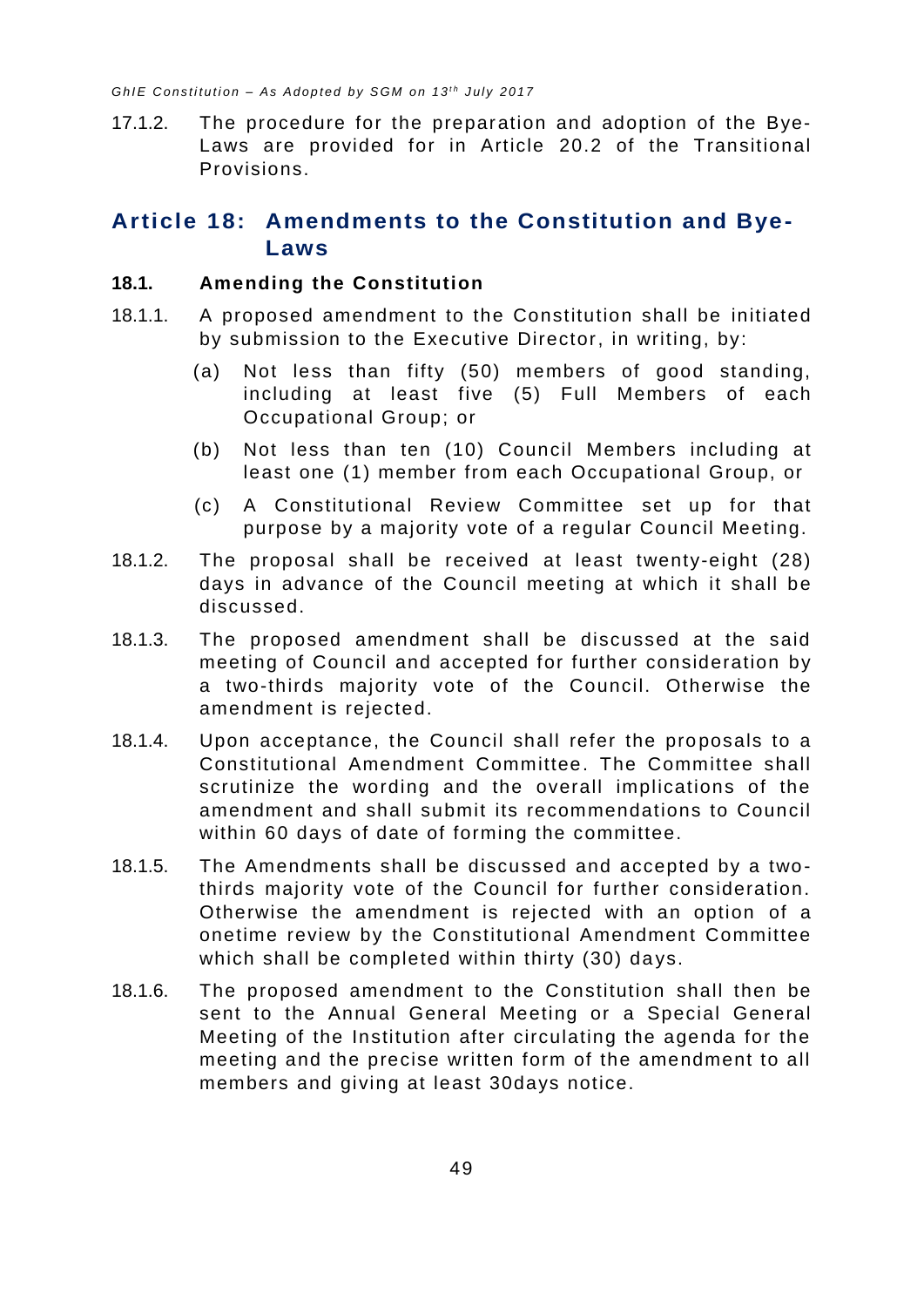17.1.2. The procedure for the preparation and adoption of the Bye-Laws are provided for in Article [20.2](#page-56-3) of the Transitional Provisions.

# <span id="page-53-0"></span>**Article 18: Amendments to the Constitution and Bye-Laws**

#### <span id="page-53-1"></span>**18.1. Amending the Constitution**

- 18.1.1. A proposed amendment to the Constitution shall be initiated by submission to the Executive Director, in writing, by:
	- (a) Not less than fifty (50) members of good standing, including at least five (5) Full Members of each Occupational Group; or
	- (b) Not less than ten (10) Council Members including at least one (1) member from each Occupational Group, or
	- (c) A Constitutional Review Committee set up for that purpose by a majority vote of a regular Council Meeting.
- 18.1.2. The proposal shall be received at least twenty-eight (28) days in advance of the Council meeting at which it shall be discussed.
- 18.1.3. The proposed amendment shall be discussed at the said meeting of Council and accepted for further consideration by a two-thirds majority vote of the Council. Otherwise the amendment is rejected.
- 18.1.4. Upon acceptance, the Council shall refer the proposals to a Constitutional Amendment Committee. The Committee shall scrutinize the wording and the overall implications of the amendment and shall submit its recommendations to Council within 60 days of date of forming the committee.
- 18.1.5. The Amendments shall be discussed and accepted by a two thirds majority vote of the Council for further consideration. Otherwise the amendment is rejected with an option of a onetime review by the Constitutional Amendment Committee which shall be completed within thirty (30) days.
- 18.1.6. The proposed amendment to the Constitution shall then be sent to the Annual General Meeting or a Special General Meeting of the Institution after circulating the agenda for the meeting and the precise written form of the amendment to all members and giving at least 30days notice.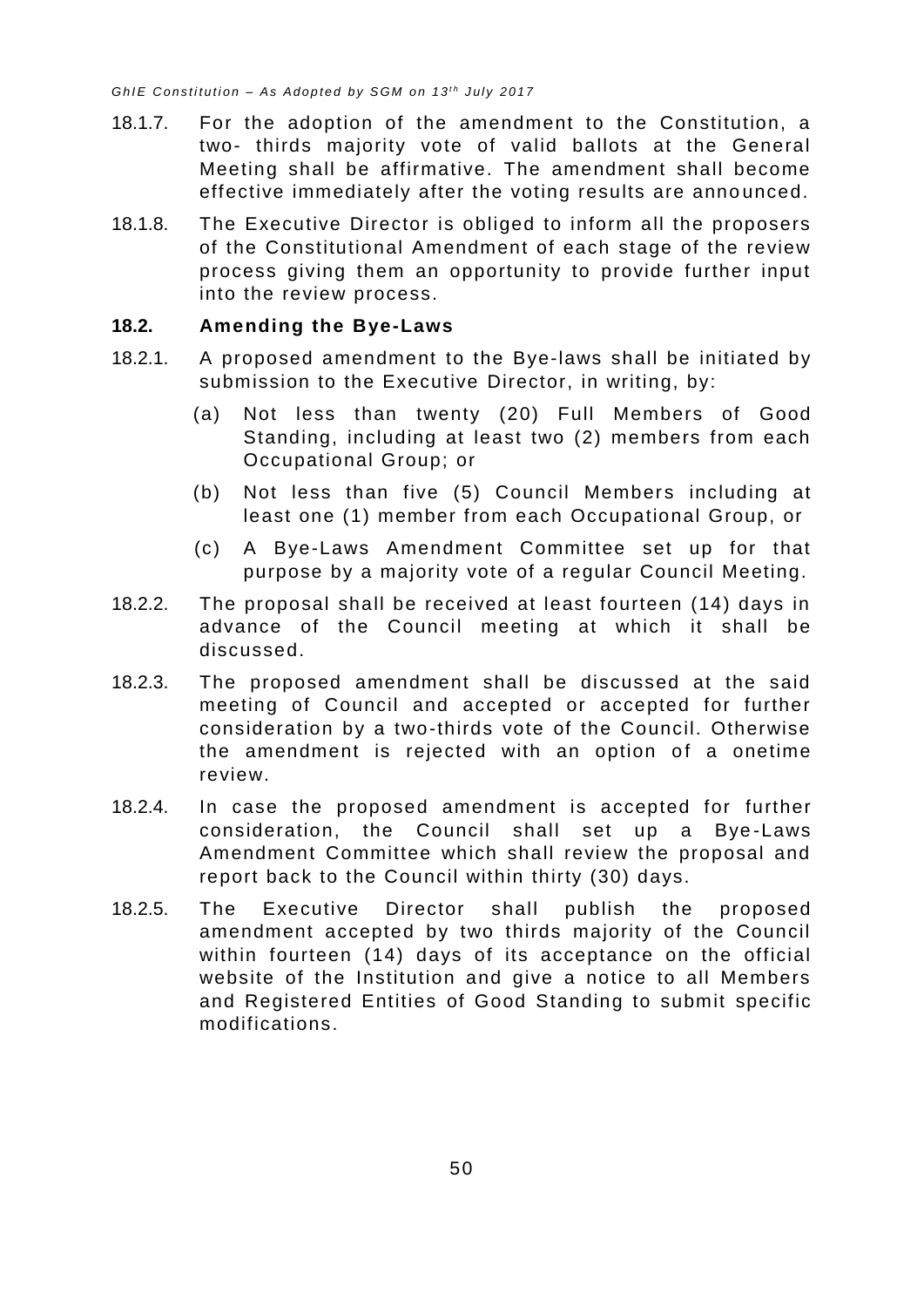- 18.1.7. For the adoption of the amendment to the Constitution, a two- thirds majority vote of valid ballots at the General Meeting shall be affirmative. The amendment shall become effective immediately after the voting results are anno unced.
- 18.1.8. The Executive Director is obliged to inform all the proposers of the Constitutional Amendment of each stage of the review process giving them an opportunity to provide further input into the review process.

#### <span id="page-54-0"></span>**18.2. Amending the Bye-Laws**

- 18.2.1. A proposed amendment to the Bye-laws shall be initiated by submission to the Executive Director, in writing, by:
	- (a) Not less than twenty (20) Full Members of Good Standing, including at least two (2) members from each Occupational Group; or
	- (b) Not less than five (5) Council Members including at least one (1) member from each Occupational Group, or
	- (c) A Bye-Laws Amendment Committee set up for that purpose by a majority vote of a regular Council Meeting.
- 18.2.2. The proposal shall be received at least fourteen (14) days in advance of the Council meeting at which it shall be discussed.
- 18.2.3. The proposed amendment shall be discussed at the said meeting of Council and accepted or accepted for further consideration by a two-thirds vote of the Council. Otherwise the amendment is rejected with an option of a onetime review.
- 18.2.4. In case the proposed amendment is accepted for further consideration, the Council shall set up a Bye -Laws Amendment Committee which shall review the proposal and report back to the Council within thirty (30) days.
- 18.2.5. The Executive Director shall publish the proposed amendment accepted by two thirds majority of the Council within fourteen (14) days of its acceptance on the official website of the Institution and give a notice to all Members and Registered Entities of Good Standing to submit specific modifications.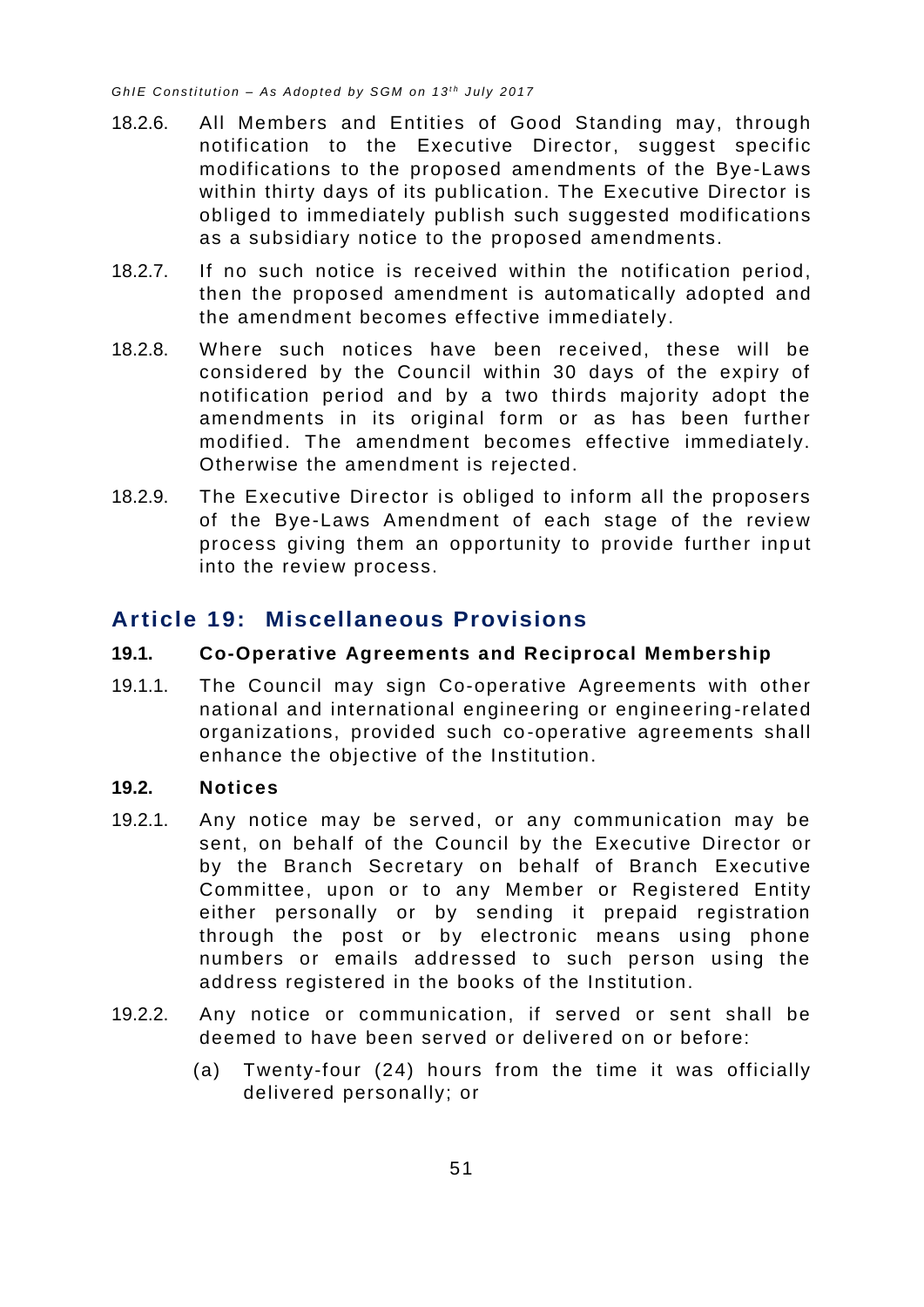- 18.2.6. All Members and Entities of Good Standing may, through notification to the Executive Director, suggest specific modifications to the proposed amendments of the Bye-Laws within thirty days of its publication. The Executive Director is obliged to immediately publish such suggested modifications as a subsidiary notice to the proposed amendments.
- 18.2.7. If no such notice is received within the notification period, then the proposed amendment is automatically adopted and the amendment becomes effective immediately.
- 18.2.8. Where such notices have been received, these will be considered by the Council within 30 days of the expiry of notification period and by a two thirds majority adopt the amendments in its original form or as has been further modified. The amendment becomes effective immediately. Otherwise the amendment is rejected.
- 18.2.9. The Executive Director is obliged to inform all the proposers of the Bye-Laws Amendment of each stage of the review process giving them an opportunity to provide further inp ut into the review process.

# <span id="page-55-0"></span>**Article 19: Miscellaneous Provisions**

#### <span id="page-55-1"></span>**19.1. Co-Operative Agreements and Reciprocal Membership**

19.1.1. The Council may sign Co-operative Agreements with other national and international engineering or engineering -related organizations, provided such co-operative agreements shall enhance the objective of the Institution.

#### <span id="page-55-2"></span>**19.2. Notices**

- 19.2.1. Any notice may be served, or any communication may be sent, on behalf of the Council by the Executive Director or by the Branch Secretary on behalf of Branch Executive Committee, upon or to any Member or Registered Entity either personally or by sending it prepaid registration through the post or by electronic means using phone numbers or emails addressed to such person using the address registered in the books of the Institution.
- 19.2.2. Any notice or communication, if served or sent shall be deemed to have been served or delivered on or before:
	- (a) Twenty-four (24) hours from the time it was officially delivered personally; or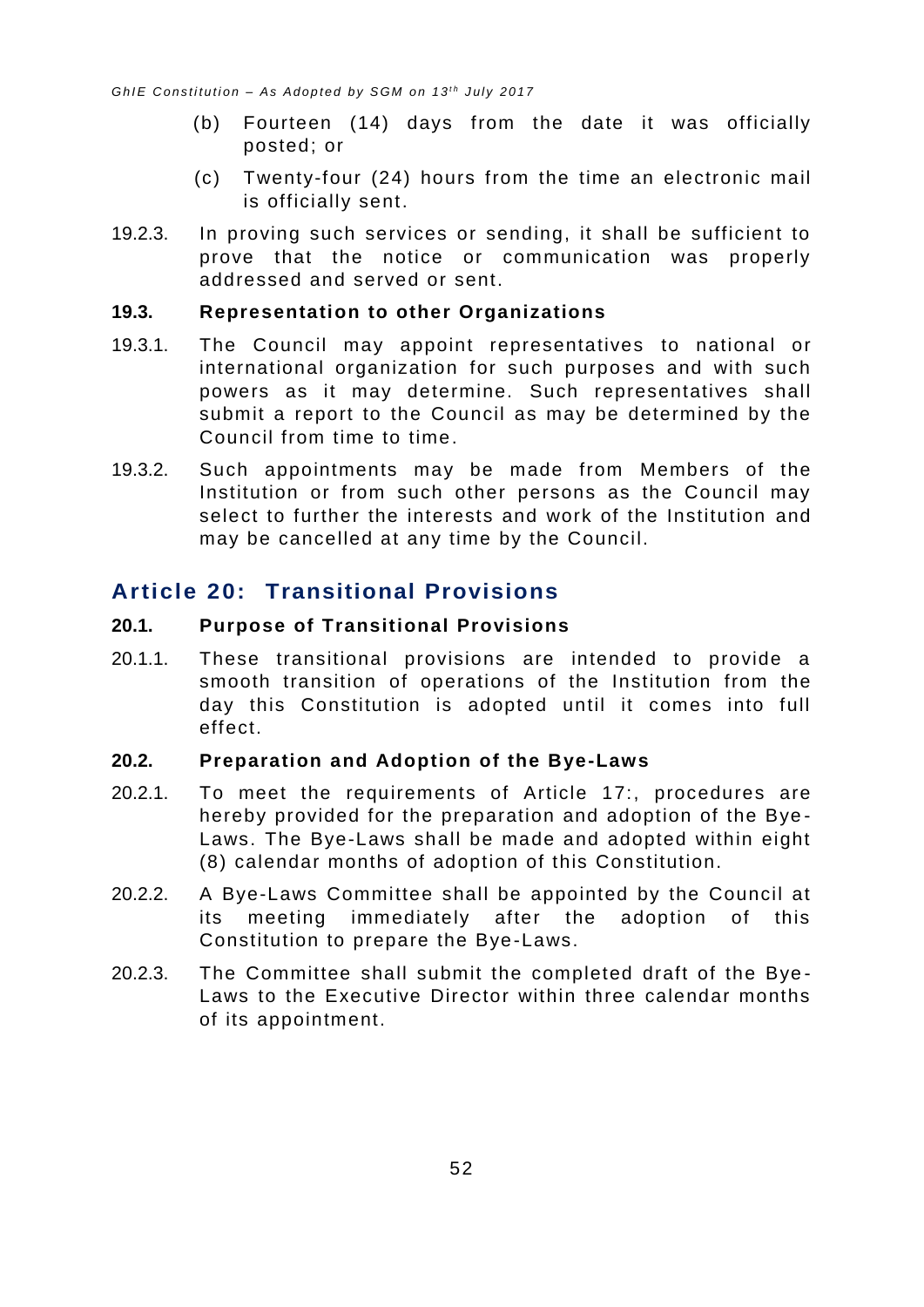- (b) Fourteen (14) days from the date it was officially posted; or
- (c) Twenty-four (24) hours from the time an electronic mail is officially sent.
- 19.2.3. In proving such services or sending, it shall be sufficient to prove that the notice or communication was properly addressed and served or sent.

#### <span id="page-56-0"></span>**19.3. Representation to other Organizations**

- 19.3.1. The Council may appoint representatives to national or international organization for such purposes and with such powers as it may determine. Such representatives shall submit a report to the Council as may be determined by the Council from time to time.
- 19.3.2. Such appointments may be made from Members of the Institution or from such other persons as the Council may select to further the interests and work of the Institution and may be cancelled at any time by the Council.

# <span id="page-56-1"></span>**Article 20: Transitional Provisions**

#### <span id="page-56-2"></span>**20.1. Purpose of Transitional Provisions**

20.1.1. These transitional provisions are intended to provide a smooth transition of operations of the Institution from the day this Constitution is adopted until it comes into full effect.

#### <span id="page-56-3"></span>**20.2. Preparation and Adoption of the Bye-Laws**

- 20.2.1. To meet the requirements of [Article 17:,](#page-52-2) procedures are hereby provided for the preparation and adoption of the Bye - Laws. The Bye-Laws shall be made and adopted within eight (8) calendar months of adoption of this Constitution.
- 20.2.2. A Bye-Laws Committee shall be appointed by the Council at its meeting immediately after the adoption of this Constitution to prepare the Bye-Laws.
- 20.2.3. The Committee shall submit the completed draft of the Bye Laws to the Executive Director within three calendar months of its appointment.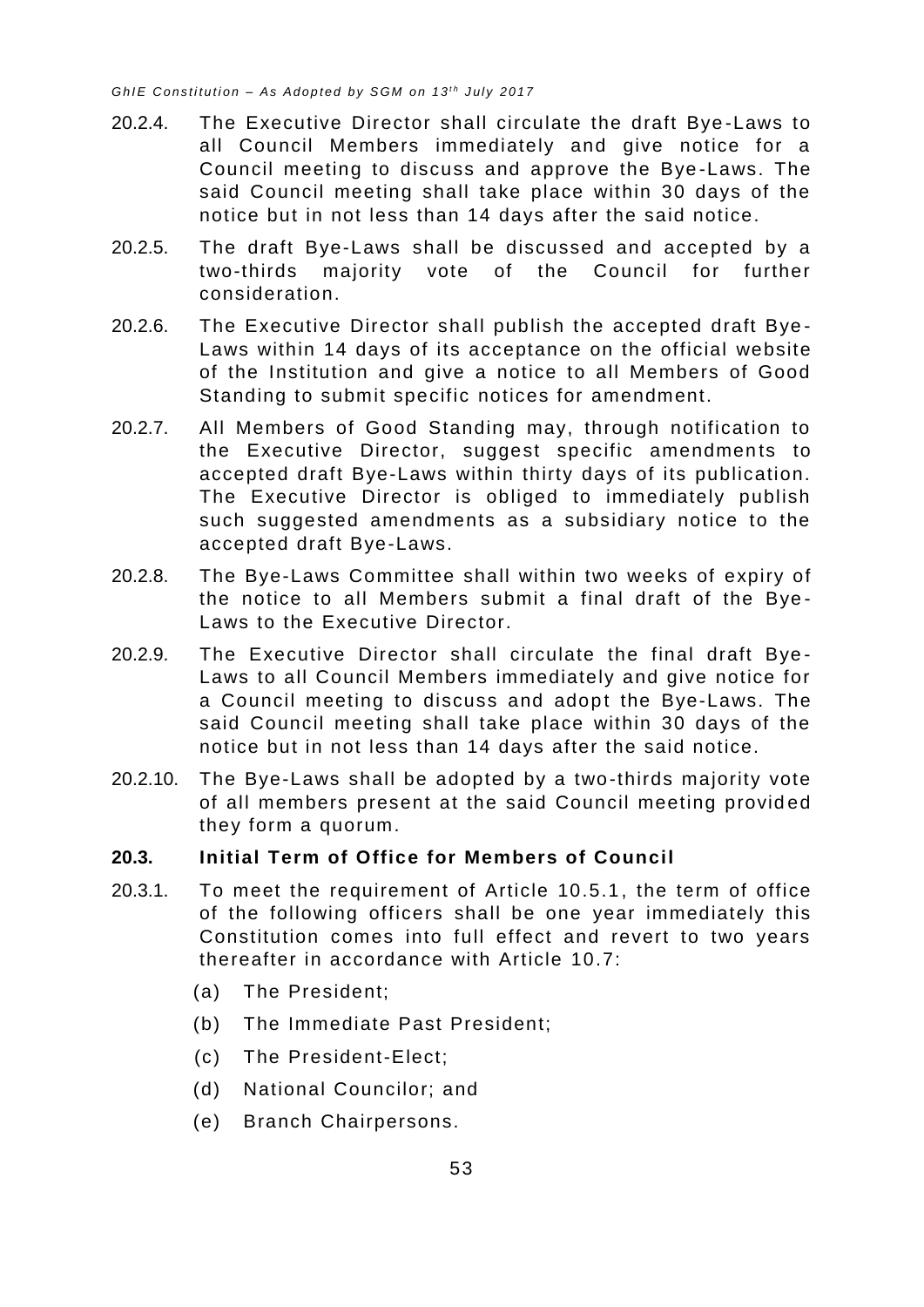- 20.2.4. The Executive Director shall circulate the draft Bye -Laws to all Council Members immediately and give notice for a Council meeting to discuss and approve the Bye -Laws. The said Council meeting shall take place within 30 days of the notice but in not less than 14 days after the said notice.
- 20.2.5. The draft Bye-Laws shall be discussed and accepted by a two-thirds majority vote of the Council for further consideration.
- 20.2.6. The Executive Director shall publish the accepted draft Bye Laws within 14 days of its acceptance on the official website of the Institution and give a notice to all Members of Good Standing to submit specific notices for amendment.
- 20.2.7. All Members of Good Standing may, through notification to the Executive Director, suggest specific amendments to accepted draft Bye-Laws within thirty days of its publication. The Executive Director is obliged to immediately publish such suggested amendments as a subsidiary notice to the accepted draft Bye-Laws.
- 20.2.8. The Bye-Laws Committee shall within two weeks of expiry of the notice to all Members submit a final draft of the Bye - Laws to the Executive Director.
- 20.2.9. The Executive Director shall circulate the final draft Bye Laws to all Council Members immediately and give notice for a Council meeting to discuss and adopt the Bye-Laws. The said Council meeting shall take place within 30 days of the notice but in not less than 14 days after the said notice.
- 20.2.10. The Bye-Laws shall be adopted by a two-thirds majority vote of all members present at the said Council meeting provid ed they form a quorum.

#### <span id="page-57-0"></span>**20.3. Initial Term of Office for Members of Council**

- 20.3.1. To meet the requirement of Article 10.5.1 , the term of office of the following officers shall be one year immediately this Constitution comes into full effect and revert to two years thereafter in accordance with Article [10.7:](#page-36-0)
	- (a) The President;
	- (b) The Immediate Past President;
	- (c) The President-Elect;
	- (d) National Councilor; and
	- (e) Branch Chairpersons.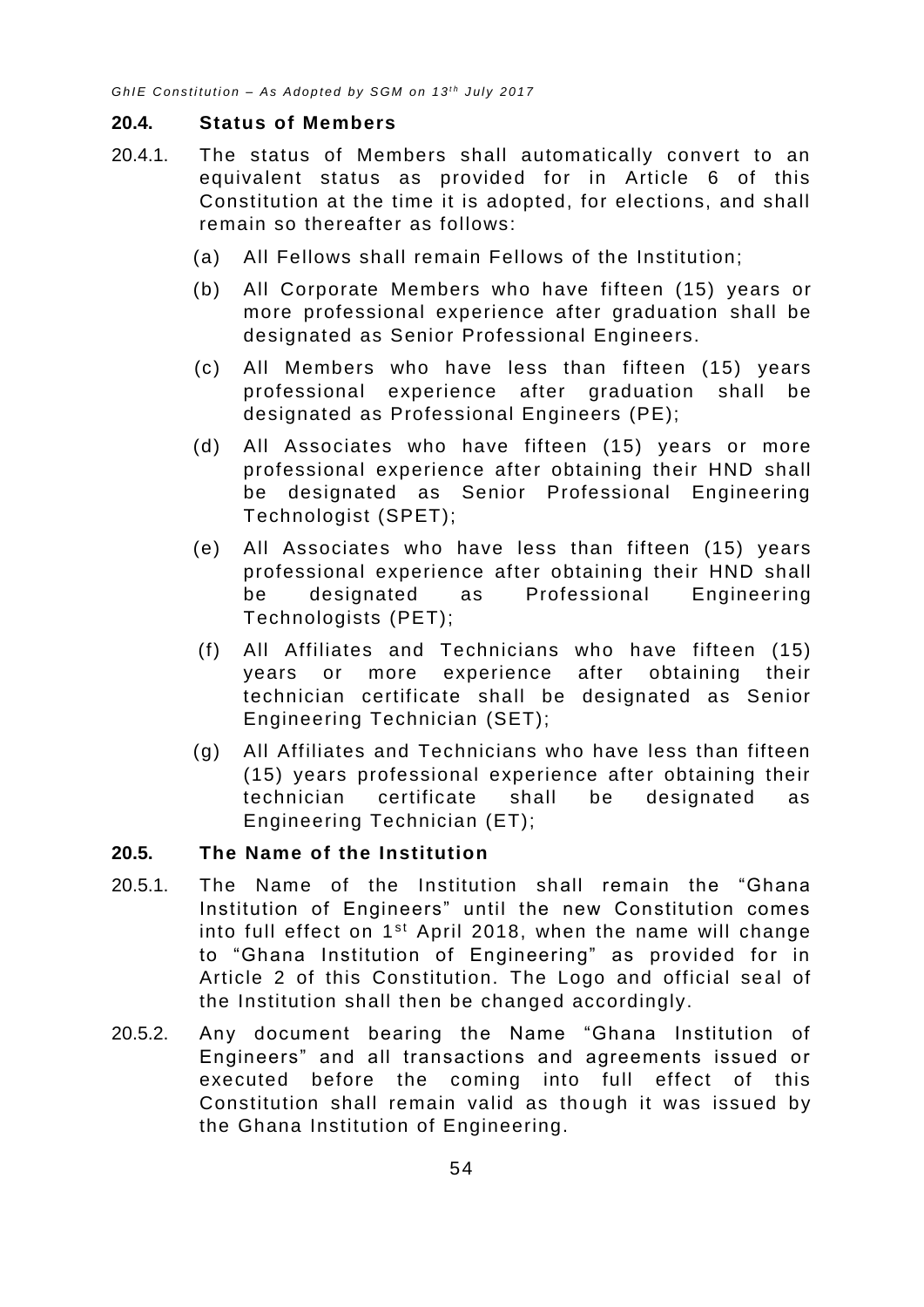#### <span id="page-58-0"></span>**20.4. Status of Members**

- 20.4.1. The status of Members shall automatically convert to an equivalent status as provided for in Article 6 of this Constitution at the time it is adopted, for elections, and shall remain so thereafter as follows:
	- (a) All Fellows shall remain Fellows of the Institution;
	- (b) All Corporate Members who have fifteen (15) years or more professional experience after graduation shall be designated as Senior Professional Engineers.
	- (c) All Members who have less than fifteen (15) years professional experience after graduation shall be designated as Professional Engineers (PE);
	- (d) All Associates who have fifteen (15) years or more professional experience after obtaining their HND shall be designated as Senior Professional Engineering Technologist (SPET);
	- (e) All Associates who have less than fifteen (15) years professional experience after obtaining their HND shall be designated as Professional Engineering Technologists (PET);
	- (f) All Affiliates and Technicians who have fifteen (15) years or more experience after obtaining their technician certificate shall be designated as Senior Engineering Technician (SET);
	- (g) All Affiliates and Technicians who have less than fifteen (15) years professional experience after obtaining their technician certificate shall be designated as Engineering Technician (ET);

#### <span id="page-58-1"></span>**20.5. The Name of the Institution**

- 20.5.1. The Name of the Institution shall remain the "Ghana Institution of Engineers" until the new Constitution comes into full effect on  $1<sup>st</sup>$  April 2018, when the name will change to "Ghana Institution of Engineering" as provided for in Article 2 of this Constitution. The Logo and official seal of the Institution shall then be changed accordingly.
- 20.5.2. Any document bearing the Name "Ghana Institution of Engineers" and all transactions and agreements issued or executed before the coming into full effect of this Constitution shall remain valid as tho ugh it was issued by the Ghana Institution of Engineering.